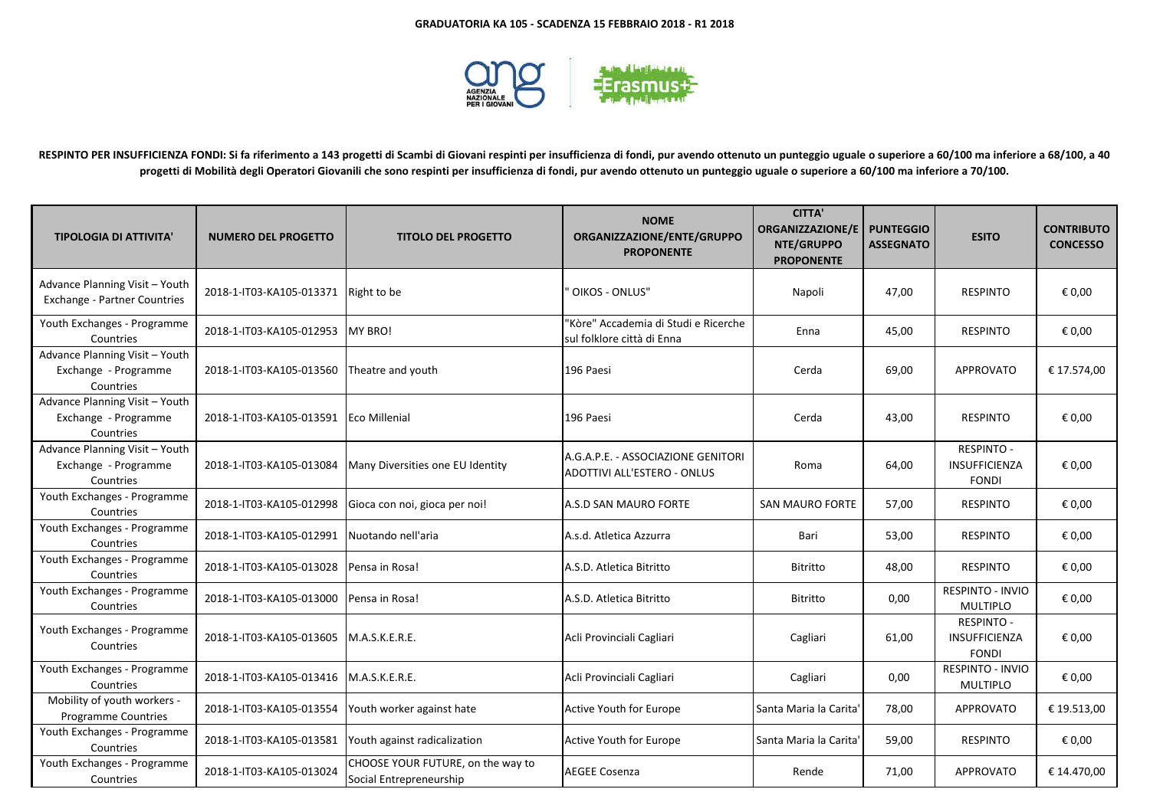

**RESPINTO PER INSUFFICIENZA FONDI: Si fa riferimento a 143 progetti di Scambi di Giovani respinti per insufficienza di fondi, pur avendo ottenuto un punteggio uguale o superiore a 60/100 ma inferiore a 68/100, a 40 progetti di Mobilità degli Operatori Giovanili che sono respinti per insufficienza di fondi, pur avendo ottenuto un punteggio uguale o superiore a 60/100 ma inferiore a 70/100.** 

| <b>TIPOLOGIA DI ATTIVITA'</b>                                       | <b>NUMERO DEL PROGETTO</b> | <b>TITOLO DEL PROGETTO</b>                                   | <b>NOME</b><br>ORGANIZZAZIONE/ENTE/GRUPPO<br><b>PROPONENTE</b>           | <b>CITTA'</b><br><b>ORGANIZZAZIONE/E</b><br>NTE/GRUPPO<br><b>PROPONENTE</b> | <b>PUNTEGGIO</b><br><b>ASSEGNATO</b> | <b>ESITO</b>                                              | <b>CONTRIBUTO</b><br><b>CONCESSO</b> |
|---------------------------------------------------------------------|----------------------------|--------------------------------------------------------------|--------------------------------------------------------------------------|-----------------------------------------------------------------------------|--------------------------------------|-----------------------------------------------------------|--------------------------------------|
| Advance Planning Visit - Youth<br>Exchange - Partner Countries      | 2018-1-IT03-KA105-013371   | Right to be                                                  | OIKOS - ONLUS"                                                           | Napoli                                                                      | 47,00                                | <b>RESPINTO</b>                                           | € 0,00                               |
| Youth Exchanges - Programme<br>Countries                            | 2018-1-IT03-KA105-012953   | <b>MY BRO!</b>                                               | 'Kòre" Accademia di Studi e Ricerche<br>sul folklore città di Enna       | Enna                                                                        | 45,00                                | <b>RESPINTO</b>                                           | € 0,00                               |
| Advance Planning Visit - Youth<br>Exchange - Programme<br>Countries | 2018-1-IT03-KA105-013560   | Theatre and youth                                            | 196 Paesi                                                                | Cerda                                                                       | 69,00                                | <b>APPROVATO</b>                                          | € 17.574,00                          |
| Advance Planning Visit - Youth<br>Exchange - Programme<br>Countries | 2018-1-IT03-KA105-013591   | Eco Millenial                                                | 196 Paesi                                                                | Cerda                                                                       | 43,00                                | <b>RESPINTO</b>                                           | € 0,00                               |
| Advance Planning Visit - Youth<br>Exchange - Programme<br>Countries | 2018-1-IT03-KA105-013084   | Many Diversities one EU Identity                             | A.G.A.P.E. - ASSOCIAZIONE GENITORI<br><b>ADOTTIVI ALL'ESTERO - ONLUS</b> | Roma                                                                        | 64,00                                | <b>RESPINTO -</b><br>INSUFFICIENZA<br><b>FONDI</b>        | € 0,00                               |
| Youth Exchanges - Programme<br>Countries                            | 2018-1-IT03-KA105-012998   | Gioca con noi, gioca per noi!                                | A.S.D SAN MAURO FORTE                                                    | <b>SAN MAURO FORTE</b>                                                      | 57,00                                | <b>RESPINTO</b>                                           | € 0,00                               |
| Youth Exchanges - Programme<br>Countries                            | 2018-1-IT03-KA105-012991   | Nuotando nell'aria                                           | A.s.d. Atletica Azzurra                                                  | Bari                                                                        | 53,00                                | <b>RESPINTO</b>                                           | € 0,00                               |
| Youth Exchanges - Programme<br>Countries                            | 2018-1-IT03-KA105-013028   | Pensa in Rosa!                                               | A.S.D. Atletica Bitritto                                                 | Bitritto                                                                    | 48,00                                | <b>RESPINTO</b>                                           | € 0,00                               |
| Youth Exchanges - Programme<br>Countries                            | 2018-1-IT03-KA105-013000   | Pensa in Rosa!                                               | A.S.D. Atletica Bitritto                                                 | Bitritto                                                                    | 0,00                                 | <b>RESPINTO - INVIO</b><br><b>MULTIPLO</b>                | € 0,00                               |
| Youth Exchanges - Programme<br>Countries                            | 2018-1-IT03-KA105-013605   | M.A.S.K.E.R.E.                                               | Acli Provinciali Cagliari                                                | Cagliari                                                                    | 61,00                                | <b>RESPINTO -</b><br><b>INSUFFICIENZA</b><br><b>FONDI</b> | € 0,00                               |
| Youth Exchanges - Programme<br>Countries                            | 2018-1-IT03-KA105-013416   | M.A.S.K.E.R.E.                                               | Acli Provinciali Cagliari                                                | Cagliari                                                                    | 0,00                                 | <b>RESPINTO - INVIO</b><br><b>MULTIPLO</b>                | € 0,00                               |
| Mobility of youth workers -<br>Programme Countries                  | 2018-1-IT03-KA105-013554   | Youth worker against hate                                    | Active Youth for Europe                                                  | Santa Maria la Carita                                                       | 78,00                                | <b>APPROVATO</b>                                          | € 19.513,00                          |
| Youth Exchanges - Programme<br>Countries                            | 2018-1-IT03-KA105-013581   | Youth against radicalization                                 | Active Youth for Europe                                                  | Santa Maria la Carita                                                       | 59,00                                | <b>RESPINTO</b>                                           | € 0,00                               |
| Youth Exchanges - Programme<br>Countries                            | 2018-1-IT03-KA105-013024   | CHOOSE YOUR FUTURE, on the way to<br>Social Entrepreneurship | <b>AEGEE Cosenza</b>                                                     | Rende                                                                       | 71,00                                | <b>APPROVATO</b>                                          | € 14.470,00                          |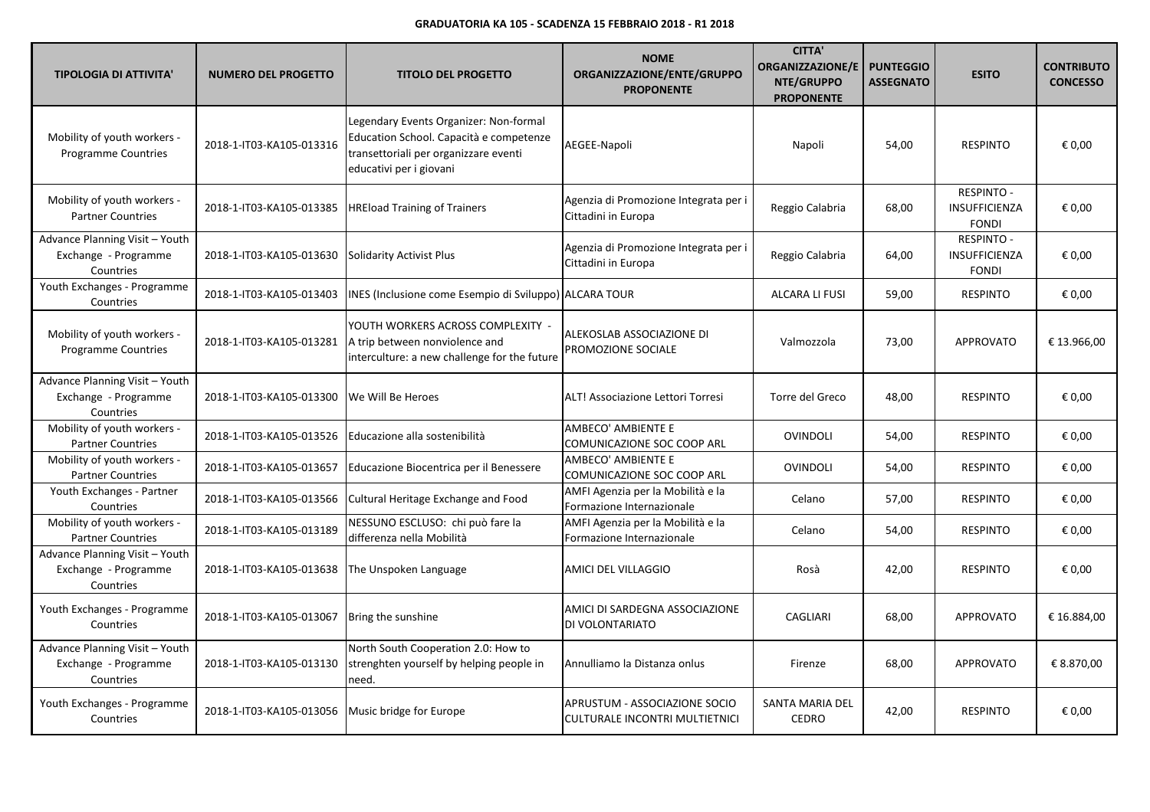| <b>TIPOLOGIA DI ATTIVITA'</b>                                       | <b>NUMERO DEL PROGETTO</b> | <b>TITOLO DEL PROGETTO</b>                                                                                                                            | <b>NOME</b><br>ORGANIZZAZIONE/ENTE/GRUPPO<br><b>PROPONENTE</b>         | <b>CITTA'</b><br><b>ORGANIZZAZIONE/E</b><br>NTE/GRUPPO<br><b>PROPONENTE</b> | <b>PUNTEGGIO</b><br><b>ASSEGNATO</b> | <b>ESITO</b>                                       | <b>CONTRIBUTO</b><br><b>CONCESSO</b> |
|---------------------------------------------------------------------|----------------------------|-------------------------------------------------------------------------------------------------------------------------------------------------------|------------------------------------------------------------------------|-----------------------------------------------------------------------------|--------------------------------------|----------------------------------------------------|--------------------------------------|
| Mobility of youth workers -<br><b>Programme Countries</b>           | 2018-1-IT03-KA105-013316   | Legendary Events Organizer: Non-formal<br>Education School. Capacità e competenze<br>transettoriali per organizzare eventi<br>educativi per i giovani | AEGEE-Napoli                                                           | Napoli                                                                      | 54,00                                | <b>RESPINTO</b>                                    | € 0,00                               |
| Mobility of youth workers -<br><b>Partner Countries</b>             | 2018-1-IT03-KA105-013385   | <b>HREload Training of Trainers</b>                                                                                                                   | Agenzia di Promozione Integrata per i<br>Cittadini in Europa           | Reggio Calabria                                                             | 68,00                                | RESPINTO -<br><b>INSUFFICIENZA</b><br><b>FONDI</b> | € 0.00                               |
| Advance Planning Visit - Youth<br>Exchange - Programme<br>Countries | 2018-1-IT03-KA105-013630   | <b>Solidarity Activist Plus</b>                                                                                                                       | Agenzia di Promozione Integrata per i<br>Cittadini in Europa           | Reggio Calabria                                                             | 64,00                                | <b>RESPINTO -</b><br>INSUFFICIENZA<br><b>FONDI</b> | € 0,00                               |
| Youth Exchanges - Programme<br>Countries                            | 2018-1-IT03-KA105-013403   | INES (Inclusione come Esempio di Sviluppo) ALCARA TOUR                                                                                                |                                                                        | <b>ALCARA LI FUSI</b>                                                       | 59,00                                | <b>RESPINTO</b>                                    | € 0,00                               |
| Mobility of youth workers -<br><b>Programme Countries</b>           | 2018-1-IT03-KA105-013281   | YOUTH WORKERS ACROSS COMPLEXITY -<br>A trip between nonviolence and<br>interculture: a new challenge for the future                                   | ALEKOSLAB ASSOCIAZIONE DI<br>PROMOZIONE SOCIALE                        | Valmozzola                                                                  | 73,00                                | <b>APPROVATO</b>                                   | € 13.966,00                          |
| Advance Planning Visit - Youth<br>Exchange - Programme<br>Countries | 2018-1-IT03-KA105-013300   | We Will Be Heroes                                                                                                                                     | ALT! Associazione Lettori Torresi                                      | Torre del Greco                                                             | 48,00                                | <b>RESPINTO</b>                                    | € 0,00                               |
| Mobility of youth workers -<br><b>Partner Countries</b>             | 2018-1-IT03-KA105-013526   | Educazione alla sostenibilità                                                                                                                         | AMBECO' AMBIENTE E<br>COMUNICAZIONE SOC COOP ARL                       | <b>OVINDOLI</b>                                                             | 54,00                                | <b>RESPINTO</b>                                    | € 0,00                               |
| Mobility of youth workers -<br><b>Partner Countries</b>             | 2018-1-IT03-KA105-013657   | Educazione Biocentrica per il Benessere                                                                                                               | AMBECO' AMBIENTE E<br>COMUNICAZIONE SOC COOP ARL                       | <b>OVINDOLI</b>                                                             | 54,00                                | <b>RESPINTO</b>                                    | € 0,00                               |
| Youth Exchanges - Partner<br>Countries                              | 2018-1-IT03-KA105-013566   | Cultural Heritage Exchange and Food                                                                                                                   | AMFI Agenzia per la Mobilità e la<br>Formazione Internazionale         | Celano                                                                      | 57,00                                | <b>RESPINTO</b>                                    | € 0,00                               |
| Mobility of youth workers -<br><b>Partner Countries</b>             | 2018-1-IT03-KA105-013189   | NESSUNO ESCLUSO: chi può fare la<br>differenza nella Mobilità                                                                                         | AMFI Agenzia per la Mobilità e la<br>Formazione Internazionale         | Celano                                                                      | 54,00                                | <b>RESPINTO</b>                                    | € 0,00                               |
| Advance Planning Visit - Youth<br>Exchange - Programme<br>Countries | 2018-1-IT03-KA105-013638   | The Unspoken Language                                                                                                                                 | AMICI DEL VILLAGGIO                                                    | Rosà                                                                        | 42,00                                | <b>RESPINTO</b>                                    | € 0,00                               |
| Youth Exchanges - Programme<br>Countries                            | 2018-1-IT03-KA105-013067   | Bring the sunshine                                                                                                                                    | AMICI DI SARDEGNA ASSOCIAZIONE<br>DI VOLONTARIATO                      | CAGLIARI                                                                    | 68,00                                | <b>APPROVATO</b>                                   | € 16.884,00                          |
| Advance Planning Visit - Youth<br>Exchange - Programme<br>Countries | 2018-1-IT03-KA105-013130   | North South Cooperation 2.0: How to<br>strenghten yourself by helping people in<br>need.                                                              | Annulliamo la Distanza onlus                                           | Firenze                                                                     | 68,00                                | <b>APPROVATO</b>                                   | € 8.870,00                           |
| Youth Exchanges - Programme<br>Countries                            | 2018-1-IT03-KA105-013056   | Music bridge for Europe                                                                                                                               | APRUSTUM - ASSOCIAZIONE SOCIO<br><b>CULTURALE INCONTRI MULTIETNICI</b> | SANTA MARIA DEL<br><b>CEDRO</b>                                             | 42,00                                | <b>RESPINTO</b>                                    | € 0,00                               |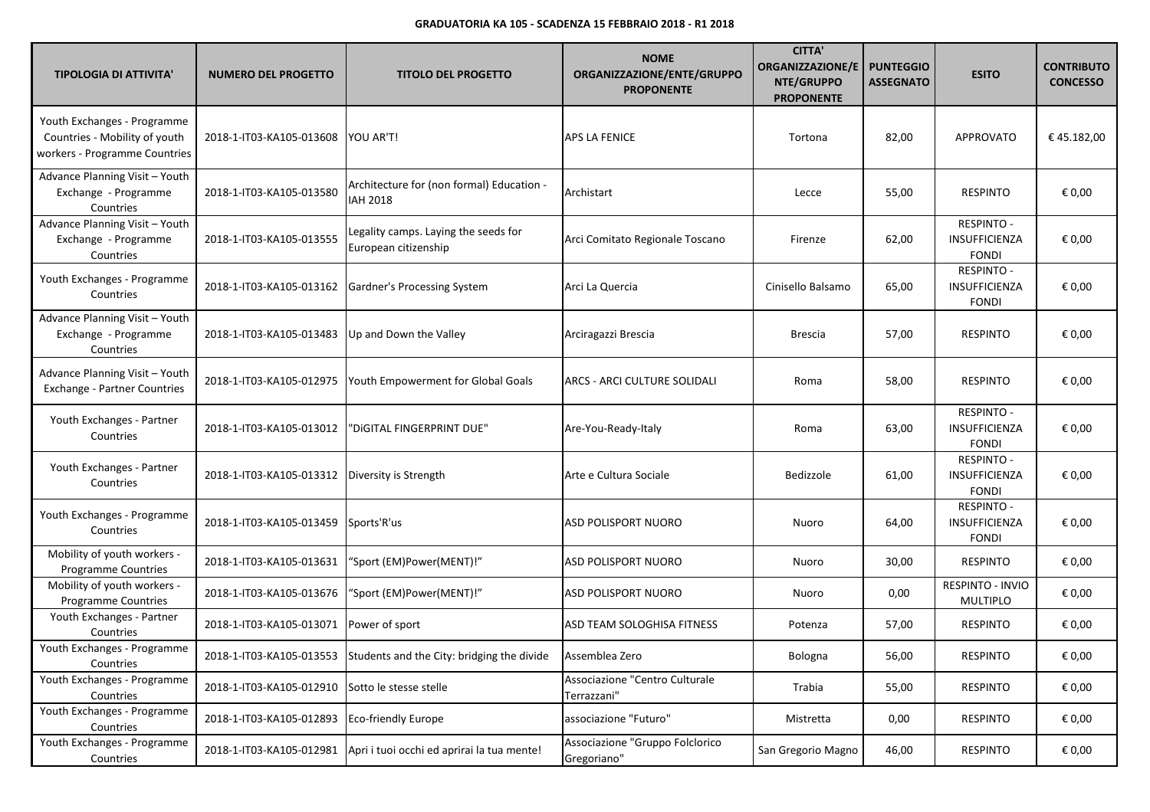| <b>TIPOLOGIA DI ATTIVITA'</b>                                                                 | <b>NUMERO DEL PROGETTO</b>                       | <b>TITOLO DEL PROGETTO</b>                                                         | <b>NOME</b><br>ORGANIZZAZIONE/ENTE/GRUPPO<br><b>PROPONENTE</b> | <b>CITTA'</b><br>ORGANIZZAZIONE/E<br>NTE/GRUPPO<br><b>PROPONENTE</b> | <b>PUNTEGGIO</b><br><b>ASSEGNATO</b> | <b>ESITO</b>                                              | <b>CONTRIBUTO</b><br><b>CONCESSO</b> |
|-----------------------------------------------------------------------------------------------|--------------------------------------------------|------------------------------------------------------------------------------------|----------------------------------------------------------------|----------------------------------------------------------------------|--------------------------------------|-----------------------------------------------------------|--------------------------------------|
| Youth Exchanges - Programme<br>Countries - Mobility of youth<br>workers - Programme Countries | 2018-1-IT03-KA105-013608                         | YOU AR'T!                                                                          | APS LA FENICE                                                  | Tortona                                                              | 82,00                                | <b>APPROVATO</b>                                          | €45.182,00                           |
| Advance Planning Visit - Youth<br>Exchange - Programme<br>Countries                           | 2018-1-IT03-KA105-013580                         | Architecture for (non formal) Education -<br><b>IAH 2018</b>                       | Archistart                                                     | Lecce                                                                | 55,00                                | <b>RESPINTO</b>                                           | € 0,00                               |
| Advance Planning Visit - Youth<br>Exchange - Programme<br>Countries                           | 2018-1-IT03-KA105-013555                         | Legality camps. Laying the seeds for<br>European citizenship                       | Arci Comitato Regionale Toscano                                | Firenze                                                              | 62,00                                | <b>RESPINTO -</b><br>INSUFFICIENZA<br>FONDI               | € 0,00                               |
| Youth Exchanges - Programme<br>Countries                                                      | 2018-1-IT03-KA105-013162                         | Gardner's Processing System                                                        | Arci La Quercia                                                | Cinisello Balsamo                                                    | 65,00                                | <b>RESPINTO -</b><br>INSUFFICIENZA<br><b>FONDI</b>        | € 0,00                               |
| Advance Planning Visit - Youth<br>Exchange - Programme<br>Countries                           | 2018-1-IT03-KA105-013483                         | Up and Down the Valley                                                             | Arciragazzi Brescia                                            | <b>Brescia</b>                                                       | 57,00                                | <b>RESPINTO</b>                                           | € 0,00                               |
| Advance Planning Visit - Youth<br><b>Exchange - Partner Countries</b>                         | 2018-1-IT03-KA105-012975                         | Youth Empowerment for Global Goals                                                 | ARCS - ARCI CULTURE SOLIDALI                                   | Roma                                                                 | 58,00                                | <b>RESPINTO</b>                                           | € 0,00                               |
| Youth Exchanges - Partner<br>Countries                                                        | 2018-1-IT03-KA105-013012                         | 'DiGITAL FINGERPRINT DUE''                                                         | Are-You-Ready-Italy                                            | Roma                                                                 | 63,00                                | <b>RESPINTO -</b><br><b>INSUFFICIENZA</b><br><b>FONDI</b> | € 0,00                               |
| Youth Exchanges - Partner<br>Countries                                                        | 2018-1-IT03-KA105-013312   Diversity is Strength |                                                                                    | Arte e Cultura Sociale                                         | Bedizzole                                                            | 61,00                                | <b>RESPINTO -</b><br>INSUFFICIENZA<br><b>FONDI</b>        | € 0,00                               |
| Youth Exchanges - Programme<br>Countries                                                      | 2018-1-IT03-KA105-013459                         | Sports'R'us                                                                        | <b>ASD POLISPORT NUORO</b>                                     | Nuoro                                                                | 64,00                                | <b>RESPINTO -</b><br>INSUFFICIENZA<br><b>FONDI</b>        | € 0,00                               |
| Mobility of youth workers -<br><b>Programme Countries</b>                                     | 2018-1-IT03-KA105-013631                         | "Sport (EM)Power(MENT)!"                                                           | <b>ASD POLISPORT NUORO</b>                                     | Nuoro                                                                | 30,00                                | <b>RESPINTO</b>                                           | € 0,00                               |
| Mobility of youth workers -<br>Programme Countries                                            | 2018-1-IT03-KA105-013676                         | "Sport (EM)Power(MENT)!"                                                           | ASD POLISPORT NUORO                                            | Nuoro                                                                | 0,00                                 | RESPINTO - INVIO<br><b>MULTIPLO</b>                       | € 0,00                               |
| Youth Exchanges - Partner<br>Countries                                                        | 2018-1-IT03-KA105-013071 Power of sport          |                                                                                    | ASD TEAM SOLOGHISA FITNESS                                     | Potenza                                                              | 57,00                                | <b>RESPINTO</b>                                           | € 0,00                               |
| Youth Exchanges - Programme<br>Countries                                                      |                                                  | 2018-1-IT03-KA105-013553 Students and the City: bridging the divide Assemblea Zero |                                                                | Bologna                                                              | 56,00                                | RESPINTO                                                  | $\epsilon$ 0,00                      |
| Youth Exchanges - Programme<br>Countries                                                      | 2018-1-IT03-KA105-012910 Sotto le stesse stelle  |                                                                                    | Associazione "Centro Culturale<br>Terrazzani"                  | Trabia                                                               | 55,00                                | <b>RESPINTO</b>                                           | € 0,00                               |
| Youth Exchanges - Programme<br>Countries                                                      | 2018-1-IT03-KA105-012893                         | <b>Eco-friendly Europe</b>                                                         | associazione "Futuro"                                          | Mistretta                                                            | 0,00                                 | <b>RESPINTO</b>                                           | € 0,00                               |
| Youth Exchanges - Programme<br>Countries                                                      |                                                  | 2018-1-IT03-KA105-012981 Apri i tuoi occhi ed aprirai la tua mente!                | Associazione "Gruppo Folclorico<br>Gregoriano"                 | San Gregorio Magno                                                   | 46,00                                | RESPINTO                                                  | € 0,00                               |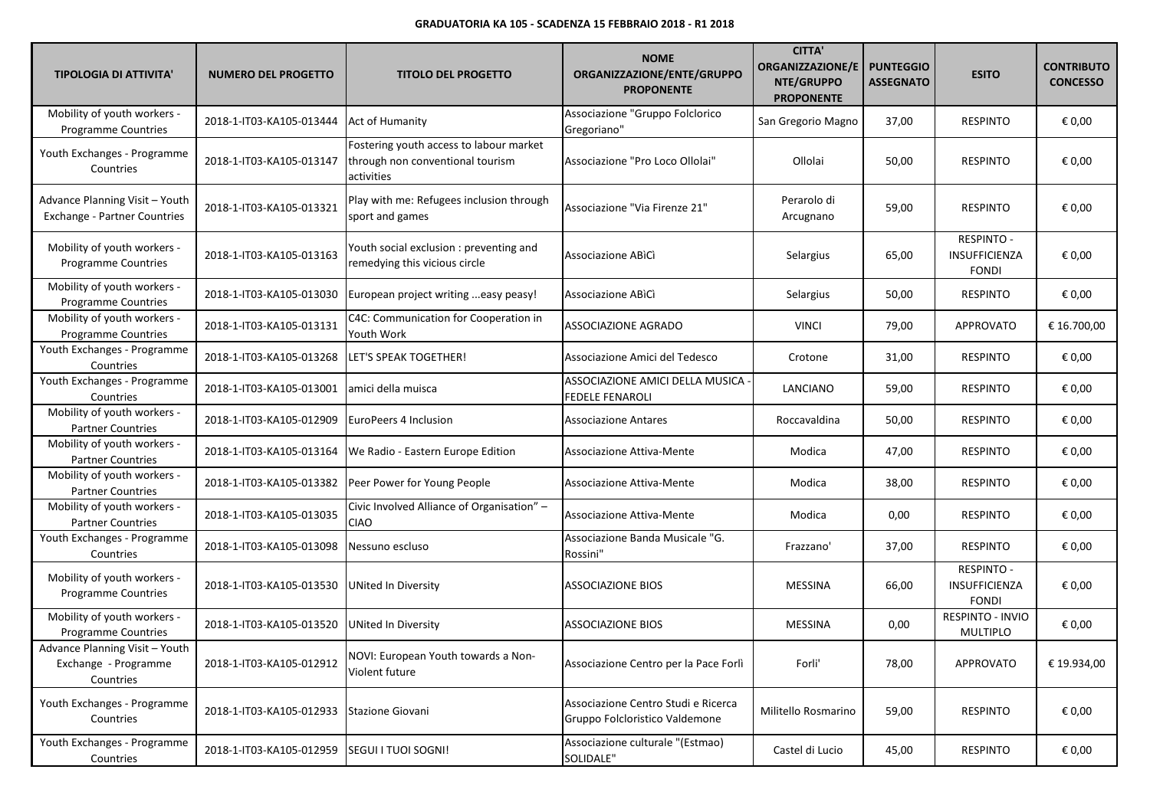| <b>TIPOLOGIA DI ATTIVITA'</b>                                         | <b>NUMERO DEL PROGETTO</b> | <b>TITOLO DEL PROGETTO</b>                                                                | <b>NOME</b><br>ORGANIZZAZIONE/ENTE/GRUPPO<br><b>PROPONENTE</b>        | <b>CITTA'</b><br><b>ORGANIZZAZIONE/E</b><br>NTE/GRUPPO<br><b>PROPONENTE</b> | <b>PUNTEGGIO</b><br><b>ASSEGNATO</b> | <b>ESITO</b>                                       | <b>CONTRIBUTO</b><br><b>CONCESSO</b> |
|-----------------------------------------------------------------------|----------------------------|-------------------------------------------------------------------------------------------|-----------------------------------------------------------------------|-----------------------------------------------------------------------------|--------------------------------------|----------------------------------------------------|--------------------------------------|
| Mobility of youth workers -<br><b>Programme Countries</b>             | 2018-1-IT03-KA105-013444   | <b>Act of Humanity</b>                                                                    | Associazione "Gruppo Folclorico<br>Gregoriano"                        | San Gregorio Magno                                                          | 37,00                                | <b>RESPINTO</b>                                    | € 0,00                               |
| Youth Exchanges - Programme<br>Countries                              | 2018-1-IT03-KA105-013147   | Fostering youth access to labour market<br>through non conventional tourism<br>activities | Associazione "Pro Loco Ollolai"                                       | Ollolai                                                                     | 50,00                                | <b>RESPINTO</b>                                    | € 0,00                               |
| Advance Planning Visit - Youth<br><b>Exchange - Partner Countries</b> | 2018-1-IT03-KA105-013321   | Play with me: Refugees inclusion through<br>sport and games                               | Associazione "Via Firenze 21"                                         | Perarolo di<br>Arcugnano                                                    | 59,00                                | <b>RESPINTO</b>                                    | € 0,00                               |
| Mobility of youth workers -<br><b>Programme Countries</b>             | 2018-1-IT03-KA105-013163   | Youth social exclusion : preventing and<br>remedying this vicious circle                  | Associazione ABICI                                                    | Selargius                                                                   | 65,00                                | <b>RESPINTO -</b><br>INSUFFICIENZA<br><b>FONDI</b> | € 0,00                               |
| Mobility of youth workers -<br><b>Programme Countries</b>             | 2018-1-IT03-KA105-013030   | European project writing easy peasy!                                                      | Associazione ABICI                                                    | Selargius                                                                   | 50,00                                | <b>RESPINTO</b>                                    | € 0,00                               |
| Mobility of youth workers -<br>Programme Countries                    | 2018-1-IT03-KA105-013131   | C4C: Communication for Cooperation in<br>Youth Work                                       | ASSOCIAZIONE AGRADO                                                   | <b>VINCI</b>                                                                | 79,00                                | <b>APPROVATO</b>                                   | € 16.700,00                          |
| Youth Exchanges - Programme<br>Countries                              | 2018-1-IT03-KA105-013268   | LET'S SPEAK TOGETHER!                                                                     | Associazione Amici del Tedesco                                        | Crotone                                                                     | 31,00                                | <b>RESPINTO</b>                                    | € 0,00                               |
| Youth Exchanges - Programme<br>Countries                              | 2018-1-IT03-KA105-013001   | amici della muisca                                                                        | ASSOCIAZIONE AMICI DELLA MUSICA<br><b>FEDELE FENAROLI</b>             | LANCIANO                                                                    | 59,00                                | <b>RESPINTO</b>                                    | € 0,00                               |
| Mobility of youth workers -<br><b>Partner Countries</b>               | 2018-1-IT03-KA105-012909   | EuroPeers 4 Inclusion                                                                     | <b>Associazione Antares</b>                                           | Roccavaldina                                                                | 50,00                                | <b>RESPINTO</b>                                    | € 0,00                               |
| Mobility of youth workers -<br><b>Partner Countries</b>               | 2018-1-IT03-KA105-013164   | We Radio - Eastern Europe Edition                                                         | Associazione Attiva-Mente                                             | Modica                                                                      | 47,00                                | <b>RESPINTO</b>                                    | € 0,00                               |
| Mobility of youth workers -<br><b>Partner Countries</b>               | 2018-1-IT03-KA105-013382   | Peer Power for Young People                                                               | Associazione Attiva-Mente                                             | Modica                                                                      | 38,00                                | <b>RESPINTO</b>                                    | € 0,00                               |
| Mobility of youth workers -<br><b>Partner Countries</b>               | 2018-1-IT03-KA105-013035   | Civic Involved Alliance of Organisation" -<br><b>CIAO</b>                                 | Associazione Attiva-Mente                                             | Modica                                                                      | 0,00                                 | <b>RESPINTO</b>                                    | € 0,00                               |
| Youth Exchanges - Programme<br>Countries                              | 2018-1-IT03-KA105-013098   | Nessuno escluso                                                                           | Associazione Banda Musicale "G.<br>Rossini"                           | Frazzano'                                                                   | 37,00                                | <b>RESPINTO</b>                                    | € 0,00                               |
| Mobility of youth workers -<br>Programme Countries                    | 2018-1-IT03-KA105-013530   | UNited In Diversity                                                                       | <b>ASSOCIAZIONE BIOS</b>                                              | <b>MESSINA</b>                                                              | 66,00                                | <b>RESPINTO -</b><br>INSUFFICIENZA<br><b>FONDI</b> | € 0,00                               |
| Mobility of youth workers -<br>Programme Countries                    | 2018-1-IT03-KA105-013520   | <b>UNited In Diversity</b>                                                                | <b>ASSOCIAZIONE BIOS</b>                                              | <b>MESSINA</b>                                                              | 0,00                                 | RESPINTO - INVIO<br><b>MULTIPLO</b>                | € 0,00                               |
| Advance Planning Visit - Youth<br>Exchange - Programme<br>Countries   | 2018-1-IT03-KA105-012912   | NOVI: European Youth towards a Non-<br>Violent future                                     | Associazione Centro per la Pace Forlì                                 | Forli'                                                                      | 78,00                                | APPROVATO                                          | € 19.934,00                          |
| Youth Exchanges - Programme<br>Countries                              | 2018-1-IT03-KA105-012933   | Stazione Giovani                                                                          | Associazione Centro Studi e Ricerca<br>Gruppo Folcloristico Valdemone | Militello Rosmarino                                                         | 59,00                                | <b>RESPINTO</b>                                    | € 0,00                               |
| Youth Exchanges - Programme<br>Countries                              | 2018-1-IT03-KA105-012959   | <b>SEGUI I TUOI SOGNI!</b>                                                                | Associazione culturale "(Estmao)<br>SOLIDALE"                         | Castel di Lucio                                                             | 45,00                                | <b>RESPINTO</b>                                    | € 0,00                               |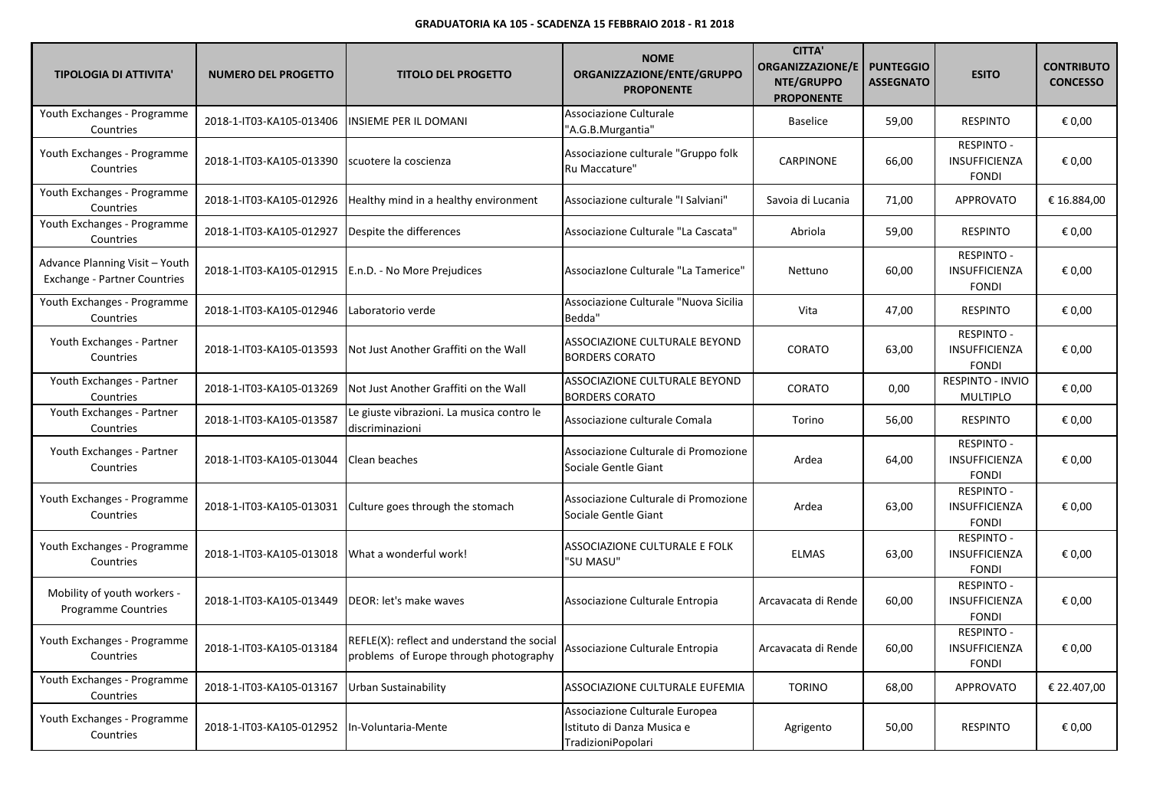| <b>TIPOLOGIA DI ATTIVITA'</b>                                         | <b>NUMERO DEL PROGETTO</b> | <b>TITOLO DEL PROGETTO</b>                                                            | <b>NOME</b><br>ORGANIZZAZIONE/ENTE/GRUPPO<br><b>PROPONENTE</b>                     | <b>CITTA'</b><br><b>ORGANIZZAZIONE/E</b><br>NTE/GRUPPO<br><b>PROPONENTE</b> | <b>PUNTEGGIO</b><br><b>ASSEGNATO</b> | <b>ESITO</b>                                              | <b>CONTRIBUTO</b><br><b>CONCESSO</b> |
|-----------------------------------------------------------------------|----------------------------|---------------------------------------------------------------------------------------|------------------------------------------------------------------------------------|-----------------------------------------------------------------------------|--------------------------------------|-----------------------------------------------------------|--------------------------------------|
| Youth Exchanges - Programme<br>Countries                              | 2018-1-IT03-KA105-013406   | INSIEME PER IL DOMANI                                                                 | Associazione Culturale<br>"A.G.B.Murgantia"                                        | <b>Baselice</b>                                                             | 59,00                                | <b>RESPINTO</b>                                           | € 0,00                               |
| Youth Exchanges - Programme<br>Countries                              | 2018-1-IT03-KA105-013390   | scuotere la coscienza                                                                 | Associazione culturale "Gruppo folk<br>Ru Maccature"                               | CARPINONE                                                                   | 66,00                                | <b>RESPINTO -</b><br>INSUFFICIENZA<br><b>FONDI</b>        | € 0,00                               |
| Youth Exchanges - Programme<br>Countries                              | 2018-1-IT03-KA105-012926   | Healthy mind in a healthy environment                                                 | Associazione culturale "I Salviani"                                                | Savoia di Lucania                                                           | 71,00                                | <b>APPROVATO</b>                                          | € 16.884,00                          |
| Youth Exchanges - Programme<br>Countries                              | 2018-1-IT03-KA105-012927   | Despite the differences                                                               | Associazione Culturale "La Cascata"                                                | Abriola                                                                     | 59,00                                | <b>RESPINTO</b>                                           | € 0,00                               |
| Advance Planning Visit - Youth<br><b>Exchange - Partner Countries</b> | 2018-1-IT03-KA105-012915   | E.n.D. - No More Prejudices                                                           | Associazione Culturale "La Tamerice"                                               | Nettuno                                                                     | 60,00                                | <b>RESPINTO -</b><br>INSUFFICIENZA<br><b>FONDI</b>        | € 0,00                               |
| Youth Exchanges - Programme<br>Countries                              | 2018-1-IT03-KA105-012946   | Laboratorio verde                                                                     | Associazione Culturale "Nuova Sicilia<br>Bedda"                                    | Vita                                                                        | 47,00                                | <b>RESPINTO</b>                                           | € 0,00                               |
| Youth Exchanges - Partner<br>Countries                                | 2018-1-IT03-KA105-013593   | Not Just Another Graffiti on the Wall                                                 | ASSOCIAZIONE CULTURALE BEYOND<br><b>BORDERS CORATO</b>                             | CORATO                                                                      | 63,00                                | <b>RESPINTO -</b><br>INSUFFICIENZA<br><b>FONDI</b>        | € 0,00                               |
| Youth Exchanges - Partner<br>Countries                                | 2018-1-IT03-KA105-013269   | Not Just Another Graffiti on the Wall                                                 | ASSOCIAZIONE CULTURALE BEYOND<br><b>BORDERS CORATO</b>                             | CORATO                                                                      | 0,00                                 | RESPINTO - INVIO<br><b>MULTIPLO</b>                       | € 0,00                               |
| Youth Exchanges - Partner<br>Countries                                | 2018-1-IT03-KA105-013587   | Le giuste vibrazioni. La musica contro le<br>discriminazioni                          | Associazione culturale Comala                                                      | Torino                                                                      | 56,00                                | <b>RESPINTO</b>                                           | € 0,00                               |
| Youth Exchanges - Partner<br>Countries                                | 2018-1-IT03-KA105-013044   | Clean beaches                                                                         | Associazione Culturale di Promozione<br>Sociale Gentle Giant                       | Ardea                                                                       | 64,00                                | <b>RESPINTO -</b><br>INSUFFICIENZA<br><b>FONDI</b>        | € 0,00                               |
| Youth Exchanges - Programme<br>Countries                              | 2018-1-IT03-KA105-013031   | Culture goes through the stomach                                                      | Associazione Culturale di Promozione<br>Sociale Gentle Giant                       | Ardea                                                                       | 63,00                                | <b>RESPINTO -</b><br>INSUFFICIENZA<br><b>FONDI</b>        | € 0,00                               |
| Youth Exchanges - Programme<br>Countries                              | 2018-1-IT03-KA105-013018   | What a wonderful work!                                                                | ASSOCIAZIONE CULTURALE E FOLK<br>"SU MASU"                                         | <b>ELMAS</b>                                                                | 63,00                                | <b>RESPINTO -</b><br>INSUFFICIENZA<br><b>FONDI</b>        | € 0,00                               |
| Mobility of youth workers -<br><b>Programme Countries</b>             | 2018-1-IT03-KA105-013449   | DEOR: let's make waves                                                                | Associazione Culturale Entropia                                                    | Arcavacata di Rende                                                         | 60,00                                | <b>RESPINTO -</b><br>INSUFFICIENZA<br><b>FONDI</b>        | € 0,00                               |
| Youth Exchanges - Programme<br>Countries                              | 2018-1-IT03-KA105-013184   | REFLE(X): reflect and understand the social<br>problems of Europe through photography | Associazione Culturale Entropia                                                    | Arcavacata di Rende                                                         | 60,00                                | <b>RESPINTO -</b><br><b>INSUFFICIENZA</b><br><b>FONDI</b> | € 0,00                               |
| Youth Exchanges - Programme<br>Countries                              | 2018-1-IT03-KA105-013167   | Urban Sustainability                                                                  | ASSOCIAZIONE CULTURALE EUFEMIA                                                     | <b>TORINO</b>                                                               | 68,00                                | APPROVATO                                                 | € 22.407,00                          |
| Youth Exchanges - Programme<br>Countries                              | 2018-1-IT03-KA105-012952   | In-Voluntaria-Mente                                                                   | Associazione Culturale Europea<br>Istituto di Danza Musica e<br>TradizioniPopolari | Agrigento                                                                   | 50,00                                | <b>RESPINTO</b>                                           | € 0,00                               |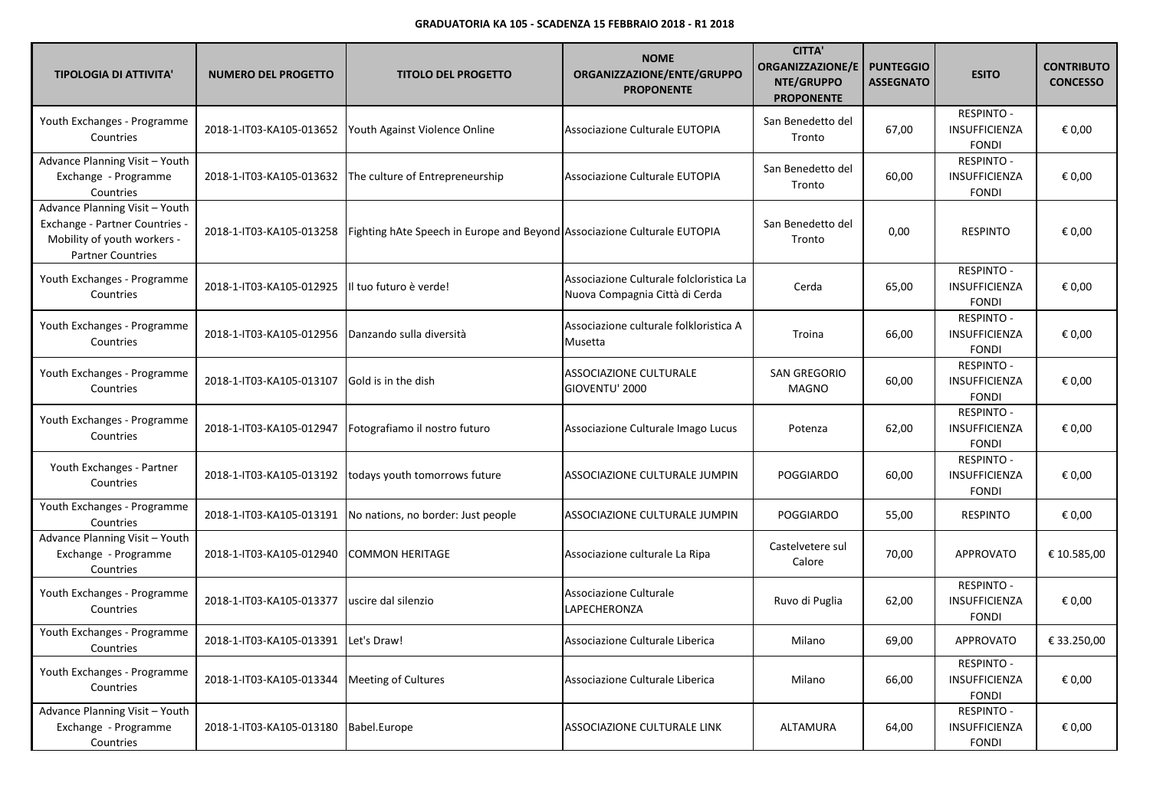| <b>TIPOLOGIA DI ATTIVITA'</b>                                                                                               | <b>NUMERO DEL PROGETTO</b> | <b>TITOLO DEL PROGETTO</b>                                               | <b>NOME</b><br>ORGANIZZAZIONE/ENTE/GRUPPO<br><b>PROPONENTE</b>            | <b>CITTA'</b><br><b>ORGANIZZAZIONE/E</b><br>NTE/GRUPPO<br><b>PROPONENTE</b> | <b>PUNTEGGIO</b><br><b>ASSEGNATO</b> | <b>ESITO</b>                                              | <b>CONTRIBUTO</b><br><b>CONCESSO</b> |
|-----------------------------------------------------------------------------------------------------------------------------|----------------------------|--------------------------------------------------------------------------|---------------------------------------------------------------------------|-----------------------------------------------------------------------------|--------------------------------------|-----------------------------------------------------------|--------------------------------------|
| Youth Exchanges - Programme<br>Countries                                                                                    | 2018-1-IT03-KA105-013652   | Youth Against Violence Online                                            | Associazione Culturale EUTOPIA                                            | San Benedetto del<br>Tronto                                                 | 67,00                                | <b>RESPINTO -</b><br>INSUFFICIENZA<br><b>FONDI</b>        | € 0,00                               |
| Advance Planning Visit - Youth<br>Exchange - Programme<br>Countries                                                         | 2018-1-IT03-KA105-013632   | The culture of Entrepreneurship                                          | Associazione Culturale EUTOPIA                                            | San Benedetto del<br>Tronto                                                 | 60,00                                | <b>RESPINTO -</b><br>INSUFFICIENZA<br><b>FONDI</b>        | € 0,00                               |
| Advance Planning Visit - Youth<br>Exchange - Partner Countries -<br>Mobility of youth workers -<br><b>Partner Countries</b> | 2018-1-IT03-KA105-013258   | Fighting hAte Speech in Europe and Beyond Associazione Culturale EUTOPIA |                                                                           | San Benedetto del<br>Tronto                                                 | 0,00                                 | <b>RESPINTO</b>                                           | € 0,00                               |
| Youth Exchanges - Programme<br>Countries                                                                                    | 2018-1-IT03-KA105-012925   | Il tuo futuro è verde!                                                   | Associazione Culturale folcloristica La<br>Nuova Compagnia Città di Cerda | Cerda                                                                       | 65,00                                | RESPINTO -<br>INSUFFICIENZA<br><b>FONDI</b>               | € 0,00                               |
| Youth Exchanges - Programme<br>Countries                                                                                    | 2018-1-IT03-KA105-012956   | Danzando sulla diversità                                                 | Associazione culturale folkloristica A<br>Musetta                         | Troina                                                                      | 66,00                                | <b>RESPINTO -</b><br>INSUFFICIENZA<br><b>FONDI</b>        | € 0,00                               |
| Youth Exchanges - Programme<br>Countries                                                                                    | 2018-1-IT03-KA105-013107   | Gold is in the dish                                                      | <b>ASSOCIAZIONE CULTURALE</b><br>GIOVENTU' 2000                           | <b>SAN GREGORIO</b><br><b>MAGNO</b>                                         | 60,00                                | RESPINTO -<br><b>INSUFFICIENZA</b><br><b>FONDI</b>        | € 0,00                               |
| Youth Exchanges - Programme<br>Countries                                                                                    | 2018-1-IT03-KA105-012947   | Fotografiamo il nostro futuro                                            | Associazione Culturale Imago Lucus                                        | Potenza                                                                     | 62,00                                | <b>RESPINTO -</b><br>INSUFFICIENZA<br><b>FONDI</b>        | € 0,00                               |
| Youth Exchanges - Partner<br>Countries                                                                                      | 2018-1-IT03-KA105-013192   | todays youth tomorrows future                                            | ASSOCIAZIONE CULTURALE JUMPIN                                             | <b>POGGIARDO</b>                                                            | 60,00                                | <b>RESPINTO -</b><br><b>INSUFFICIENZA</b><br><b>FONDI</b> | € 0,00                               |
| Youth Exchanges - Programme<br>Countries                                                                                    | 2018-1-IT03-KA105-013191   | No nations, no border: Just people                                       | ASSOCIAZIONE CULTURALE JUMPIN                                             | <b>POGGIARDO</b>                                                            | 55,00                                | <b>RESPINTO</b>                                           | € 0,00                               |
| Advance Planning Visit - Youth<br>Exchange - Programme<br>Countries                                                         | 2018-1-IT03-KA105-012940   | COMMON HERITAGE                                                          | Associazione culturale La Ripa                                            | Castelvetere sul<br>Calore                                                  | 70,00                                | <b>APPROVATO</b>                                          | € 10.585,00                          |
| Youth Exchanges - Programme<br>Countries                                                                                    | 2018-1-IT03-KA105-013377   | uscire dal silenzio                                                      | Associazione Culturale<br>LAPECHERONZA                                    | Ruvo di Puglia                                                              | 62,00                                | <b>RESPINTO -</b><br>INSUFFICIENZA<br><b>FONDI</b>        | € 0,00                               |
| Youth Exchanges - Programme<br>Countries                                                                                    | 2018-1-IT03-KA105-013391   | Let's Draw!                                                              | Associazione Culturale Liberica                                           | Milano                                                                      | 69,00                                | <b>APPROVATO</b>                                          | € 33.250,00                          |
| Youth Exchanges - Programme<br>Countries                                                                                    | 2018-1-IT03-KA105-013344   | <b>Meeting of Cultures</b>                                               | Associazione Culturale Liberica                                           | Milano                                                                      | 66,00                                | <b>RESPINTO -</b><br><b>INSUFFICIENZA</b><br><b>FONDI</b> | € 0,00                               |
| Advance Planning Visit - Youth<br>Exchange - Programme<br>Countries                                                         | 2018-1-IT03-KA105-013180   | Babel.Europe                                                             | ASSOCIAZIONE CULTURALE LINK                                               | ALTAMURA                                                                    | 64,00                                | <b>RESPINTO -</b><br><b>INSUFFICIENZA</b><br><b>FONDI</b> | € 0,00                               |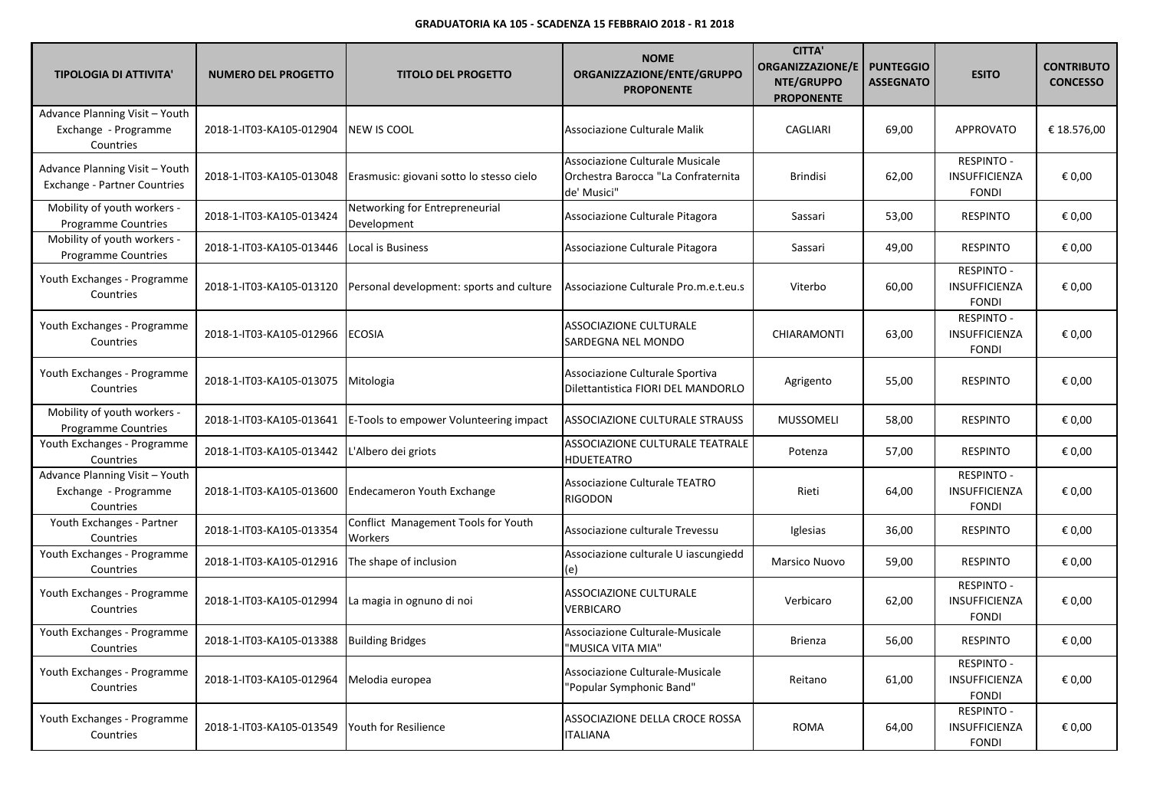| <b>TIPOLOGIA DI ATTIVITA'</b>                                         | <b>NUMERO DEL PROGETTO</b> | <b>TITOLO DEL PROGETTO</b>                     | <b>NOME</b><br>ORGANIZZAZIONE/ENTE/GRUPPO<br><b>PROPONENTE</b>                        | <b>CITTA'</b><br>ORGANIZZAZIONE/E<br>NTE/GRUPPO<br><b>PROPONENTE</b> | <b>PUNTEGGIO</b><br><b>ASSEGNATO</b> | <b>ESITO</b>                                       | <b>CONTRIBUTO</b><br><b>CONCESSO</b> |
|-----------------------------------------------------------------------|----------------------------|------------------------------------------------|---------------------------------------------------------------------------------------|----------------------------------------------------------------------|--------------------------------------|----------------------------------------------------|--------------------------------------|
| Advance Planning Visit - Youth<br>Exchange - Programme<br>Countries   | 2018-1-IT03-KA105-012904   | NEW IS COOL                                    | Associazione Culturale Malik                                                          | CAGLIARI                                                             | 69,00                                | APPROVATO                                          | € 18.576,00                          |
| Advance Planning Visit - Youth<br><b>Exchange - Partner Countries</b> | 2018-1-IT03-KA105-013048   | Erasmusic: giovani sotto lo stesso cielo       | Associazione Culturale Musicale<br>Orchestra Barocca "La Confraternita<br>de' Musici" | <b>Brindisi</b>                                                      | 62,00                                | <b>RESPINTO -</b><br>INSUFFICIENZA<br><b>FONDI</b> | € 0,00                               |
| Mobility of youth workers -<br>Programme Countries                    | 2018-1-IT03-KA105-013424   | Networking for Entrepreneurial<br>Development  | Associazione Culturale Pitagora                                                       | Sassari                                                              | 53,00                                | <b>RESPINTO</b>                                    | € 0,00                               |
| Mobility of youth workers -<br><b>Programme Countries</b>             | 2018-1-IT03-KA105-013446   | Local is Business                              | Associazione Culturale Pitagora                                                       | Sassari                                                              | 49,00                                | <b>RESPINTO</b>                                    | € 0,00                               |
| Youth Exchanges - Programme<br>Countries                              | 2018-1-IT03-KA105-013120   | Personal development: sports and culture       | Associazione Culturale Pro.m.e.t.eu.s                                                 | Viterbo                                                              | 60,00                                | <b>RESPINTO -</b><br>INSUFFICIENZA<br><b>FONDI</b> | € 0,00                               |
| Youth Exchanges - Programme<br>Countries                              | 2018-1-IT03-KA105-012966   | <b>ECOSIA</b>                                  | ASSOCIAZIONE CULTURALE<br>SARDEGNA NEL MONDO                                          | CHIARAMONTI                                                          | 63,00                                | <b>RESPINTO -</b><br>INSUFFICIENZA<br><b>FONDI</b> | € 0,00                               |
| Youth Exchanges - Programme<br>Countries                              | 2018-1-IT03-KA105-013075   | Mitologia                                      | Associazione Culturale Sportiva<br>Dilettantistica FIORI DEL MANDORLO                 | Agrigento                                                            | 55,00                                | <b>RESPINTO</b>                                    | € 0,00                               |
| Mobility of youth workers -<br>Programme Countries                    | 2018-1-IT03-KA105-013641   | E-Tools to empower Volunteering impact         | ASSOCIAZIONE CULTURALE STRAUSS                                                        | <b>MUSSOMELI</b>                                                     | 58,00                                | <b>RESPINTO</b>                                    | € 0,00                               |
| Youth Exchanges - Programme<br>Countries                              | 2018-1-IT03-KA105-013442   | L'Albero dei griots                            | ASSOCIAZIONE CULTURALE TEATRALE<br><b>HDUETEATRO</b>                                  | Potenza                                                              | 57,00                                | <b>RESPINTO</b>                                    | € 0,00                               |
| Advance Planning Visit - Youth<br>Exchange - Programme<br>Countries   | 2018-1-IT03-KA105-013600   | <b>Endecameron Youth Exchange</b>              | Associazione Culturale TEATRO<br><b>RIGODON</b>                                       | Rieti                                                                | 64,00                                | <b>RESPINTO -</b><br>INSUFFICIENZA<br><b>FONDI</b> | € 0.00                               |
| Youth Exchanges - Partner<br>Countries                                | 2018-1-IT03-KA105-013354   | Conflict Management Tools for Youth<br>Workers | Associazione culturale Trevessu                                                       | Iglesias                                                             | 36,00                                | <b>RESPINTO</b>                                    | € 0,00                               |
| Youth Exchanges - Programme<br>Countries                              | 2018-1-IT03-KA105-012916   | The shape of inclusion                         | Associazione culturale U iascungiedd<br>(e)                                           | Marsico Nuovo                                                        | 59,00                                | <b>RESPINTO</b>                                    | € 0,00                               |
| Youth Exchanges - Programme<br>Countries                              | 2018-1-IT03-KA105-012994   | La magia in ognuno di noi                      | ASSOCIAZIONE CULTURALE<br>VERBICARO                                                   | Verbicaro                                                            | 62,00                                | RESPINTO -<br>INSUFFICIENZA<br><b>FONDI</b>        | € 0,00                               |
| Youth Exchanges - Programme<br>Countries                              | 2018-1-IT03-KA105-013388   | <b>Building Bridges</b>                        | Associazione Culturale-Musicale<br>"MUSICA VITA MIA"                                  | <b>Brienza</b>                                                       | 56,00                                | <b>RESPINTO</b>                                    | € 0,00                               |
| Youth Exchanges - Programme<br>Countries                              | 2018-1-IT03-KA105-012964   | Melodia europea                                | Associazione Culturale-Musicale<br>"Popular Symphonic Band"                           | Reitano                                                              | 61,00                                | <b>RESPINTO -</b><br>INSUFFICIENZA<br><b>FONDI</b> | € 0,00                               |
| Youth Exchanges - Programme<br>Countries                              | 2018-1-IT03-KA105-013549   | Youth for Resilience                           | ASSOCIAZIONE DELLA CROCE ROSSA<br><b>ITALIANA</b>                                     | <b>ROMA</b>                                                          | 64,00                                | RESPINTO -<br><b>INSUFFICIENZA</b><br><b>FONDI</b> | € 0,00                               |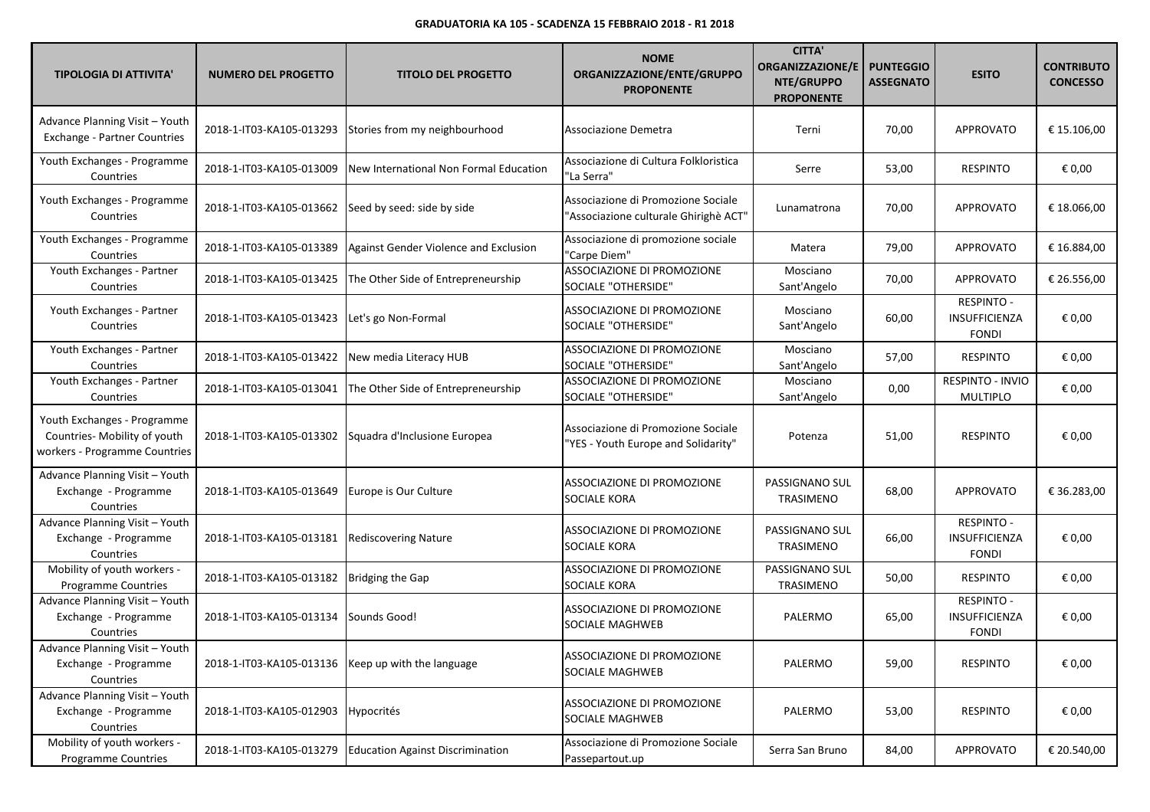| <b>TIPOLOGIA DI ATTIVITA'</b>                                                                | <b>NUMERO DEL PROGETTO</b>                           | <b>TITOLO DEL PROGETTO</b>                            | <b>NOME</b><br>ORGANIZZAZIONE/ENTE/GRUPPO<br><b>PROPONENTE</b>              | <b>CITTA'</b><br><b>ORGANIZZAZIONE/E</b><br>NTE/GRUPPO<br><b>PROPONENTE</b> | <b>PUNTEGGIO</b><br><b>ASSEGNATO</b> | <b>ESITO</b>                                       | <b>CONTRIBUTO</b><br><b>CONCESSO</b> |
|----------------------------------------------------------------------------------------------|------------------------------------------------------|-------------------------------------------------------|-----------------------------------------------------------------------------|-----------------------------------------------------------------------------|--------------------------------------|----------------------------------------------------|--------------------------------------|
| Advance Planning Visit - Youth<br><b>Exchange - Partner Countries</b>                        | 2018-1-IT03-KA105-013293                             | Stories from my neighbourhood                         | Associazione Demetra                                                        | Terni                                                                       | 70,00                                | <b>APPROVATO</b>                                   | € 15.106.00                          |
| Youth Exchanges - Programme<br>Countries                                                     | 2018-1-IT03-KA105-013009                             | New International Non Formal Education                | Associazione di Cultura Folkloristica<br>"La Serra"                         | Serre                                                                       | 53,00                                | <b>RESPINTO</b>                                    | € 0,00                               |
| Youth Exchanges - Programme<br>Countries                                                     | 2018-1-IT03-KA105-013662                             | Seed by seed: side by side                            | Associazione di Promozione Sociale<br>"Associazione culturale Ghirighè ACT" | Lunamatrona                                                                 | 70,00                                | <b>APPROVATO</b>                                   | € 18.066,00                          |
| Youth Exchanges - Programme<br>Countries                                                     | 2018-1-IT03-KA105-013389                             | Against Gender Violence and Exclusion                 | Associazione di promozione sociale<br>"Carpe Diem"                          | Matera                                                                      | 79,00                                | APPROVATO                                          | € 16.884,00                          |
| Youth Exchanges - Partner<br>Countries                                                       | 2018-1-IT03-KA105-013425                             | The Other Side of Entrepreneurship                    | ASSOCIAZIONE DI PROMOZIONE<br>SOCIALE "OTHERSIDE"                           | Mosciano<br>Sant'Angelo                                                     | 70,00                                | APPROVATO                                          | € 26.556,00                          |
| Youth Exchanges - Partner<br>Countries                                                       | 2018-1-IT03-KA105-013423                             | Let's go Non-Formal                                   | ASSOCIAZIONE DI PROMOZIONE<br>SOCIALE "OTHERSIDE"                           | Mosciano<br>Sant'Angelo                                                     | 60,00                                | <b>RESPINTO -</b><br>INSUFFICIENZA<br><b>FONDI</b> | € 0,00                               |
| Youth Exchanges - Partner<br>Countries                                                       | 2018-1-IT03-KA105-013422                             | New media Literacy HUB                                | ASSOCIAZIONE DI PROMOZIONE<br>SOCIALE "OTHERSIDE"                           | Mosciano<br>Sant'Angelo                                                     | 57,00                                | <b>RESPINTO</b>                                    | € 0,00                               |
| Youth Exchanges - Partner<br>Countries                                                       | 2018-1-IT03-KA105-013041                             | The Other Side of Entrepreneurship                    | ASSOCIAZIONE DI PROMOZIONE<br>SOCIALE "OTHERSIDE"                           | Mosciano<br>Sant'Angelo                                                     | 0,00                                 | RESPINTO - INVIO<br><b>MULTIPLO</b>                | € 0,00                               |
| Youth Exchanges - Programme<br>Countries- Mobility of youth<br>workers - Programme Countries |                                                      | 2018-1-IT03-KA105-013302 Squadra d'Inclusione Europea | Associazione di Promozione Sociale<br>"YES - Youth Europe and Solidarity"   | Potenza                                                                     | 51,00                                | <b>RESPINTO</b>                                    | € 0,00                               |
| Advance Planning Visit - Youth<br>Exchange - Programme<br>Countries                          | 2018-1-IT03-KA105-013649                             | Europe is Our Culture                                 | ASSOCIAZIONE DI PROMOZIONE<br><b>SOCIALE KORA</b>                           | PASSIGNANO SUL<br>TRASIMENO                                                 | 68,00                                | <b>APPROVATO</b>                                   | € 36.283,00                          |
| Advance Planning Visit - Youth<br>Exchange - Programme<br>Countries                          | 2018-1-IT03-KA105-013181                             | <b>Rediscovering Nature</b>                           | ASSOCIAZIONE DI PROMOZIONE<br><b>SOCIALE KORA</b>                           | PASSIGNANO SUL<br>TRASIMENO                                                 | 66,00                                | <b>RESPINTO -</b><br>INSUFFICIENZA<br><b>FONDI</b> | € 0,00                               |
| Mobility of youth workers -<br><b>Programme Countries</b>                                    | 2018-1-IT03-KA105-013182                             | Bridging the Gap                                      | ASSOCIAZIONE DI PROMOZIONE<br>SOCIALE KORA                                  | PASSIGNANO SUL<br>TRASIMENO                                                 | 50,00                                | <b>RESPINTO</b>                                    | € 0,00                               |
| Advance Planning Visit - Youth<br>Exchange - Programme<br>Countries                          | 2018-1-IT03-KA105-013134                             | Sounds Good!                                          | ASSOCIAZIONE DI PROMOZIONE<br>SOCIALE MAGHWEB                               | PALERMO                                                                     | 65,00                                | RESPINTO -<br>INSUFFICIENZA<br><b>FONDI</b>        | € 0,00                               |
| Advance Planning Visit - Youth<br>Exchange - Programme<br>Countries                          | 2018-1-IT03-KA105-013136   Keep up with the language |                                                       | ASSOCIAZIONE DI PROMOZIONE<br>SOCIALE MAGHWEB                               | PALERMO                                                                     | 59,00                                | <b>RESPINTO</b>                                    | € 0,00                               |
| Advance Planning Visit - Youth<br>Exchange - Programme<br>Countries                          | 2018-1-IT03-KA105-012903                             | Hypocrités                                            | ASSOCIAZIONE DI PROMOZIONE<br><b>SOCIALE MAGHWEB</b>                        | PALERMO                                                                     | 53,00                                | <b>RESPINTO</b>                                    | € 0,00                               |
| Mobility of youth workers -<br>Programme Countries                                           | 2018-1-IT03-KA105-013279                             | <b>Education Against Discrimination</b>               | Associazione di Promozione Sociale<br>Passepartout.up                       | Serra San Bruno                                                             | 84,00                                | APPROVATO                                          | € 20.540,00                          |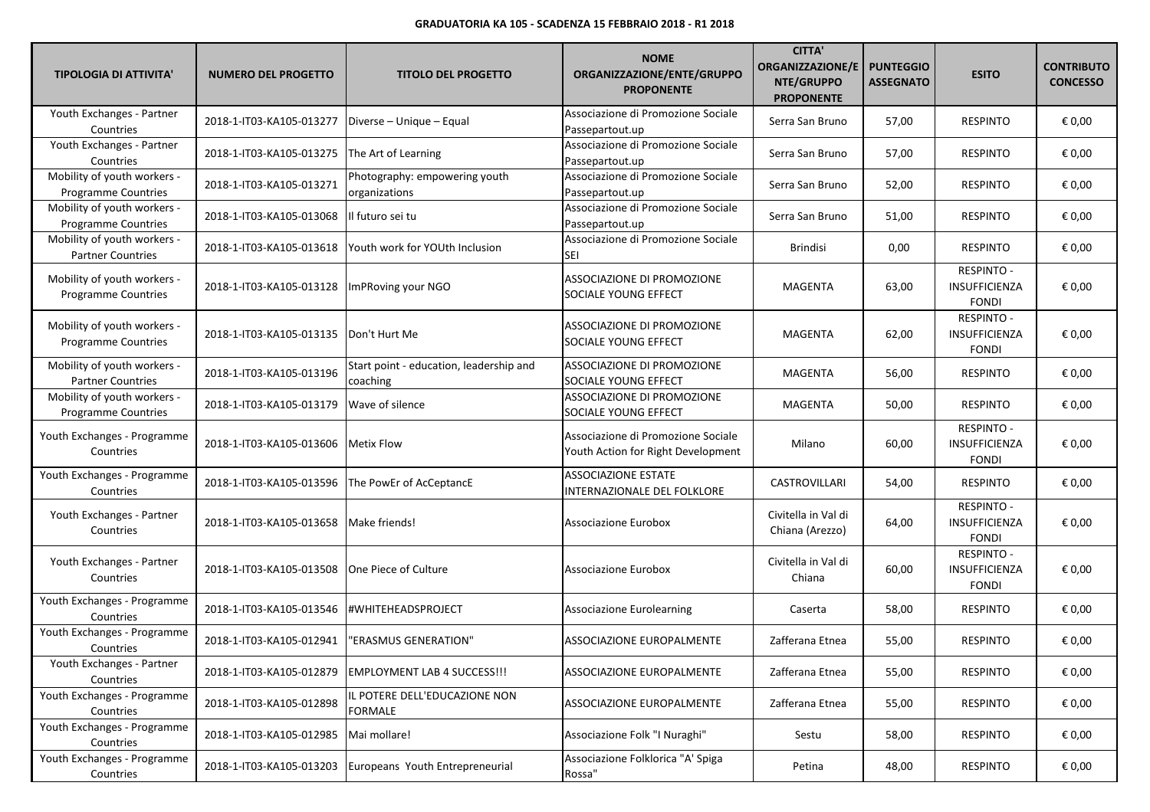| <b>TIPOLOGIA DI ATTIVITA'</b>                             | <b>NUMERO DEL PROGETTO</b>                  | <b>TITOLO DEL PROGETTO</b>                                | <b>NOME</b><br>ORGANIZZAZIONE/ENTE/GRUPPO<br><b>PROPONENTE</b>           | <b>CITTA'</b><br><b>ORGANIZZAZIONE/E</b><br>NTE/GRUPPO<br><b>PROPONENTE</b> | <b>PUNTEGGIO</b><br><b>ASSEGNATO</b> | <b>ESITO</b>                                              | <b>CONTRIBUTO</b><br><b>CONCESSO</b> |
|-----------------------------------------------------------|---------------------------------------------|-----------------------------------------------------------|--------------------------------------------------------------------------|-----------------------------------------------------------------------------|--------------------------------------|-----------------------------------------------------------|--------------------------------------|
| Youth Exchanges - Partner<br>Countries                    | 2018-1-IT03-KA105-013277                    | Diverse - Unique - Equal                                  | Associazione di Promozione Sociale<br>Passepartout.up                    | Serra San Bruno                                                             | 57,00                                | <b>RESPINTO</b>                                           | € 0,00                               |
| Youth Exchanges - Partner<br>Countries                    | 2018-1-IT03-KA105-013275                    | The Art of Learning                                       | Associazione di Promozione Sociale<br>Passepartout.up                    | Serra San Bruno                                                             | 57,00                                | <b>RESPINTO</b>                                           | € 0,00                               |
| Mobility of youth workers -<br><b>Programme Countries</b> | 2018-1-IT03-KA105-013271                    | Photography: empowering youth<br>organizations            | Associazione di Promozione Sociale<br>Passepartout.up                    | Serra San Bruno                                                             | 52,00                                | <b>RESPINTO</b>                                           | € 0,00                               |
| Mobility of youth workers -<br>Programme Countries        | 2018-1-IT03-KA105-013068   Il futuro sei tu |                                                           | Associazione di Promozione Sociale<br>Passepartout.up                    | Serra San Bruno                                                             | 51,00                                | <b>RESPINTO</b>                                           | € 0,00                               |
| Mobility of youth workers -<br><b>Partner Countries</b>   |                                             | 2018-1-IT03-KA105-013618   Youth work for YOUth Inclusion | Associazione di Promozione Sociale<br>SEI                                | <b>Brindisi</b>                                                             | 0,00                                 | <b>RESPINTO</b>                                           | € 0,00                               |
| Mobility of youth workers -<br>Programme Countries        | 2018-1-IT03-KA105-013128                    | ImPRoving your NGO                                        | ASSOCIAZIONE DI PROMOZIONE<br>SOCIALE YOUNG EFFECT                       | <b>MAGENTA</b>                                                              | 63,00                                | <b>RESPINTO -</b><br><b>INSUFFICIENZA</b><br><b>FONDI</b> | € 0,00                               |
| Mobility of youth workers -<br><b>Programme Countries</b> | 2018-1-IT03-KA105-013135   Don't Hurt Me    |                                                           | ASSOCIAZIONE DI PROMOZIONE<br>SOCIALE YOUNG EFFECT                       | MAGENTA                                                                     | 62,00                                | <b>RESPINTO -</b><br>INSUFFICIENZA<br><b>FONDI</b>        | € 0,00                               |
| Mobility of youth workers -<br><b>Partner Countries</b>   | 2018-1-IT03-KA105-013196                    | Start point - education, leadership and<br>coaching       | ASSOCIAZIONE DI PROMOZIONE<br>SOCIALE YOUNG EFFECT                       | <b>MAGENTA</b>                                                              | 56,00                                | <b>RESPINTO</b>                                           | € 0,00                               |
| Mobility of youth workers -<br>Programme Countries        | 2018-1-IT03-KA105-013179                    | Wave of silence                                           | ASSOCIAZIONE DI PROMOZIONE<br>SOCIALE YOUNG EFFECT                       | <b>MAGENTA</b>                                                              | 50,00                                | <b>RESPINTO</b>                                           | € 0,00                               |
| Youth Exchanges - Programme<br>Countries                  | 2018-1-IT03-KA105-013606                    | Metix Flow                                                | Associazione di Promozione Sociale<br>Youth Action for Right Development | Milano                                                                      | 60,00                                | <b>RESPINTO -</b><br>INSUFFICIENZA<br><b>FONDI</b>        | € 0,00                               |
| Youth Exchanges - Programme<br>Countries                  | 2018-1-IT03-KA105-013596                    | The PowEr of AcCeptancE                                   | <b>ASSOCIAZIONE ESTATE</b><br>INTERNAZIONALE DEL FOLKLORE                | CASTROVILLARI                                                               | 54,00                                | <b>RESPINTO</b>                                           | € 0,00                               |
| Youth Exchanges - Partner<br>Countries                    | 2018-1-IT03-KA105-013658                    | Make friends!                                             | <b>Associazione Eurobox</b>                                              | Civitella in Val di<br>Chiana (Arezzo)                                      | 64,00                                | <b>RESPINTO -</b><br>INSUFFICIENZA<br><b>FONDI</b>        | € 0,00                               |
| Youth Exchanges - Partner<br>Countries                    | 2018-1-IT03-KA105-013508                    | <b>One Piece of Culture</b>                               | <b>Associazione Eurobox</b>                                              | Civitella in Val di<br>Chiana                                               | 60,00                                | <b>RESPINTO -</b><br>INSUFFICIENZA<br><b>FONDI</b>        | € 0,00                               |
| Youth Exchanges - Programme<br>Countries                  | 2018-1-IT03-KA105-013546                    | <b>#WHITEHEADSPROJECT</b>                                 | <b>Associazione Eurolearning</b>                                         | Caserta                                                                     | 58,00                                | <b>RESPINTO</b>                                           | € 0,00                               |
| Youth Exchanges - Programme<br>Countries                  | 2018-1-IT03-KA105-012941                    | "ERASMUS GENERATION"                                      | ASSOCIAZIONE EUROPALMENTE                                                | Zafferana Etnea                                                             | 55,00                                | <b>RESPINTO</b>                                           | € 0,00                               |
| Youth Exchanges - Partner<br>Countries                    | 2018-1-IT03-KA105-012879                    | <b>EMPLOYMENT LAB 4 SUCCESS!!!</b>                        | ASSOCIAZIONE EUROPALMENTE                                                | Zafferana Etnea                                                             | 55,00                                | <b>RESPINTO</b>                                           | € 0,00                               |
| Youth Exchanges - Programme<br>Countries                  | 2018-1-IT03-KA105-012898                    | IL POTERE DELL'EDUCAZIONE NON<br><b>FORMALE</b>           | ASSOCIAZIONE EUROPALMENTE                                                | Zafferana Etnea                                                             | 55,00                                | <b>RESPINTO</b>                                           | € 0,00                               |
| Youth Exchanges - Programme<br>Countries                  | 2018-1-IT03-KA105-012985                    | Mai mollare!                                              | Associazione Folk "I Nuraghi"                                            | Sestu                                                                       | 58,00                                | <b>RESPINTO</b>                                           | € 0,00                               |
| Youth Exchanges - Programme<br>Countries                  | 2018-1-IT03-KA105-013203                    | Europeans Youth Entrepreneurial                           | Associazione Folklorica "A' Spiga<br>Rossa"                              | Petina                                                                      | 48,00                                | <b>RESPINTO</b>                                           | € 0,00                               |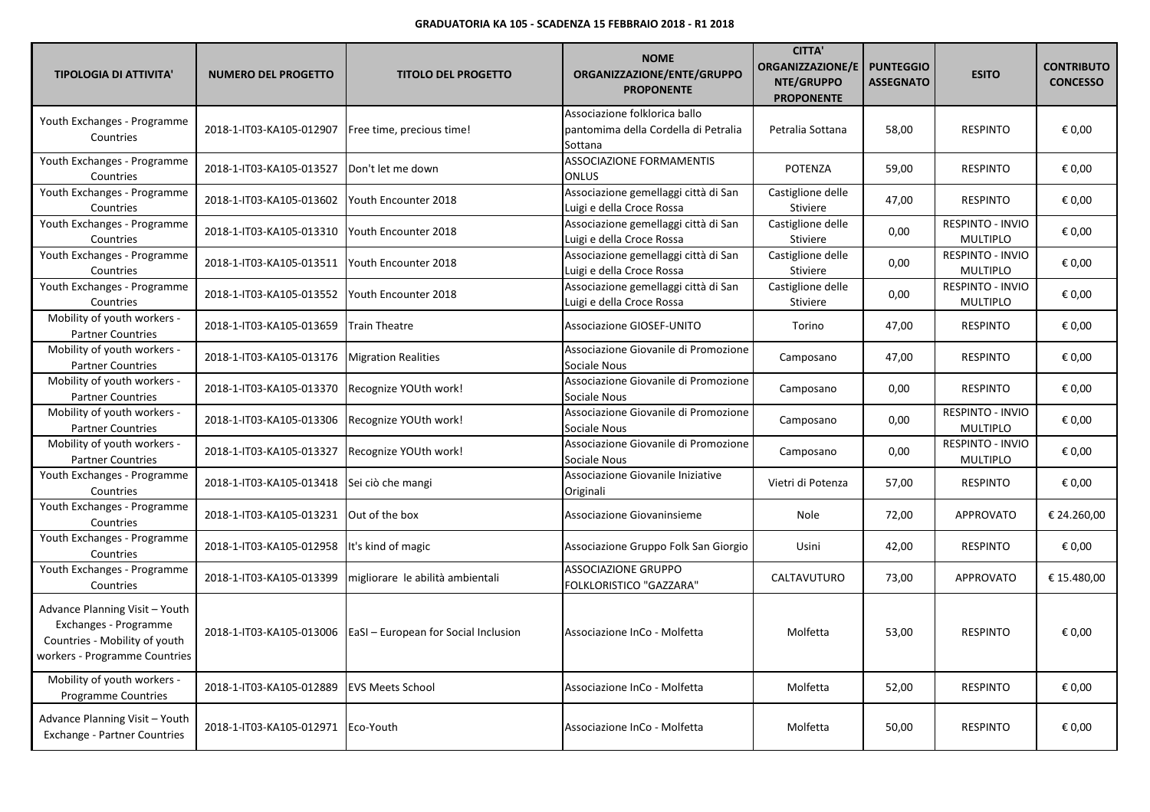| <b>TIPOLOGIA DI ATTIVITA'</b>                                                                                             | <b>NUMERO DEL PROGETTO</b>           | <b>TITOLO DEL PROGETTO</b>                  | <b>NOME</b><br>ORGANIZZAZIONE/ENTE/GRUPPO<br><b>PROPONENTE</b>                   | <b>CITTA'</b><br><b>ORGANIZZAZIONE/E</b><br>NTE/GRUPPO<br><b>PROPONENTE</b> | <b>PUNTEGGIO</b><br><b>ASSEGNATO</b> | <b>ESITO</b>                               | <b>CONTRIBUTO</b><br><b>CONCESSO</b> |
|---------------------------------------------------------------------------------------------------------------------------|--------------------------------------|---------------------------------------------|----------------------------------------------------------------------------------|-----------------------------------------------------------------------------|--------------------------------------|--------------------------------------------|--------------------------------------|
| Youth Exchanges - Programme<br>Countries                                                                                  | 2018-1-IT03-KA105-012907             | Free time, precious time!                   | Associazione folklorica ballo<br>pantomima della Cordella di Petralia<br>Sottana | Petralia Sottana                                                            | 58,00                                | <b>RESPINTO</b>                            | € 0,00                               |
| Youth Exchanges - Programme<br>Countries                                                                                  | 2018-1-IT03-KA105-013527             | Don't let me down                           | ASSOCIAZIONE FORMAMENTIS<br>ONLUS                                                | <b>POTENZA</b>                                                              | 59,00                                | <b>RESPINTO</b>                            | € 0,00                               |
| Youth Exchanges - Programme<br>Countries                                                                                  | 2018-1-IT03-KA105-013602             | Youth Encounter 2018                        | Associazione gemellaggi città di San<br>Luigi e della Croce Rossa                | Castiglione delle<br><b>Stiviere</b>                                        | 47,00                                | <b>RESPINTO</b>                            | € 0,00                               |
| Youth Exchanges - Programme<br>Countries                                                                                  | 2018-1-IT03-KA105-013310             | Youth Encounter 2018                        | Associazione gemellaggi città di San<br>Luigi e della Croce Rossa                | Castiglione delle<br>Stiviere                                               | 0,00                                 | <b>RESPINTO - INVIO</b><br><b>MULTIPLO</b> | € 0,00                               |
| Youth Exchanges - Programme<br>Countries                                                                                  | 2018-1-IT03-KA105-013511             | Youth Encounter 2018                        | Associazione gemellaggi città di San<br>Luigi e della Croce Rossa                | Castiglione delle<br><b>Stiviere</b>                                        | 0,00                                 | RESPINTO - INVIO<br><b>MULTIPLO</b>        | € 0,00                               |
| Youth Exchanges - Programme<br>Countries                                                                                  | 2018-1-IT03-KA105-013552             | Youth Encounter 2018                        | Associazione gemellaggi città di San<br>Luigi e della Croce Rossa                | Castiglione delle<br><b>Stiviere</b>                                        | 0,00                                 | <b>RESPINTO - INVIO</b><br><b>MULTIPLO</b> | € 0,00                               |
| Mobility of youth workers -<br><b>Partner Countries</b>                                                                   | 2018-1-IT03-KA105-013659             | <b>Train Theatre</b>                        | Associazione GIOSEF-UNITO                                                        | Torino                                                                      | 47,00                                | <b>RESPINTO</b>                            | € 0,00                               |
| Mobility of youth workers -<br><b>Partner Countries</b>                                                                   | 2018-1-IT03-KA105-013176             | <b>Migration Realities</b>                  | Associazione Giovanile di Promozione<br>Sociale Nous                             | Camposano                                                                   | 47,00                                | <b>RESPINTO</b>                            | € 0,00                               |
| Mobility of youth workers -<br><b>Partner Countries</b>                                                                   | 2018-1-IT03-KA105-013370             | Recognize YOUth work!                       | Associazione Giovanile di Promozione<br>Sociale Nous                             | Camposano                                                                   | 0,00                                 | <b>RESPINTO</b>                            | € 0,00                               |
| Mobility of youth workers -<br><b>Partner Countries</b>                                                                   | 2018-1-IT03-KA105-013306             | Recognize YOUth work!                       | Associazione Giovanile di Promozione<br>Sociale Nous                             | Camposano                                                                   | 0,00                                 | RESPINTO - INVIO<br><b>MULTIPLO</b>        | € 0,00                               |
| Mobility of youth workers -<br><b>Partner Countries</b>                                                                   | 2018-1-IT03-KA105-013327             | Recognize YOUth work!                       | Associazione Giovanile di Promozione<br>Sociale Nous                             | Camposano                                                                   | 0,00                                 | RESPINTO - INVIO<br><b>MULTIPLO</b>        | € 0,00                               |
| Youth Exchanges - Programme<br>Countries                                                                                  | 2018-1-IT03-KA105-013418             | Sei ciò che mangi                           | Associazione Giovanile Iniziative<br>Originali                                   | Vietri di Potenza                                                           | 57,00                                | <b>RESPINTO</b>                            | € 0,00                               |
| Youth Exchanges - Programme<br>Countries                                                                                  | 2018-1-IT03-KA105-013231             | Out of the box                              | Associazione Giovaninsieme                                                       | Nole                                                                        | 72,00                                | <b>APPROVATO</b>                           | € 24.260,00                          |
| Youth Exchanges - Programme<br>Countries                                                                                  | 2018-1-IT03-KA105-012958             | It's kind of magic                          | Associazione Gruppo Folk San Giorgio                                             | Usini                                                                       | 42,00                                | <b>RESPINTO</b>                            | € 0,00                               |
| Youth Exchanges - Programme<br>Countries                                                                                  | 2018-1-IT03-KA105-013399             | migliorare le abilità ambientali            | <b>ASSOCIAZIONE GRUPPO</b><br>FOLKLORISTICO "GAZZARA"                            | CALTAVUTURO                                                                 | 73,00                                | <b>APPROVATO</b>                           | € 15.480,00                          |
| Advance Planning Visit - Youth<br>Exchanges - Programme<br>Countries - Mobility of youth<br>workers - Programme Countries | 2018-1-IT03-KA105-013006             | <b>EaSI</b> – European for Social Inclusion | Associazione InCo - Molfetta                                                     | Molfetta                                                                    | 53,00                                | <b>RESPINTO</b>                            | € 0,00                               |
| Mobility of youth workers -<br>Programme Countries                                                                        | 2018-1-IT03-KA105-012889             | <b>EVS Meets School</b>                     | Associazione InCo - Molfetta                                                     | Molfetta                                                                    | 52,00                                | <b>RESPINTO</b>                            | € 0,00                               |
| Advance Planning Visit - Youth<br><b>Exchange - Partner Countries</b>                                                     | 2018-1-IT03-KA105-012971   Eco-Youth |                                             | Associazione InCo - Molfetta                                                     | Molfetta                                                                    | 50,00                                | <b>RESPINTO</b>                            | € 0,00                               |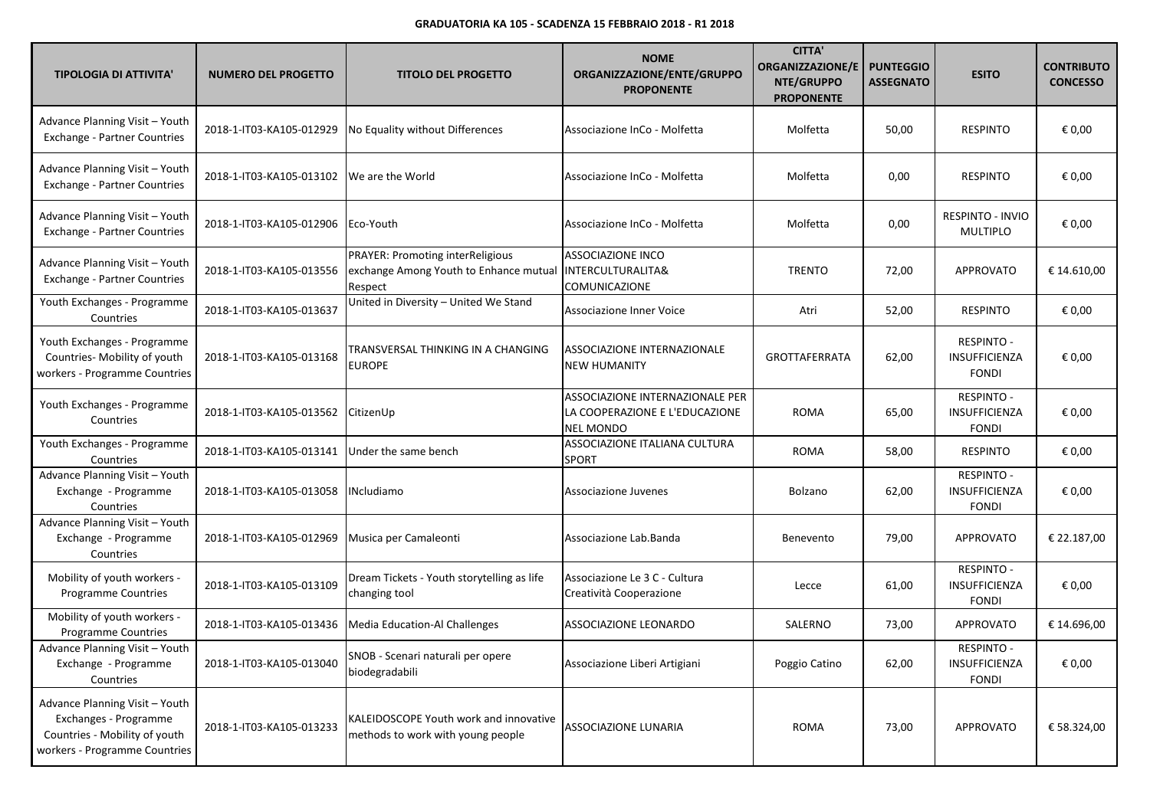| <b>TIPOLOGIA DI ATTIVITA'</b>                                                                                             | <b>NUMERO DEL PROGETTO</b> | <b>TITOLO DEL PROGETTO</b>                                                            | <b>NOME</b><br>ORGANIZZAZIONE/ENTE/GRUPPO<br><b>PROPONENTE</b>                        | <b>CITTA'</b><br>ORGANIZZAZIONE/E<br>NTE/GRUPPO<br><b>PROPONENTE</b> | <b>PUNTEGGIO</b><br><b>ASSEGNATO</b> | <b>ESITO</b>                                       | <b>CONTRIBUTO</b><br><b>CONCESSO</b> |
|---------------------------------------------------------------------------------------------------------------------------|----------------------------|---------------------------------------------------------------------------------------|---------------------------------------------------------------------------------------|----------------------------------------------------------------------|--------------------------------------|----------------------------------------------------|--------------------------------------|
| Advance Planning Visit - Youth<br>Exchange - Partner Countries                                                            | 2018-1-IT03-KA105-012929   | No Equality without Differences                                                       | Associazione InCo - Molfetta                                                          | Molfetta                                                             | 50,00                                | <b>RESPINTO</b>                                    | € 0,00                               |
| Advance Planning Visit - Youth<br>Exchange - Partner Countries                                                            | 2018-1-IT03-KA105-013102   | We are the World                                                                      | Associazione InCo - Molfetta                                                          | Molfetta                                                             | 0,00                                 | <b>RESPINTO</b>                                    | € 0,00                               |
| Advance Planning Visit - Youth<br>Exchange - Partner Countries                                                            | 2018-1-IT03-KA105-012906   | Eco-Youth                                                                             | Associazione InCo - Molfetta                                                          | Molfetta                                                             | 0,00                                 | <b>RESPINTO - INVIO</b><br><b>MULTIPLO</b>         | € 0,00                               |
| Advance Planning Visit - Youth<br><b>Exchange - Partner Countries</b>                                                     | 2018-1-IT03-KA105-013556   | PRAYER: Promoting interReligious<br>exchange Among Youth to Enhance mutual<br>Respect | <b>ASSOCIAZIONE INCO</b><br><b>INTERCULTURALITA&amp;</b><br>COMUNICAZIONE             | <b>TRENTO</b>                                                        | 72,00                                | APPROVATO                                          | € 14.610,00                          |
| Youth Exchanges - Programme<br>Countries                                                                                  | 2018-1-IT03-KA105-013637   | United in Diversity - United We Stand                                                 | Associazione Inner Voice                                                              | Atri                                                                 | 52,00                                | <b>RESPINTO</b>                                    | € 0,00                               |
| Youth Exchanges - Programme<br>Countries- Mobility of youth<br>workers - Programme Countries                              | 2018-1-IT03-KA105-013168   | TRANSVERSAL THINKING IN A CHANGING<br><b>EUROPE</b>                                   | ASSOCIAZIONE INTERNAZIONALE<br><b>NEW HUMANITY</b>                                    | <b>GROTTAFERRATA</b>                                                 | 62,00                                | <b>RESPINTO -</b><br>INSUFFICIENZA<br><b>FONDI</b> | € 0,00                               |
| Youth Exchanges - Programme<br>Countries                                                                                  | 2018-1-IT03-KA105-013562   | CitizenUp                                                                             | ASSOCIAZIONE INTERNAZIONALE PER<br>LA COOPERAZIONE E L'EDUCAZIONE<br><b>NEL MONDO</b> | <b>ROMA</b>                                                          | 65,00                                | <b>RESPINTO -</b><br>INSUFFICIENZA<br><b>FONDI</b> | € 0,00                               |
| Youth Exchanges - Programme<br>Countries                                                                                  | 2018-1-IT03-KA105-013141   | Under the same bench                                                                  | ASSOCIAZIONE ITALIANA CULTURA<br><b>SPORT</b>                                         | <b>ROMA</b>                                                          | 58,00                                | <b>RESPINTO</b>                                    | € 0,00                               |
| Advance Planning Visit - Youth<br>Exchange - Programme<br>Countries                                                       | 2018-1-IT03-KA105-013058   | <b>INcludiamo</b>                                                                     | Associazione Juvenes                                                                  | Bolzano                                                              | 62,00                                | <b>RESPINTO -</b><br>INSUFFICIENZA<br><b>FONDI</b> | € 0,00                               |
| Advance Planning Visit - Youth<br>Exchange - Programme<br>Countries                                                       | 2018-1-IT03-KA105-012969   | Musica per Camaleonti                                                                 | Associazione Lab.Banda                                                                | Benevento                                                            | 79,00                                | <b>APPROVATO</b>                                   | € 22.187,00                          |
| Mobility of youth workers -<br>Programme Countries                                                                        | 2018-1-IT03-KA105-013109   | Dream Tickets - Youth storytelling as life<br>changing tool                           | Associazione Le 3 C - Cultura<br>Creatività Cooperazione                              | Lecce                                                                | 61,00                                | <b>RESPINTO -</b><br>INSUFFICIENZA<br><b>FONDI</b> | € 0,00                               |
| Mobility of youth workers -<br>Programme Countries                                                                        | 2018-1-IT03-KA105-013436   | Media Education-Al Challenges                                                         | ASSOCIAZIONE LEONARDO                                                                 | SALERNO                                                              | 73,00                                | APPROVATO                                          | € 14.696,00                          |
| Advance Planning Visit - Youth<br>Exchange - Programme<br>Countries                                                       | 2018-1-IT03-KA105-013040   | SNOB - Scenari naturali per opere<br>biodegradabili                                   | Associazione Liberi Artigiani                                                         | Poggio Catino                                                        | 62,00                                | <b>RESPINTO -</b><br>INSUFFICIENZA<br><b>FONDI</b> | € 0,00                               |
| Advance Planning Visit - Youth<br>Exchanges - Programme<br>Countries - Mobility of youth<br>workers - Programme Countries | 2018-1-IT03-KA105-013233   | KALEIDOSCOPE Youth work and innovative<br>methods to work with young people           | <b>ASSOCIAZIONE LUNARIA</b>                                                           | ROMA                                                                 | 73,00                                | APPROVATO                                          | € 58.324,00                          |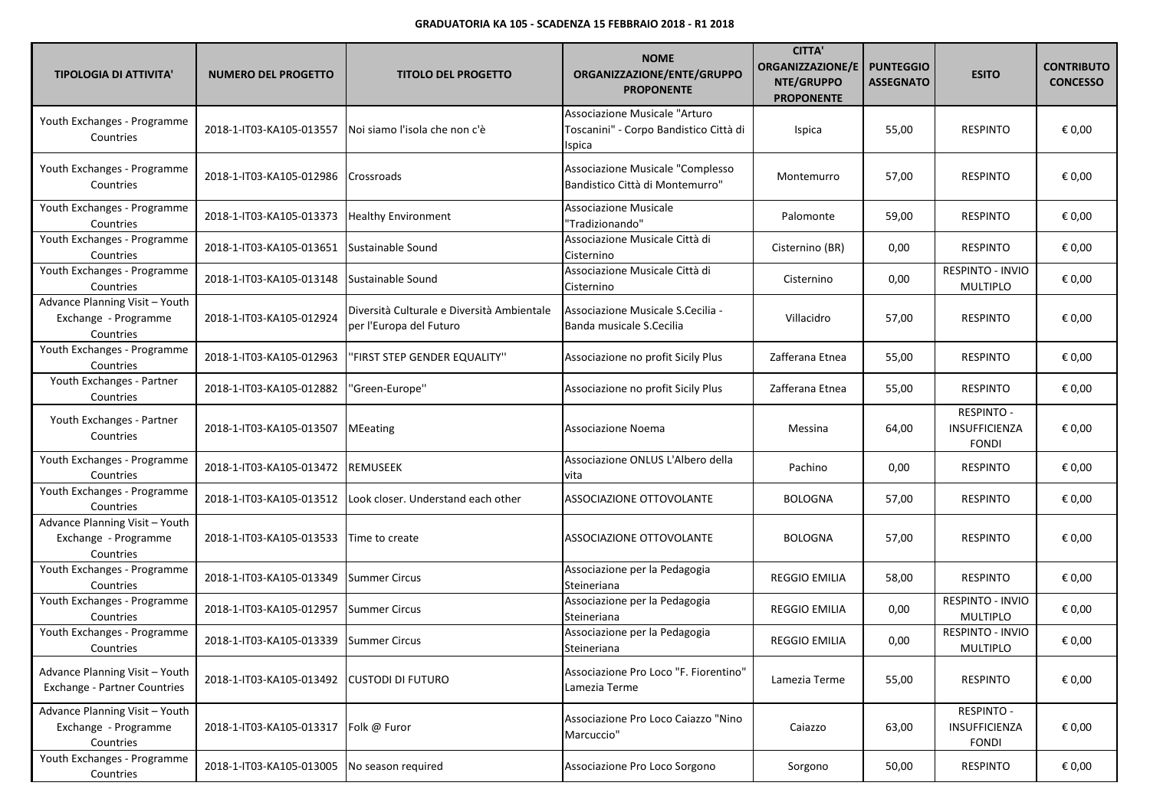| <b>TIPOLOGIA DI ATTIVITA'</b>                                         | <b>NUMERO DEL PROGETTO</b> | <b>TITOLO DEL PROGETTO</b>                                            | <b>NOME</b><br>ORGANIZZAZIONE/ENTE/GRUPPO<br><b>PROPONENTE</b>                    | <b>CITTA'</b><br><b>ORGANIZZAZIONE/E</b><br>NTE/GRUPPO<br><b>PROPONENTE</b> | <b>PUNTEGGIO</b><br><b>ASSEGNATO</b> | <b>ESITO</b>                                | <b>CONTRIBUTO</b><br><b>CONCESSO</b> |
|-----------------------------------------------------------------------|----------------------------|-----------------------------------------------------------------------|-----------------------------------------------------------------------------------|-----------------------------------------------------------------------------|--------------------------------------|---------------------------------------------|--------------------------------------|
| Youth Exchanges - Programme<br>Countries                              | 2018-1-IT03-KA105-013557   | Noi siamo l'isola che non c'è                                         | Associazione Musicale "Arturo<br>Toscanini" - Corpo Bandistico Città di<br>Ispica | Ispica                                                                      | 55,00                                | <b>RESPINTO</b>                             | € 0,00                               |
| Youth Exchanges - Programme<br>Countries                              | 2018-1-IT03-KA105-012986   | Crossroads                                                            | Associazione Musicale "Complesso<br>Bandistico Città di Montemurro"               | Montemurro                                                                  | 57,00                                | <b>RESPINTO</b>                             | € 0,00                               |
| Youth Exchanges - Programme<br>Countries                              | 2018-1-IT03-KA105-013373   | <b>Healthy Environment</b>                                            | <b>Associazione Musicale</b><br>"Tradizionando"                                   | Palomonte                                                                   | 59,00                                | <b>RESPINTO</b>                             | € 0,00                               |
| Youth Exchanges - Programme<br>Countries                              | 2018-1-IT03-KA105-013651   | Sustainable Sound                                                     | Associazione Musicale Città di<br>Cisternino                                      | Cisternino (BR)                                                             | 0,00                                 | <b>RESPINTO</b>                             | € 0,00                               |
| Youth Exchanges - Programme<br>Countries                              | 2018-1-IT03-KA105-013148   | Sustainable Sound                                                     | Associazione Musicale Città di<br>Cisternino                                      | Cisternino                                                                  | 0,00                                 | RESPINTO - INVIO<br><b>MULTIPLO</b>         | € 0,00                               |
| Advance Planning Visit - Youth<br>Exchange - Programme<br>Countries   | 2018-1-IT03-KA105-012924   | Diversità Culturale e Diversità Ambientale<br>per l'Europa del Futuro | Associazione Musicale S.Cecilia -<br>Banda musicale S.Cecilia                     | Villacidro                                                                  | 57,00                                | <b>RESPINTO</b>                             | € 0,00                               |
| Youth Exchanges - Programme<br>Countries                              | 2018-1-IT03-KA105-012963   | 'FIRST STEP GENDER EQUALITY"                                          | Associazione no profit Sicily Plus                                                | Zafferana Etnea                                                             | 55,00                                | <b>RESPINTO</b>                             | € 0,00                               |
| Youth Exchanges - Partner<br>Countries                                | 2018-1-IT03-KA105-012882   | 'Green-Europe"                                                        | Associazione no profit Sicily Plus                                                | Zafferana Etnea                                                             | 55,00                                | <b>RESPINTO</b>                             | € 0,00                               |
| Youth Exchanges - Partner<br>Countries                                | 2018-1-IT03-KA105-013507   | <b>MEeating</b>                                                       | Associazione Noema                                                                | Messina                                                                     | 64,00                                | RESPINTO -<br>INSUFFICIENZA<br><b>FONDI</b> | € 0,00                               |
| Youth Exchanges - Programme<br>Countries                              | 2018-1-IT03-KA105-013472   | <b>REMUSEEK</b>                                                       | Associazione ONLUS L'Albero della<br>vita                                         | Pachino                                                                     | 0,00                                 | <b>RESPINTO</b>                             | € 0,00                               |
| Youth Exchanges - Programme<br>Countries                              | 2018-1-IT03-KA105-013512   | Look closer. Understand each other                                    | ASSOCIAZIONE OTTOVOLANTE                                                          | <b>BOLOGNA</b>                                                              | 57,00                                | <b>RESPINTO</b>                             | € 0,00                               |
| Advance Planning Visit - Youth<br>Exchange - Programme<br>Countries   | 2018-1-IT03-KA105-013533   | Time to create                                                        | ASSOCIAZIONE OTTOVOLANTE                                                          | <b>BOLOGNA</b>                                                              | 57,00                                | <b>RESPINTO</b>                             | € 0,00                               |
| Youth Exchanges - Programme<br>Countries                              | 2018-1-IT03-KA105-013349   | Summer Circus                                                         | Associazione per la Pedagogia<br>Steineriana                                      | <b>REGGIO EMILIA</b>                                                        | 58,00                                | <b>RESPINTO</b>                             | € 0,00                               |
| Youth Exchanges - Programme<br>Countries                              | 2018-1-IT03-KA105-012957   | <b>Summer Circus</b>                                                  | Associazione per la Pedagogia<br>Steineriana                                      | REGGIO EMILIA                                                               | 0,00                                 | RESPINTO - INVIO<br><b>MULTIPLO</b>         | € 0,00                               |
| Youth Exchanges - Programme<br>Countries                              | 2018-1-IT03-KA105-013339   | <b>Summer Circus</b>                                                  | Associazione per la Pedagogia<br>Steineriana                                      | REGGIO EMILIA                                                               | 0,00                                 | <b>RESPINTO - INVIO</b><br><b>MULTIPLO</b>  | € 0,00                               |
| Advance Planning Visit - Youth<br><b>Exchange - Partner Countries</b> | 2018-1-IT03-KA105-013492   | <b>CUSTODI DI FUTURO</b>                                              | Associazione Pro Loco "F. Fiorentino"<br>Lamezia Terme                            | Lamezia Terme                                                               | 55,00                                | <b>RESPINTO</b>                             | € 0,00                               |
| Advance Planning Visit - Youth<br>Exchange - Programme<br>Countries   | 2018-1-IT03-KA105-013317   | Folk @ Furor                                                          | Associazione Pro Loco Caiazzo "Nino<br>Marcuccio"                                 | Caiazzo                                                                     | 63,00                                | RESPINTO -<br>INSUFFICIENZA<br><b>FONDI</b> | € 0,00                               |
| Youth Exchanges - Programme<br>Countries                              | 2018-1-IT03-KA105-013005   | No season required                                                    | Associazione Pro Loco Sorgono                                                     | Sorgono                                                                     | 50,00                                | <b>RESPINTO</b>                             | € 0,00                               |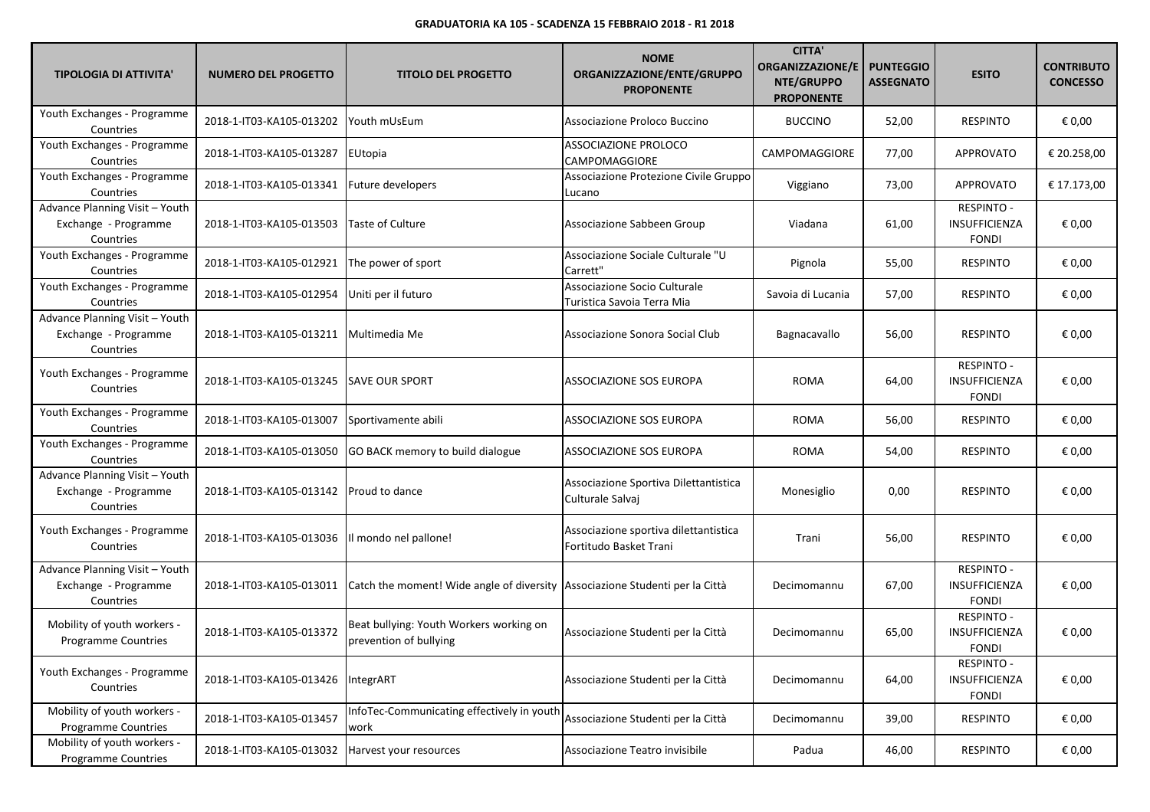| <b>TIPOLOGIA DI ATTIVITA'</b>                                       | <b>NUMERO DEL PROGETTO</b> | <b>TITOLO DEL PROGETTO</b>                                                   | <b>NOME</b><br>ORGANIZZAZIONE/ENTE/GRUPPO<br><b>PROPONENTE</b>  | <b>CITTA</b><br><b>ORGANIZZAZIONE/E</b><br>NTE/GRUPPO<br><b>PROPONENTE</b> | <b>PUNTEGGIO</b><br><b>ASSEGNATO</b> | <b>ESITO</b>                                              | <b>CONTRIBUTO</b><br><b>CONCESSO</b> |
|---------------------------------------------------------------------|----------------------------|------------------------------------------------------------------------------|-----------------------------------------------------------------|----------------------------------------------------------------------------|--------------------------------------|-----------------------------------------------------------|--------------------------------------|
| Youth Exchanges - Programme<br>Countries                            | 2018-1-IT03-KA105-013202   | Youth mUsEum                                                                 | Associazione Proloco Buccino                                    | <b>BUCCINO</b>                                                             | 52,00                                | <b>RESPINTO</b>                                           | € 0,00                               |
| Youth Exchanges - Programme<br>Countries                            | 2018-1-IT03-KA105-013287   | EUtopia                                                                      | <b>ASSOCIAZIONE PROLOCO</b><br>CAMPOMAGGIORE                    | CAMPOMAGGIORE                                                              | 77,00                                | APPROVATO                                                 | € 20.258,00                          |
| Youth Exchanges - Programme<br>Countries                            | 2018-1-IT03-KA105-013341   | Future developers                                                            | Associazione Protezione Civile Gruppo<br>Lucano                 | Viggiano                                                                   | 73,00                                | <b>APPROVATO</b>                                          | € 17.173,00                          |
| Advance Planning Visit - Youth<br>Exchange - Programme<br>Countries | 2018-1-IT03-KA105-013503   | <b>Taste of Culture</b>                                                      | Associazione Sabbeen Group                                      | Viadana                                                                    | 61,00                                | <b>RESPINTO -</b><br>INSUFFICIENZA<br><b>FONDI</b>        | € 0,00                               |
| Youth Exchanges - Programme<br>Countries                            | 2018-1-IT03-KA105-012921   | The power of sport                                                           | Associazione Sociale Culturale "U<br>Carrett"                   | Pignola                                                                    | 55,00                                | <b>RESPINTO</b>                                           | € 0,00                               |
| Youth Exchanges - Programme<br>Countries                            | 2018-1-IT03-KA105-012954   | Uniti per il futuro                                                          | Associazione Socio Culturale<br>Turistica Savoia Terra Mia      | Savoia di Lucania                                                          | 57,00                                | <b>RESPINTO</b>                                           | € 0,00                               |
| Advance Planning Visit - Youth<br>Exchange - Programme<br>Countries | 2018-1-IT03-KA105-013211   | Multimedia Me                                                                | Associazione Sonora Social Club                                 | Bagnacavallo                                                               | 56,00                                | <b>RESPINTO</b>                                           | € 0,00                               |
| Youth Exchanges - Programme<br>Countries                            | 2018-1-IT03-KA105-013245   | <b>SAVE OUR SPORT</b>                                                        | ASSOCIAZIONE SOS EUROPA                                         | <b>ROMA</b>                                                                | 64,00                                | <b>RESPINTO -</b><br><b>INSUFFICIENZA</b><br><b>FONDI</b> | € 0,00                               |
| Youth Exchanges - Programme<br>Countries                            | 2018-1-IT03-KA105-013007   | Sportivamente abili                                                          | ASSOCIAZIONE SOS EUROPA                                         | <b>ROMA</b>                                                                | 56,00                                | <b>RESPINTO</b>                                           | € 0,00                               |
| Youth Exchanges - Programme<br>Countries                            | 2018-1-IT03-KA105-013050   | GO BACK memory to build dialogue                                             | <b>ASSOCIAZIONE SOS EUROPA</b>                                  | <b>ROMA</b>                                                                | 54,00                                | <b>RESPINTO</b>                                           | € 0,00                               |
| Advance Planning Visit - Youth<br>Exchange - Programme<br>Countries | 2018-1-IT03-KA105-013142   | <b>Proud to dance</b>                                                        | Associazione Sportiva Dilettantistica<br>Culturale Salvaj       | Monesiglio                                                                 | 0,00                                 | <b>RESPINTO</b>                                           | € 0,00                               |
| Youth Exchanges - Programme<br>Countries                            | 2018-1-IT03-KA105-013036   | Il mondo nel pallone!                                                        | Associazione sportiva dilettantistica<br>Fortitudo Basket Trani | Trani                                                                      | 56,00                                | <b>RESPINTO</b>                                           | € 0,00                               |
| Advance Planning Visit - Youth<br>Exchange - Programme<br>Countries | 2018-1-IT03-KA105-013011   | Catch the moment! Wide angle of diversity Associazione Studenti per la Città |                                                                 | Decimomannu                                                                | 67,00                                | <b>RESPINTO -</b><br>INSUFFICIENZA<br><b>FONDI</b>        | € 0,00                               |
| Mobility of youth workers -<br><b>Programme Countries</b>           | 2018-1-IT03-KA105-013372   | Beat bullying: Youth Workers working on<br>prevention of bullying            | Associazione Studenti per la Città                              | Decimomannu                                                                | 65,00                                | <b>RESPINTO -</b><br><b>INSUFFICIENZA</b><br><b>FONDI</b> | € 0,00                               |
| Youth Exchanges - Programme<br>Countries                            | 2018-1-IT03-KA105-013426   | IntegrART                                                                    | Associazione Studenti per la Città                              | Decimomannu                                                                | 64,00                                | <b>RESPINTO -</b><br>INSUFFICIENZA<br><b>FONDI</b>        | € 0,00                               |
| Mobility of youth workers -<br><b>Programme Countries</b>           | 2018-1-IT03-KA105-013457   | InfoTec-Communicating effectively in youth<br>work                           | Associazione Studenti per la Città                              | Decimomannu                                                                | 39,00                                | <b>RESPINTO</b>                                           | € 0,00                               |
| Mobility of youth workers -<br>Programme Countries                  | 2018-1-IT03-KA105-013032   | Harvest your resources                                                       | Associazione Teatro invisibile                                  | Padua                                                                      | 46,00                                | <b>RESPINTO</b>                                           | € 0,00                               |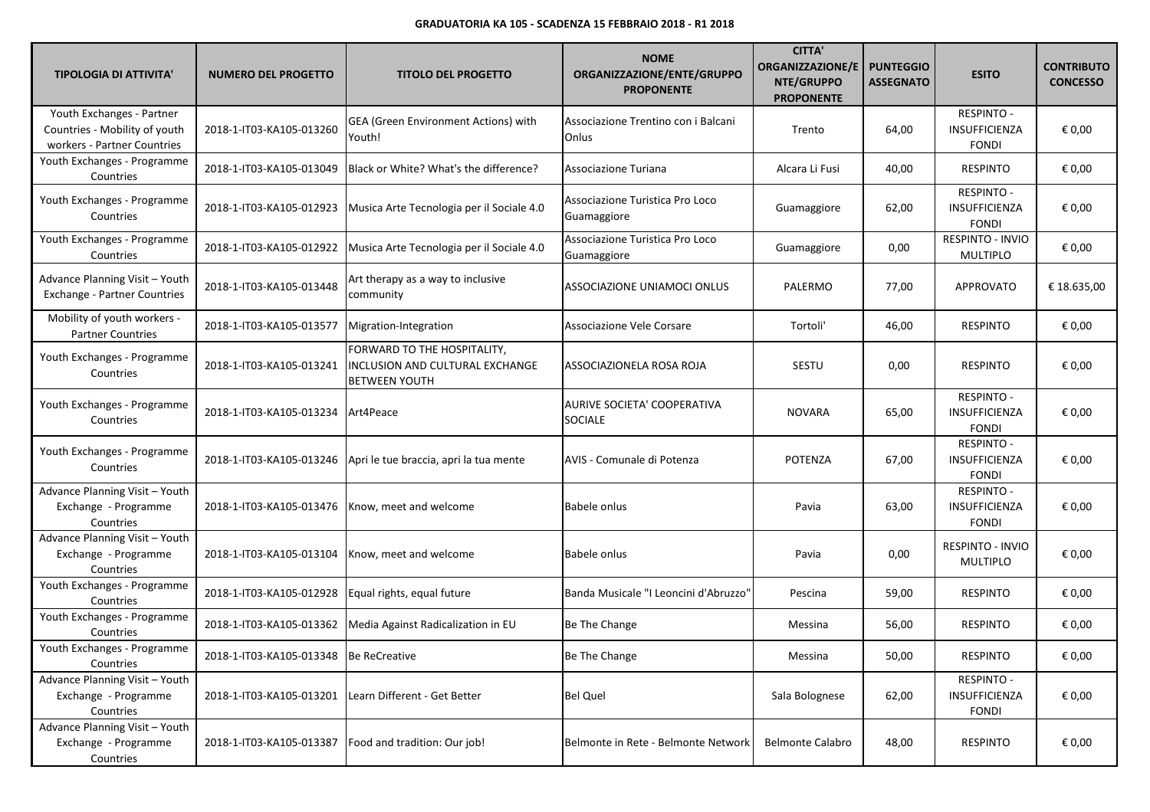| <b>TIPOLOGIA DI ATTIVITA'</b>                                                             | <b>NUMERO DEL PROGETTO</b>             | <b>TITOLO DEL PROGETTO</b>                                                             | <b>NOME</b><br>ORGANIZZAZIONE/ENTE/GRUPPO<br><b>PROPONENTE</b> | <b>CITTA'</b><br>ORGANIZZAZIONE/E<br>NTE/GRUPPO<br><b>PROPONENTE</b> | <b>PUNTEGGIO</b><br><b>ASSEGNATO</b> | <b>ESITO</b>                                              | <b>CONTRIBUTO</b><br><b>CONCESSO</b> |
|-------------------------------------------------------------------------------------------|----------------------------------------|----------------------------------------------------------------------------------------|----------------------------------------------------------------|----------------------------------------------------------------------|--------------------------------------|-----------------------------------------------------------|--------------------------------------|
| Youth Exchanges - Partner<br>Countries - Mobility of youth<br>workers - Partner Countries | 2018-1-IT03-KA105-013260               | GEA (Green Environment Actions) with<br>Youth!                                         | Associazione Trentino con i Balcani<br>Onlus                   | Trento                                                               | 64,00                                | <b>RESPINTO -</b><br>INSUFFICIENZA<br><b>FONDI</b>        | € 0,00                               |
| Youth Exchanges - Programme<br>Countries                                                  | 2018-1-IT03-KA105-013049               | Black or White? What's the difference?                                                 | Associazione Turiana                                           | Alcara Li Fusi                                                       | 40,00                                | <b>RESPINTO</b>                                           | € 0,00                               |
| Youth Exchanges - Programme<br>Countries                                                  | 2018-1-IT03-KA105-012923               | Musica Arte Tecnologia per il Sociale 4.0                                              | Associazione Turistica Pro Loco<br>Guamaggiore                 | Guamaggiore                                                          | 62,00                                | <b>RESPINTO -</b><br>INSUFFICIENZA<br><b>FONDI</b>        | € 0,00                               |
| Youth Exchanges - Programme<br>Countries                                                  | 2018-1-IT03-KA105-012922               | Musica Arte Tecnologia per il Sociale 4.0                                              | Associazione Turistica Pro Loco<br>Guamaggiore                 | Guamaggiore                                                          | 0,00                                 | RESPINTO - INVIO<br><b>MULTIPLO</b>                       | € 0,00                               |
| Advance Planning Visit - Youth<br><b>Exchange - Partner Countries</b>                     | 2018-1-IT03-KA105-013448               | Art therapy as a way to inclusive<br>community                                         | ASSOCIAZIONE UNIAMOCI ONLUS                                    | PALERMO                                                              | 77,00                                | APPROVATO                                                 | € 18.635,00                          |
| Mobility of youth workers -<br><b>Partner Countries</b>                                   | 2018-1-IT03-KA105-013577               | Migration-Integration                                                                  | Associazione Vele Corsare                                      | Tortoli'                                                             | 46,00                                | <b>RESPINTO</b>                                           | € 0,00                               |
| Youth Exchanges - Programme<br>Countries                                                  | 2018-1-IT03-KA105-013241               | FORWARD TO THE HOSPITALITY,<br>INCLUSION AND CULTURAL EXCHANGE<br><b>BETWEEN YOUTH</b> | ASSOCIAZIONELA ROSA ROJA                                       | <b>SESTU</b>                                                         | 0,00                                 | <b>RESPINTO</b>                                           | € 0,00                               |
| Youth Exchanges - Programme<br>Countries                                                  | 2018-1-IT03-KA105-013234               | Art4Peace                                                                              | AURIVE SOCIETA' COOPERATIVA<br><b>SOCIALE</b>                  | <b>NOVARA</b>                                                        | 65,00                                | <b>RESPINTO -</b><br><b>INSUFFICIENZA</b><br><b>FONDI</b> | € 0,00                               |
| Youth Exchanges - Programme<br>Countries                                                  | 2018-1-IT03-KA105-013246               | Apri le tue braccia, apri la tua mente                                                 | AVIS - Comunale di Potenza                                     | <b>POTENZA</b>                                                       | 67,00                                | <b>RESPINTO -</b><br>INSUFFICIENZA<br><b>FONDI</b>        | € 0,00                               |
| Advance Planning Visit - Youth<br>Exchange - Programme<br>Countries                       | 2018-1-IT03-KA105-013476               | Know, meet and welcome                                                                 | Babele onlus                                                   | Pavia                                                                | 63,00                                | <b>RESPINTO -</b><br>INSUFFICIENZA<br><b>FONDI</b>        | € 0,00                               |
| Advance Planning Visit - Youth<br>Exchange - Programme<br>Countries                       | 2018-1-IT03-KA105-013104               | Know, meet and welcome                                                                 | Babele onlus                                                   | Pavia                                                                | 0,00                                 | RESPINTO - INVIO<br>MULTIPLO                              | € 0,00                               |
| Youth Exchanges - Programme<br>Countries                                                  | 2018-1-IT03-KA105-012928               | Equal rights, equal future                                                             | Banda Musicale "I Leoncini d'Abruzzo"                          | Pescina                                                              | 59,00                                | <b>RESPINTO</b>                                           | € 0,00                               |
| Youth Exchanges - Programme<br>Countries                                                  | 2018-1-IT03-KA105-013362               | Media Against Radicalization in EU                                                     | Be The Change                                                  | Messina                                                              | 56,00                                | <b>RESPINTO</b>                                           | € 0,00                               |
| Youth Exchanges - Programme<br>Countries                                                  | 2018-1-IT03-KA105-013348 Be ReCreative |                                                                                        | Be The Change                                                  | Messina                                                              | 50,00                                | <b>RESPINTO</b>                                           | $\epsilon$ 0,00                      |
| Advance Planning Visit - Youth<br>Exchange - Programme<br>Countries                       | 2018-1-IT03-KA105-013201               | Learn Different - Get Better                                                           | <b>Bel Quel</b>                                                | Sala Bolognese                                                       | 62,00                                | <b>RESPINTO -</b><br>INSUFFICIENZA<br><b>FONDI</b>        | € 0,00                               |
| Advance Planning Visit - Youth<br>Exchange - Programme<br>Countries                       | 2018-1-IT03-KA105-013387               | Food and tradition: Our job!                                                           | Belmonte in Rete - Belmonte Network                            | <b>Belmonte Calabro</b>                                              | 48,00                                | <b>RESPINTO</b>                                           | € 0,00                               |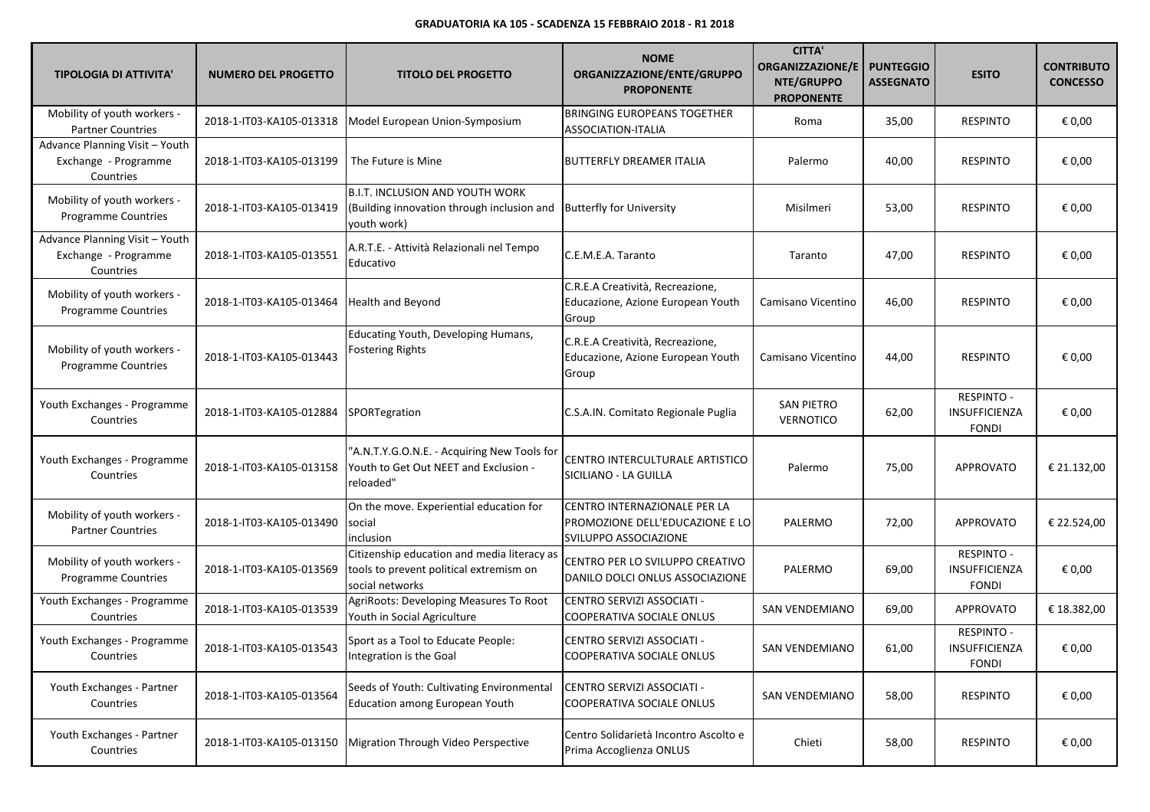| <b>TIPOLOGIA DI ATTIVITA'</b>                                       | <b>NUMERO DEL PROGETTO</b> | <b>TITOLO DEL PROGETTO</b>                                                                                | <b>NOME</b><br>ORGANIZZAZIONE/ENTE/GRUPPO<br><b>PROPONENTE</b>                                  | <b>CITTA'</b><br>ORGANIZZAZIONE/E<br>NTE/GRUPPO<br><b>PROPONENTE</b> | <b>PUNTEGGIO</b><br><b>ASSEGNATO</b> | <b>ESITO</b>                                              | <b>CONTRIBUTO</b><br><b>CONCESSO</b> |
|---------------------------------------------------------------------|----------------------------|-----------------------------------------------------------------------------------------------------------|-------------------------------------------------------------------------------------------------|----------------------------------------------------------------------|--------------------------------------|-----------------------------------------------------------|--------------------------------------|
| Mobility of youth workers -<br><b>Partner Countries</b>             | 2018-1-IT03-KA105-013318   | Model European Union-Symposium                                                                            | <b>BRINGING EUROPEANS TOGETHER</b><br><b>ASSOCIATION-ITALIA</b>                                 | Roma                                                                 | 35,00                                | <b>RESPINTO</b>                                           | € 0,00                               |
| Advance Planning Visit - Youth<br>Exchange - Programme<br>Countries | 2018-1-IT03-KA105-013199   | The Future is Mine                                                                                        | <b>BUTTERFLY DREAMER ITALIA</b>                                                                 | Palermo                                                              | 40,00                                | <b>RESPINTO</b>                                           | € 0,00                               |
| Mobility of youth workers -<br><b>Programme Countries</b>           | 2018-1-IT03-KA105-013419   | <b>B.I.T. INCLUSION AND YOUTH WORK</b><br>(Building innovation through inclusion and<br>youth work)       | <b>Butterfly for University</b>                                                                 | Misilmeri                                                            | 53,00                                | <b>RESPINTO</b>                                           | € 0,00                               |
| Advance Planning Visit - Youth<br>Exchange - Programme<br>Countries | 2018-1-IT03-KA105-013551   | A.R.T.E. - Attività Relazionali nel Tempo<br>Educativo                                                    | C.E.M.E.A. Taranto                                                                              | Taranto                                                              | 47,00                                | <b>RESPINTO</b>                                           | € 0,00                               |
| Mobility of youth workers -<br>Programme Countries                  | 2018-1-IT03-KA105-013464   | <b>Health and Beyond</b>                                                                                  | C.R.E.A Creatività, Recreazione,<br>Educazione, Azione European Youth<br>Group                  | Camisano Vicentino                                                   | 46,00                                | <b>RESPINTO</b>                                           | € 0,00                               |
| Mobility of youth workers -<br><b>Programme Countries</b>           | 2018-1-IT03-KA105-013443   | Educating Youth, Developing Humans,<br><b>Fostering Rights</b>                                            | C.R.E.A Creatività, Recreazione,<br>Educazione, Azione European Youth<br>Group                  | Camisano Vicentino                                                   | 44,00                                | <b>RESPINTO</b>                                           | € 0,00                               |
| Youth Exchanges - Programme<br>Countries                            | 2018-1-IT03-KA105-012884   | SPORTegration                                                                                             | C.S.A.IN. Comitato Regionale Puglia                                                             | <b>SAN PIETRO</b><br>VERNOTICO                                       | 62,00                                | RESPINTO -<br><b>INSUFFICIENZA</b><br><b>FONDI</b>        | € 0,00                               |
| Youth Exchanges - Programme<br>Countries                            | 2018-1-IT03-KA105-013158   | "A.N.T.Y.G.O.N.E. - Acquiring New Tools for<br>Youth to Get Out NEET and Exclusion -<br>reloaded"         | CENTRO INTERCULTURALE ARTISTICO<br>SICILIANO - LA GUILLA                                        | Palermo                                                              | 75,00                                | APPROVATO                                                 | € 21.132,00                          |
| Mobility of youth workers -<br><b>Partner Countries</b>             | 2018-1-IT03-KA105-013490   | On the move. Experiential education for<br>social<br>inclusion                                            | CENTRO INTERNAZIONALE PER LA<br>PROMOZIONE DELL'EDUCAZIONE E LO<br><b>SVILUPPO ASSOCIAZIONE</b> | PALERMO                                                              | 72,00                                | APPROVATO                                                 | € 22.524,00                          |
| Mobility of youth workers -<br><b>Programme Countries</b>           | 2018-1-IT03-KA105-013569   | Citizenship education and media literacy as<br>tools to prevent political extremism on<br>social networks | CENTRO PER LO SVILUPPO CREATIVO<br>DANILO DOLCI ONLUS ASSOCIAZIONE                              | PALERMO                                                              | 69,00                                | RESPINTO -<br>INSUFFICIENZA<br><b>FONDI</b>               | € 0,00                               |
| Youth Exchanges - Programme<br>Countries                            | 2018-1-IT03-KA105-013539   | AgriRoots: Developing Measures To Root<br>Youth in Social Agriculture                                     | CENTRO SERVIZI ASSOCIATI -<br>COOPERATIVA SOCIALE ONLUS                                         | SAN VENDEMIANO                                                       | 69,00                                | <b>APPROVATO</b>                                          | € 18.382,00                          |
| Youth Exchanges - Programme<br>Countries                            | 2018-1-IT03-KA105-013543   | Sport as a Tool to Educate People:<br>Integration is the Goal                                             | CENTRO SERVIZI ASSOCIATI -<br>COOPERATIVA SOCIALE ONLUS                                         | <b>SAN VENDEMIANO</b>                                                | 61,00                                | <b>RESPINTO -</b><br><b>INSUFFICIENZA</b><br><b>FONDI</b> | € 0,00                               |
| Youth Exchanges - Partner<br>Countries                              | 2018-1-IT03-KA105-013564   | Seeds of Youth: Cultivating Environmental<br>Education among European Youth                               | CENTRO SERVIZI ASSOCIATI -<br>COOPERATIVA SOCIALE ONLUS                                         | <b>SAN VENDEMIANO</b>                                                | 58,00                                | <b>RESPINTO</b>                                           | € 0,00                               |
| Youth Exchanges - Partner<br>Countries                              | 2018-1-IT03-KA105-013150   | Migration Through Video Perspective                                                                       | Centro Solidarietà Incontro Ascolto e<br>Prima Accoglienza ONLUS                                | Chieti                                                               | 58,00                                | <b>RESPINTO</b>                                           | € 0,00                               |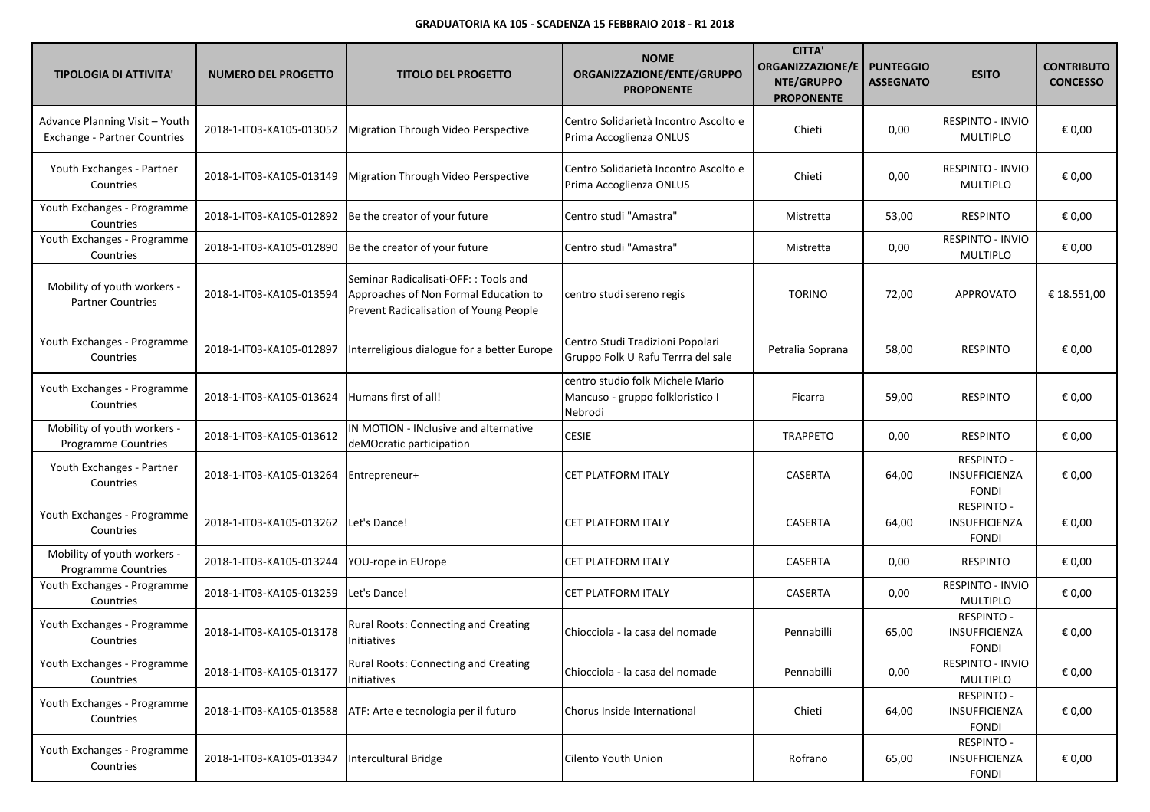| <b>TIPOLOGIA DI ATTIVITA'</b>                                         | <b>NUMERO DEL PROGETTO</b> | <b>TITOLO DEL PROGETTO</b>                                                                                              | <b>NOME</b><br>ORGANIZZAZIONE/ENTE/GRUPPO<br><b>PROPONENTE</b>                  | <b>CITTA</b><br><b>ORGANIZZAZIONE/E</b><br>NTE/GRUPPO<br><b>PROPONENTE</b> | <b>PUNTEGGIO</b><br><b>ASSEGNATO</b> | <b>ESITO</b>                                              | <b>CONTRIBUTO</b><br><b>CONCESSO</b> |
|-----------------------------------------------------------------------|----------------------------|-------------------------------------------------------------------------------------------------------------------------|---------------------------------------------------------------------------------|----------------------------------------------------------------------------|--------------------------------------|-----------------------------------------------------------|--------------------------------------|
| Advance Planning Visit - Youth<br><b>Exchange - Partner Countries</b> | 2018-1-IT03-KA105-013052   | Migration Through Video Perspective                                                                                     | Centro Solidarietà Incontro Ascolto e<br>Prima Accoglienza ONLUS                | Chieti                                                                     | 0,00                                 | RESPINTO - INVIO<br><b>MULTIPLO</b>                       | € 0,00                               |
| Youth Exchanges - Partner<br>Countries                                | 2018-1-IT03-KA105-013149   | Migration Through Video Perspective                                                                                     | Centro Solidarietà Incontro Ascolto e<br>Prima Accoglienza ONLUS                | Chieti                                                                     | 0,00                                 | RESPINTO - INVIO<br><b>MULTIPLO</b>                       | € 0,00                               |
| Youth Exchanges - Programme<br>Countries                              | 2018-1-IT03-KA105-012892   | Be the creator of your future                                                                                           | Centro studi "Amastra"                                                          | Mistretta                                                                  | 53,00                                | <b>RESPINTO</b>                                           | € 0,00                               |
| Youth Exchanges - Programme<br>Countries                              | 2018-1-IT03-KA105-012890   | Be the creator of your future                                                                                           | Centro studi "Amastra"                                                          | Mistretta                                                                  | 0,00                                 | RESPINTO - INVIO<br><b>MULTIPLO</b>                       | € 0,00                               |
| Mobility of youth workers -<br><b>Partner Countries</b>               | 2018-1-IT03-KA105-013594   | Seminar Radicalisati-OFF:: Tools and<br>Approaches of Non Formal Education to<br>Prevent Radicalisation of Young People | centro studi sereno regis                                                       | <b>TORINO</b>                                                              | 72,00                                | APPROVATO                                                 | € 18.551,00                          |
| Youth Exchanges - Programme<br>Countries                              | 2018-1-IT03-KA105-012897   | Interreligious dialogue for a better Europe                                                                             | Centro Studi Tradizioni Popolari<br>Gruppo Folk U Rafu Terrra del sale          | Petralia Soprana                                                           | 58,00                                | <b>RESPINTO</b>                                           | € 0,00                               |
| Youth Exchanges - Programme<br>Countries                              | 2018-1-IT03-KA105-013624   | Humans first of all!                                                                                                    | centro studio folk Michele Mario<br>Mancuso - gruppo folkloristico I<br>Nebrodi | Ficarra                                                                    | 59,00                                | <b>RESPINTO</b>                                           | € 0,00                               |
| Mobility of youth workers -<br><b>Programme Countries</b>             | 2018-1-IT03-KA105-013612   | IN MOTION - INclusive and alternative<br>deMOcratic participation                                                       | <b>CESIE</b>                                                                    | <b>TRAPPETO</b>                                                            | 0,00                                 | <b>RESPINTO</b>                                           | € 0,00                               |
| Youth Exchanges - Partner<br>Countries                                | 2018-1-IT03-KA105-013264   | Entrepreneur+                                                                                                           | <b>CET PLATFORM ITALY</b>                                                       | CASERTA                                                                    | 64,00                                | <b>RESPINTO -</b><br>INSUFFICIENZA<br><b>FONDI</b>        | € 0,00                               |
| Youth Exchanges - Programme<br>Countries                              | 2018-1-IT03-KA105-013262   | Let's Dance!                                                                                                            | <b>CET PLATFORM ITALY</b>                                                       | <b>CASERTA</b>                                                             | 64,00                                | <b>RESPINTO -</b><br>INSUFFICIENZA<br><b>FONDI</b>        | € 0,00                               |
| Mobility of youth workers -<br>Programme Countries                    | 2018-1-IT03-KA105-013244   | YOU-rope in EUrope                                                                                                      | <b>CET PLATFORM ITALY</b>                                                       | CASERTA                                                                    | 0,00                                 | <b>RESPINTO</b>                                           | € 0,00                               |
| Youth Exchanges - Programme<br>Countries                              | 2018-1-IT03-KA105-013259   | Let's Dance!                                                                                                            | <b>CET PLATFORM ITALY</b>                                                       | CASERTA                                                                    | 0,00                                 | RESPINTO - INVIO<br><b>MULTIPLO</b>                       | € 0,00                               |
| Youth Exchanges - Programme<br>Countries                              | 2018-1-IT03-KA105-013178   | Rural Roots: Connecting and Creating<br>Initiatives                                                                     | Chiocciola - la casa del nomade                                                 | Pennabilli                                                                 | 65,00                                | <b>RESPINTO -</b><br><b>INSUFFICIENZA</b><br><b>FONDI</b> | € 0,00                               |
| Youth Exchanges - Programme<br>Countries                              | 2018-1-IT03-KA105-013177   | <b>Rural Roots: Connecting and Creating</b><br>Initiatives                                                              | Chiocciola - la casa del nomade                                                 | Pennabilli                                                                 | 0,00                                 | RESPINTO - INVIO<br>MULTIPLO                              | € 0,00                               |
| Youth Exchanges - Programme<br>Countries                              | 2018-1-IT03-KA105-013588   | ATF: Arte e tecnologia per il futuro                                                                                    | Chorus Inside International                                                     | Chieti                                                                     | 64,00                                | RESPINTO -<br>INSUFFICIENZA<br><b>FONDI</b>               | € 0,00                               |
| Youth Exchanges - Programme<br>Countries                              | 2018-1-IT03-KA105-013347   | Intercultural Bridge                                                                                                    | Cilento Youth Union                                                             | Rofrano                                                                    | 65,00                                | <b>RESPINTO -</b><br>INSUFFICIENZA<br><b>FONDI</b>        | € 0,00                               |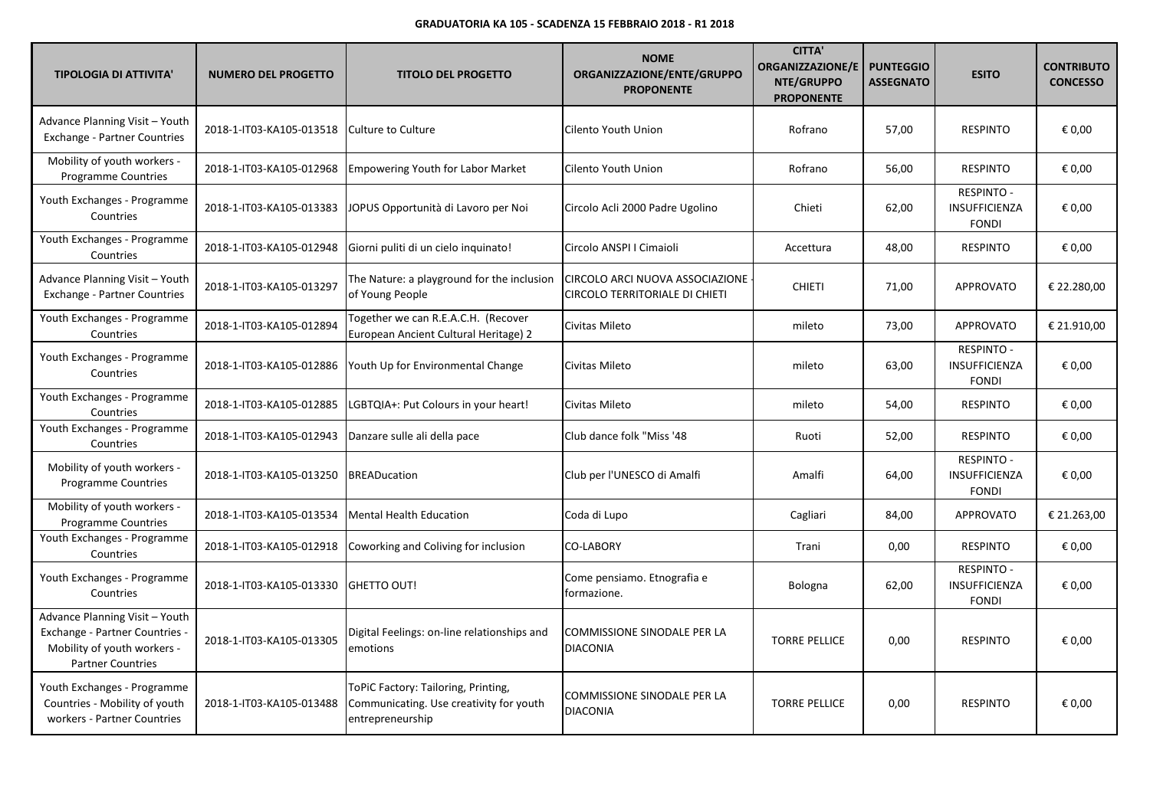| <b>TIPOLOGIA DI ATTIVITA'</b>                                                                                               | <b>NUMERO DEL PROGETTO</b> | <b>TITOLO DEL PROGETTO</b>                                                                         | <b>NOME</b><br>ORGANIZZAZIONE/ENTE/GRUPPO<br><b>PROPONENTE</b>    | <b>CITTA'</b><br><b>ORGANIZZAZIONE/E</b><br>NTE/GRUPPO<br><b>PROPONENTE</b> | <b>PUNTEGGIO</b><br><b>ASSEGNATO</b> | <b>ESITO</b>                                              | <b>CONTRIBUTO</b><br><b>CONCESSO</b> |
|-----------------------------------------------------------------------------------------------------------------------------|----------------------------|----------------------------------------------------------------------------------------------------|-------------------------------------------------------------------|-----------------------------------------------------------------------------|--------------------------------------|-----------------------------------------------------------|--------------------------------------|
| Advance Planning Visit - Youth<br><b>Exchange - Partner Countries</b>                                                       | 2018-1-IT03-KA105-013518   | Culture to Culture                                                                                 | Cilento Youth Union                                               | Rofrano                                                                     | 57,00                                | <b>RESPINTO</b>                                           | € 0,00                               |
| Mobility of youth workers -<br><b>Programme Countries</b>                                                                   | 2018-1-IT03-KA105-012968   | <b>Empowering Youth for Labor Market</b>                                                           | Cilento Youth Union                                               | Rofrano                                                                     | 56,00                                | <b>RESPINTO</b>                                           | € 0,00                               |
| Youth Exchanges - Programme<br>Countries                                                                                    | 2018-1-IT03-KA105-013383   | JOPUS Opportunità di Lavoro per Noi                                                                | Circolo Acli 2000 Padre Ugolino                                   | Chieti                                                                      | 62,00                                | <b>RESPINTO -</b><br>INSUFFICIENZA<br><b>FONDI</b>        | € 0,00                               |
| Youth Exchanges - Programme<br>Countries                                                                                    | 2018-1-IT03-KA105-012948   | Giorni puliti di un cielo inquinato!                                                               | Circolo ANSPI I Cimaioli                                          | Accettura                                                                   | 48,00                                | <b>RESPINTO</b>                                           | € 0,00                               |
| Advance Planning Visit - Youth<br>Exchange - Partner Countries                                                              | 2018-1-IT03-KA105-013297   | The Nature: a playground for the inclusion<br>of Young People                                      | CIRCOLO ARCI NUOVA ASSOCIAZIONE<br>CIRCOLO TERRITORIALE DI CHIETI | <b>CHIETI</b>                                                               | 71,00                                | <b>APPROVATO</b>                                          | € 22.280,00                          |
| Youth Exchanges - Programme<br>Countries                                                                                    | 2018-1-IT03-KA105-012894   | Together we can R.E.A.C.H. (Recover<br>European Ancient Cultural Heritage) 2                       | Civitas Mileto                                                    | mileto                                                                      | 73,00                                | APPROVATO                                                 | € 21.910,00                          |
| Youth Exchanges - Programme<br>Countries                                                                                    | 2018-1-IT03-KA105-012886   | Youth Up for Environmental Change                                                                  | Civitas Mileto                                                    | mileto                                                                      | 63,00                                | <b>RESPINTO -</b><br><b>INSUFFICIENZA</b><br><b>FONDI</b> | € 0.00                               |
| Youth Exchanges - Programme<br>Countries                                                                                    | 2018-1-IT03-KA105-012885   | LGBTQIA+: Put Colours in your heart!                                                               | Civitas Mileto                                                    | mileto                                                                      | 54,00                                | <b>RESPINTO</b>                                           | € 0,00                               |
| Youth Exchanges - Programme<br>Countries                                                                                    | 2018-1-IT03-KA105-012943   | Danzare sulle ali della pace                                                                       | Club dance folk "Miss '48                                         | Ruoti                                                                       | 52,00                                | <b>RESPINTO</b>                                           | € 0,00                               |
| Mobility of youth workers -<br><b>Programme Countries</b>                                                                   | 2018-1-IT03-KA105-013250   | <b>BREADucation</b>                                                                                | Club per l'UNESCO di Amalfi                                       | Amalfi                                                                      | 64,00                                | <b>RESPINTO -</b><br>INSUFFICIENZA<br><b>FONDI</b>        | € 0,00                               |
| Mobility of youth workers -<br><b>Programme Countries</b>                                                                   | 2018-1-IT03-KA105-013534   | Mental Health Education                                                                            | Coda di Lupo                                                      | Cagliari                                                                    | 84,00                                | <b>APPROVATO</b>                                          | € 21.263,00                          |
| Youth Exchanges - Programme<br>Countries                                                                                    | 2018-1-IT03-KA105-012918   | Coworking and Coliving for inclusion                                                               | <b>CO-LABORY</b>                                                  | Trani                                                                       | 0,00                                 | <b>RESPINTO</b>                                           | € 0,00                               |
| Youth Exchanges - Programme<br>Countries                                                                                    | 2018-1-IT03-KA105-013330   | <b>GHETTO OUT!</b>                                                                                 | Come pensiamo. Etnografia e<br>formazione.                        | Bologna                                                                     | 62,00                                | <b>RESPINTO -</b><br>INSUFFICIENZA<br><b>FONDI</b>        | € 0,00                               |
| Advance Planning Visit - Youth<br>Exchange - Partner Countries -<br>Mobility of youth workers -<br><b>Partner Countries</b> | 2018-1-IT03-KA105-013305   | Digital Feelings: on-line relationships and<br>emotions                                            | COMMISSIONE SINODALE PER LA<br><b>DIACONIA</b>                    | <b>TORRE PELLICE</b>                                                        | 0,00                                 | <b>RESPINTO</b>                                           | € 0,00                               |
| Youth Exchanges - Programme<br>Countries - Mobility of youth<br>workers - Partner Countries                                 | 2018-1-IT03-KA105-013488   | ToPiC Factory: Tailoring, Printing,<br>Communicating. Use creativity for youth<br>entrepreneurship | COMMISSIONE SINODALE PER LA<br><b>DIACONIA</b>                    | <b>TORRE PELLICE</b>                                                        | 0,00                                 | <b>RESPINTO</b>                                           | € 0,00                               |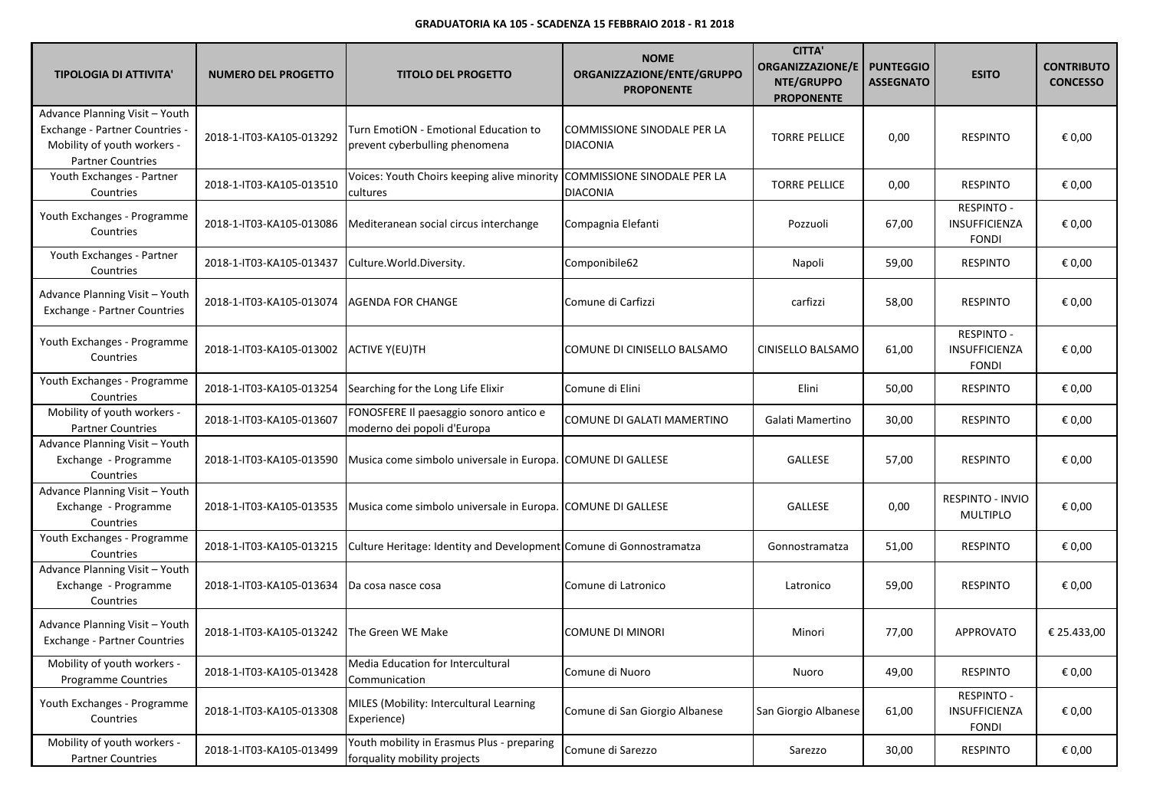| <b>TIPOLOGIA DI ATTIVITA'</b>                                                                                               | <b>NUMERO DEL PROGETTO</b> | <b>TITOLO DEL PROGETTO</b>                                                 | <b>NOME</b><br>ORGANIZZAZIONE/ENTE/GRUPPO<br><b>PROPONENTE</b> | <b>CITTA</b><br><b>ORGANIZZAZIONE/E</b><br>NTE/GRUPPO<br><b>PROPONENTE</b> | <b>PUNTEGGIO</b><br><b>ASSEGNATO</b> | <b>ESITO</b>                                       | <b>CONTRIBUTO</b><br><b>CONCESSO</b> |
|-----------------------------------------------------------------------------------------------------------------------------|----------------------------|----------------------------------------------------------------------------|----------------------------------------------------------------|----------------------------------------------------------------------------|--------------------------------------|----------------------------------------------------|--------------------------------------|
| Advance Planning Visit - Youth<br>Exchange - Partner Countries -<br>Mobility of youth workers -<br><b>Partner Countries</b> | 2018-1-IT03-KA105-013292   | Turn EmotiON - Emotional Education to<br>prevent cyberbulling phenomena    | COMMISSIONE SINODALE PER LA<br><b>DIACONIA</b>                 | <b>TORRE PELLICE</b>                                                       | 0,00                                 | <b>RESPINTO</b>                                    | € 0,00                               |
| Youth Exchanges - Partner<br>Countries                                                                                      | 2018-1-IT03-KA105-013510   | Voices: Youth Choirs keeping alive minority<br>cultures                    | COMMISSIONE SINODALE PER LA<br><b>DIACONIA</b>                 | <b>TORRE PELLICE</b>                                                       | 0,00                                 | <b>RESPINTO</b>                                    | € 0,00                               |
| Youth Exchanges - Programme<br>Countries                                                                                    | 2018-1-IT03-KA105-013086   | Mediteranean social circus interchange                                     | Compagnia Elefanti                                             | Pozzuoli                                                                   | 67,00                                | <b>RESPINTO -</b><br>INSUFFICIENZA<br><b>FONDI</b> | € 0,00                               |
| Youth Exchanges - Partner<br>Countries                                                                                      | 2018-1-IT03-KA105-013437   | Culture. World. Diversity.                                                 | Componibile62                                                  | Napoli                                                                     | 59,00                                | <b>RESPINTO</b>                                    | € 0,00                               |
| Advance Planning Visit - Youth<br><b>Exchange - Partner Countries</b>                                                       | 2018-1-IT03-KA105-013074   | AGENDA FOR CHANGE                                                          | Comune di Carfizzi                                             | carfizzi                                                                   | 58,00                                | <b>RESPINTO</b>                                    | € 0,00                               |
| Youth Exchanges - Programme<br>Countries                                                                                    | 2018-1-IT03-KA105-013002   | ACTIVE Y(EU)TH                                                             | COMUNE DI CINISELLO BALSAMO                                    | CINISELLO BALSAMO                                                          | 61,00                                | <b>RESPINTO -</b><br>INSUFFICIENZA<br><b>FONDI</b> | € 0,00                               |
| Youth Exchanges - Programme<br>Countries                                                                                    | 2018-1-IT03-KA105-013254   | Searching for the Long Life Elixir                                         | Comune di Elini                                                | Elini                                                                      | 50,00                                | <b>RESPINTO</b>                                    | € 0,00                               |
| Mobility of youth workers -<br><b>Partner Countries</b>                                                                     | 2018-1-IT03-KA105-013607   | FONOSFERE Il paesaggio sonoro antico e<br>moderno dei popoli d'Europa      | COMUNE DI GALATI MAMERTINO                                     | Galati Mamertino                                                           | 30,00                                | <b>RESPINTO</b>                                    | € 0,00                               |
| Advance Planning Visit - Youth<br>Exchange - Programme<br>Countries                                                         | 2018-1-IT03-KA105-013590   | Musica come simbolo universale in Europa. COMUNE DI GALLESE                |                                                                | GALLESE                                                                    | 57,00                                | <b>RESPINTO</b>                                    | € 0,00                               |
| Advance Planning Visit - Youth<br>Exchange - Programme<br>Countries                                                         | 2018-1-IT03-KA105-013535   | Musica come simbolo universale in Europa. COMUNE DI GALLESE                |                                                                | GALLESE                                                                    | 0,00                                 | RESPINTO - INVIO<br><b>MULTIPLO</b>                | € 0,00                               |
| Youth Exchanges - Programme<br>Countries                                                                                    | 2018-1-IT03-KA105-013215   | Culture Heritage: Identity and Development Comune di Gonnostramatza        |                                                                | Gonnostramatza                                                             | 51,00                                | <b>RESPINTO</b>                                    | € 0,00                               |
| Advance Planning Visit - Youth<br>Exchange - Programme<br>Countries                                                         | 2018-1-IT03-KA105-013634   | Da cosa nasce cosa                                                         | Comune di Latronico                                            | Latronico                                                                  | 59,00                                | <b>RESPINTO</b>                                    | € 0,00                               |
| Advance Planning Visit - Youth<br><b>Exchange - Partner Countries</b>                                                       | 2018-1-IT03-KA105-013242   | The Green WE Make                                                          | COMUNE DI MINORI                                               | Minori                                                                     | 77,00                                | APPROVATO                                          | € 25.433,00                          |
| Mobility of youth workers -<br><b>Programme Countries</b>                                                                   | 2018-1-IT03-KA105-013428   | Media Education for Intercultural<br>Communication                         | Comune di Nuoro                                                | Nuoro                                                                      | 49,00                                | <b>RESPINTO</b>                                    | € 0,00                               |
| Youth Exchanges - Programme<br>Countries                                                                                    | 2018-1-IT03-KA105-013308   | MILES (Mobility: Intercultural Learning<br>Experience)                     | Comune di San Giorgio Albanese                                 | San Giorgio Albanese                                                       | 61,00                                | <b>RESPINTO -</b><br>INSUFFICIENZA<br><b>FONDI</b> | € 0,00                               |
| Mobility of youth workers -<br><b>Partner Countries</b>                                                                     | 2018-1-IT03-KA105-013499   | Youth mobility in Erasmus Plus - preparing<br>forquality mobility projects | Comune di Sarezzo                                              | Sarezzo                                                                    | 30,00                                | <b>RESPINTO</b>                                    | € 0,00                               |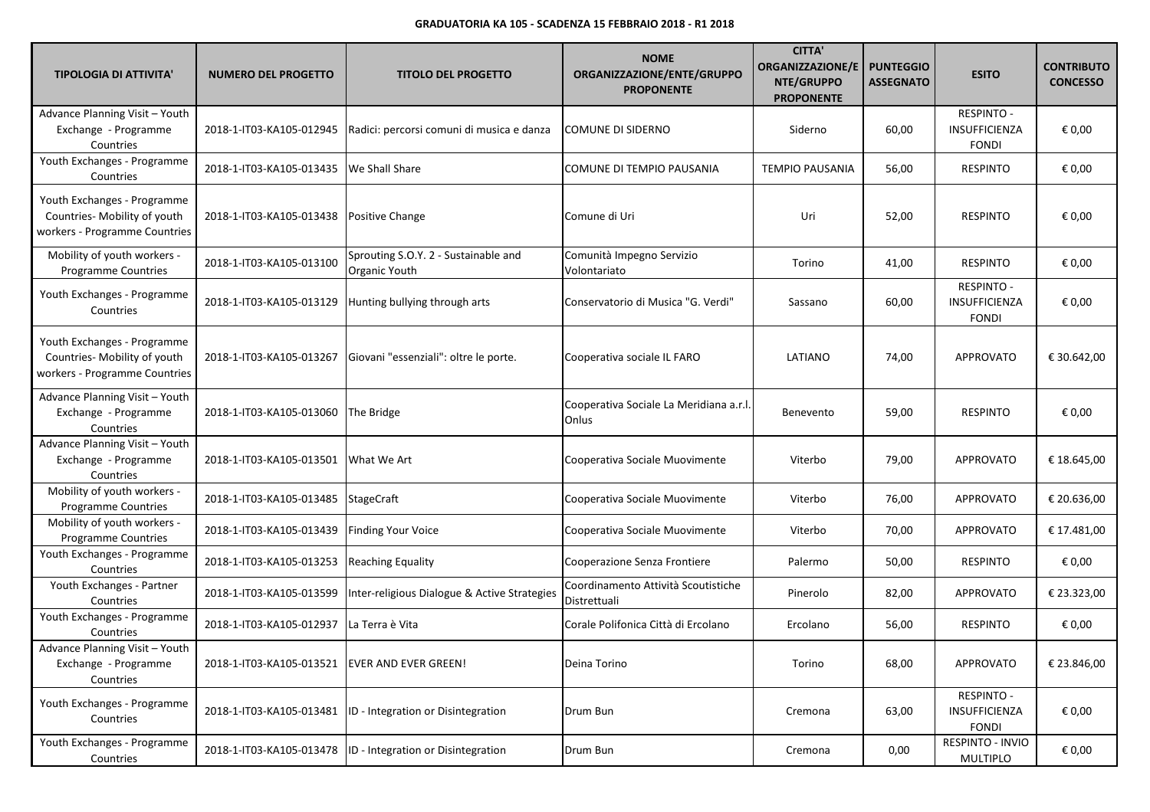| <b>TIPOLOGIA DI ATTIVITA'</b>                                                                | <b>NUMERO DEL PROGETTO</b> | <b>TITOLO DEL PROGETTO</b>                            | <b>NOME</b><br>ORGANIZZAZIONE/ENTE/GRUPPO<br><b>PROPONENTE</b> | <b>CITTA'</b><br>ORGANIZZAZIONE/E<br>NTE/GRUPPO<br><b>PROPONENTE</b> | <b>PUNTEGGIO</b><br><b>ASSEGNATO</b> | <b>ESITO</b>                                       | <b>CONTRIBUTO</b><br><b>CONCESSO</b> |
|----------------------------------------------------------------------------------------------|----------------------------|-------------------------------------------------------|----------------------------------------------------------------|----------------------------------------------------------------------|--------------------------------------|----------------------------------------------------|--------------------------------------|
| Advance Planning Visit - Youth<br>Exchange - Programme<br>Countries                          | 2018-1-IT03-KA105-012945   | Radici: percorsi comuni di musica e danza             | COMUNE DI SIDERNO                                              | Siderno                                                              | 60,00                                | <b>RESPINTO -</b><br>INSUFFICIENZA<br><b>FONDI</b> | € 0,00                               |
| Youth Exchanges - Programme<br>Countries                                                     | 2018-1-IT03-KA105-013435   | We Shall Share                                        | COMUNE DI TEMPIO PAUSANIA                                      | <b>TEMPIO PAUSANIA</b>                                               | 56,00                                | <b>RESPINTO</b>                                    | € 0,00                               |
| Youth Exchanges - Programme<br>Countries- Mobility of youth<br>workers - Programme Countries | 2018-1-IT03-KA105-013438   | <b>Positive Change</b>                                | Comune di Uri                                                  | Uri                                                                  | 52,00                                | <b>RESPINTO</b>                                    | € 0,00                               |
| Mobility of youth workers -<br>Programme Countries                                           | 2018-1-IT03-KA105-013100   | Sprouting S.O.Y. 2 - Sustainable and<br>Organic Youth | Comunità Impegno Servizio<br>Volontariato                      | Torino                                                               | 41,00                                | <b>RESPINTO</b>                                    | € 0,00                               |
| Youth Exchanges - Programme<br>Countries                                                     | 2018-1-IT03-KA105-013129   | Hunting bullying through arts                         | Conservatorio di Musica "G. Verdi"                             | Sassano                                                              | 60,00                                | <b>RESPINTO -</b><br>INSUFFICIENZA<br><b>FONDI</b> | € 0,00                               |
| Youth Exchanges - Programme<br>Countries- Mobility of youth<br>workers - Programme Countries | 2018-1-IT03-KA105-013267   | Giovani "essenziali": oltre le porte.                 | Cooperativa sociale IL FARO                                    | LATIANO                                                              | 74,00                                | <b>APPROVATO</b>                                   | € 30.642,00                          |
| Advance Planning Visit - Youth<br>Exchange - Programme<br>Countries                          | 2018-1-IT03-KA105-013060   | The Bridge                                            | Cooperativa Sociale La Meridiana a.r.l.<br>Onlus               | Benevento                                                            | 59,00                                | <b>RESPINTO</b>                                    | € 0,00                               |
| Advance Planning Visit - Youth<br>Exchange - Programme<br>Countries                          | 2018-1-IT03-KA105-013501   | What We Art                                           | Cooperativa Sociale Muovimente                                 | Viterbo                                                              | 79,00                                | <b>APPROVATO</b>                                   | € 18.645,00                          |
| Mobility of youth workers -<br>Programme Countries                                           | 2018-1-IT03-KA105-013485   | <b>StageCraft</b>                                     | Cooperativa Sociale Muovimente                                 | Viterbo                                                              | 76,00                                | <b>APPROVATO</b>                                   | € 20.636,00                          |
| Mobility of youth workers -<br>Programme Countries                                           | 2018-1-IT03-KA105-013439   | <b>Finding Your Voice</b>                             | Cooperativa Sociale Muovimente                                 | Viterbo                                                              | 70,00                                | <b>APPROVATO</b>                                   | € 17.481,00                          |
| Youth Exchanges - Programme<br>Countries                                                     | 2018-1-IT03-KA105-013253   | Reaching Equality                                     | Cooperazione Senza Frontiere                                   | Palermo                                                              | 50,00                                | <b>RESPINTO</b>                                    | € 0,00                               |
| Youth Exchanges - Partner<br>Countries                                                       | 2018-1-IT03-KA105-013599   | Inter-religious Dialogue & Active Strategies          | Coordinamento Attività Scoutistiche<br>Distrettuali            | Pinerolo                                                             | 82,00                                | APPROVATO                                          | € 23.323,00                          |
| Youth Exchanges - Programme<br>Countries                                                     | 2018-1-IT03-KA105-012937   | La Terra è Vita                                       | Corale Polifonica Città di Ercolano                            | Ercolano                                                             | 56,00                                | <b>RESPINTO</b>                                    | € 0,00                               |
| Advance Planning Visit - Youth<br>Exchange - Programme<br>Countries                          | 2018-1-IT03-KA105-013521   | <b>EVER AND EVER GREEN!</b>                           | Deina Torino                                                   | Torino                                                               | 68,00                                | APPROVATO                                          | € 23.846,00                          |
| Youth Exchanges - Programme<br>Countries                                                     | 2018-1-IT03-KA105-013481   | ID - Integration or Disintegration                    | Drum Bun                                                       | Cremona                                                              | 63,00                                | RESPINTO -<br>INSUFFICIENZA<br><b>FONDI</b>        | € 0,00                               |
| Youth Exchanges - Programme<br>Countries                                                     | 2018-1-IT03-KA105-013478   | ID - Integration or Disintegration                    | Drum Bun                                                       | Cremona                                                              | 0,00                                 | RESPINTO - INVIO<br>MULTIPLO                       | € 0,00                               |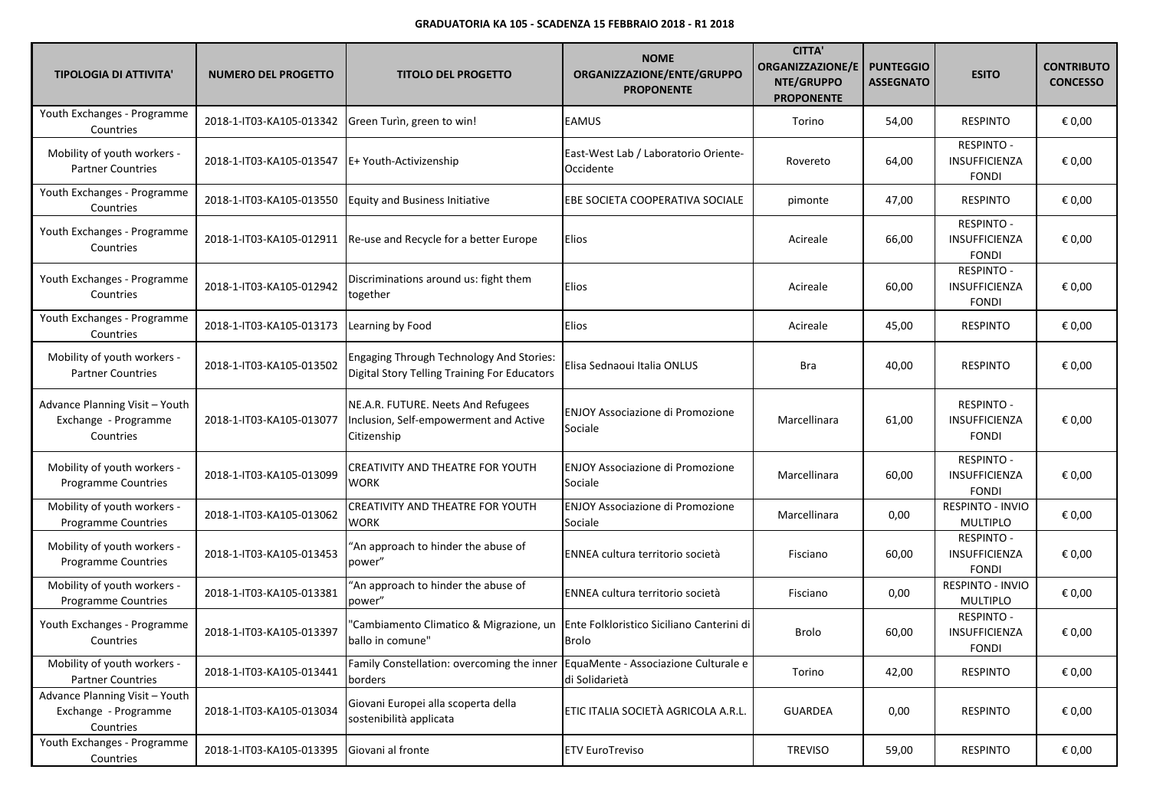| <b>TIPOLOGIA DI ATTIVITA'</b>                                       | <b>NUMERO DEL PROGETTO</b> | <b>TITOLO DEL PROGETTO</b>                                                                      | <b>NOME</b><br>ORGANIZZAZIONE/ENTE/GRUPPO<br><b>PROPONENTE</b> | <b>CITTA'</b><br><b>ORGANIZZAZIONE/E</b><br>NTE/GRUPPO<br><b>PROPONENTE</b> | <b>PUNTEGGIO</b><br><b>ASSEGNATO</b> | <b>ESITO</b>                                              | <b>CONTRIBUTO</b><br><b>CONCESSO</b> |
|---------------------------------------------------------------------|----------------------------|-------------------------------------------------------------------------------------------------|----------------------------------------------------------------|-----------------------------------------------------------------------------|--------------------------------------|-----------------------------------------------------------|--------------------------------------|
| Youth Exchanges - Programme<br>Countries                            | 2018-1-IT03-KA105-013342   | Green Turin, green to win!                                                                      | <b>EAMUS</b>                                                   | Torino                                                                      | 54,00                                | <b>RESPINTO</b>                                           | € 0,00                               |
| Mobility of youth workers -<br><b>Partner Countries</b>             | 2018-1-IT03-KA105-013547   | E+ Youth-Activizenship                                                                          | East-West Lab / Laboratorio Oriente-<br>Occidente              | Rovereto                                                                    | 64,00                                | <b>RESPINTO -</b><br>INSUFFICIENZA<br><b>FONDI</b>        | € 0,00                               |
| Youth Exchanges - Programme<br>Countries                            | 2018-1-IT03-KA105-013550   | <b>Equity and Business Initiative</b>                                                           | EBE SOCIETA COOPERATIVA SOCIALE                                | pimonte                                                                     | 47,00                                | <b>RESPINTO</b>                                           | € 0,00                               |
| Youth Exchanges - Programme<br>Countries                            | 2018-1-IT03-KA105-012911   | Re-use and Recycle for a better Europe                                                          | Elios                                                          | Acireale                                                                    | 66,00                                | <b>RESPINTO -</b><br><b>INSUFFICIENZA</b><br><b>FONDI</b> | € 0,00                               |
| Youth Exchanges - Programme<br>Countries                            | 2018-1-IT03-KA105-012942   | Discriminations around us: fight them<br>together                                               | Elios                                                          | Acireale                                                                    | 60,00                                | <b>RESPINTO -</b><br><b>INSUFFICIENZA</b><br><b>FONDI</b> | € 0,00                               |
| Youth Exchanges - Programme<br>Countries                            | 2018-1-IT03-KA105-013173   | Learning by Food                                                                                | <b>Elios</b>                                                   | Acireale                                                                    | 45,00                                | <b>RESPINTO</b>                                           | € 0,00                               |
| Mobility of youth workers -<br><b>Partner Countries</b>             | 2018-1-IT03-KA105-013502   | <b>Engaging Through Technology And Stories:</b><br>Digital Story Telling Training For Educators | Elisa Sednaoui Italia ONLUS                                    | Bra                                                                         | 40,00                                | <b>RESPINTO</b>                                           | € 0,00                               |
| Advance Planning Visit - Youth<br>Exchange - Programme<br>Countries | 2018-1-IT03-KA105-013077   | NE.A.R. FUTURE. Neets And Refugees<br>Inclusion, Self-empowerment and Active<br>Citizenship     | <b>ENJOY Associazione di Promozione</b><br>Sociale             | Marcellinara                                                                | 61,00                                | RESPINTO -<br>INSUFFICIENZA<br><b>FONDI</b>               | € 0,00                               |
| Mobility of youth workers -<br><b>Programme Countries</b>           | 2018-1-IT03-KA105-013099   | CREATIVITY AND THEATRE FOR YOUTH<br>WORK                                                        | <b>ENJOY Associazione di Promozione</b><br>Sociale             | Marcellinara                                                                | 60,00                                | <b>RESPINTO -</b><br><b>INSUFFICIENZA</b><br><b>FONDI</b> | € 0,00                               |
| Mobility of youth workers -<br>Programme Countries                  | 2018-1-IT03-KA105-013062   | CREATIVITY AND THEATRE FOR YOUTH<br><b>WORK</b>                                                 | <b>ENJOY Associazione di Promozione</b><br>Sociale             | Marcellinara                                                                | 0,00                                 | RESPINTO - INVIO<br><b>MULTIPLO</b>                       | € 0,00                               |
| Mobility of youth workers -<br><b>Programme Countries</b>           | 2018-1-IT03-KA105-013453   | 'An approach to hinder the abuse of<br>power"                                                   | ENNEA cultura territorio società                               | Fisciano                                                                    | 60,00                                | RESPINTO -<br><b>INSUFFICIENZA</b><br><b>FONDI</b>        | € 0,00                               |
| Mobility of youth workers -<br><b>Programme Countries</b>           | 2018-1-IT03-KA105-013381   | "An approach to hinder the abuse of<br>power"                                                   | ENNEA cultura territorio società                               | Fisciano                                                                    | 0,00                                 | <b>RESPINTO - INVIO</b><br><b>MULTIPLO</b>                | € 0,00                               |
| Youth Exchanges - Programme<br>Countries                            | 2018-1-IT03-KA105-013397   | "Cambiamento Climatico & Migrazione, un<br>ballo in comune"                                     | Ente Folkloristico Siciliano Canterini di<br><b>Brolo</b>      | Brolo                                                                       | 60,00                                | <b>RESPINTO -</b><br><b>INSUFFICIENZA</b><br><b>FONDI</b> | € 0,00                               |
| Mobility of youth workers -<br><b>Partner Countries</b>             | 2018-1-IT03-KA105-013441   | Family Constellation: overcoming the inner<br>borders                                           | EquaMente - Associazione Culturale e<br>di Solidarietà         | Torino                                                                      | 42,00                                | <b>RESPINTO</b>                                           | € 0,00                               |
| Advance Planning Visit - Youth<br>Exchange - Programme<br>Countries | 2018-1-IT03-KA105-013034   | Giovani Europei alla scoperta della<br>sostenibilità applicata                                  | ETIC ITALIA SOCIETÀ AGRICOLA A.R.L.                            | <b>GUARDEA</b>                                                              | 0,00                                 | <b>RESPINTO</b>                                           | € 0,00                               |
| Youth Exchanges - Programme<br>Countries                            | 2018-1-IT03-KA105-013395   | Giovani al fronte                                                                               | <b>ETV EuroTreviso</b>                                         | <b>TREVISO</b>                                                              | 59,00                                | <b>RESPINTO</b>                                           | € 0,00                               |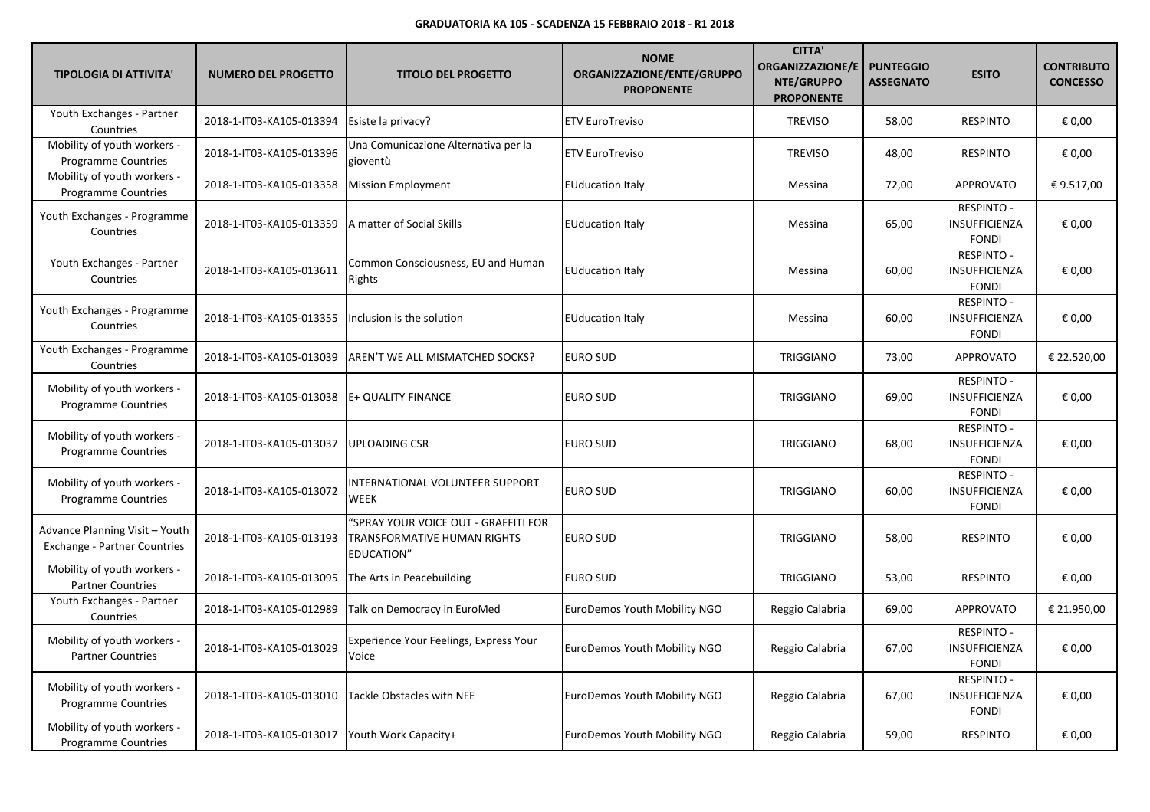| <b>TIPOLOGIA DI ATTIVITA'</b>                                  | <b>NUMERO DEL PROGETTO</b>                  | <b>TITOLO DEL PROGETTO</b>                                                        | <b>NOME</b><br>ORGANIZZAZIONE/ENTE/GRUPPO<br><b>PROPONENTE</b> | <b>CITTA'</b><br><b>ORGANIZZAZIONE/E</b><br>NTE/GRUPPO<br><b>PROPONENTE</b> | <b>PUNTEGGIO</b><br><b>ASSEGNATO</b> | <b>ESITO</b>                                              | <b>CONTRIBUTO</b><br><b>CONCESSO</b> |
|----------------------------------------------------------------|---------------------------------------------|-----------------------------------------------------------------------------------|----------------------------------------------------------------|-----------------------------------------------------------------------------|--------------------------------------|-----------------------------------------------------------|--------------------------------------|
| Youth Exchanges - Partner<br>Countries                         | 2018-1-IT03-KA105-013394                    | Esiste la privacy?                                                                | <b>ETV EuroTreviso</b>                                         | <b>TREVISO</b>                                                              | 58,00                                | <b>RESPINTO</b>                                           | € 0,00                               |
| Mobility of youth workers -<br><b>Programme Countries</b>      | 2018-1-IT03-KA105-013396                    | Una Comunicazione Alternativa per la<br>gioventù                                  | <b>ETV EuroTreviso</b>                                         | <b>TREVISO</b>                                                              | 48,00                                | <b>RESPINTO</b>                                           | € 0,00                               |
| Mobility of youth workers -<br><b>Programme Countries</b>      | 2018-1-IT03-KA105-013358                    | <b>Mission Employment</b>                                                         | <b>EUducation Italy</b>                                        | Messina                                                                     | 72,00                                | <b>APPROVATO</b>                                          | € 9.517,00                           |
| Youth Exchanges - Programme<br>Countries                       | 2018-1-IT03-KA105-013359                    | A matter of Social Skills                                                         | <b>EUducation Italy</b>                                        | Messina                                                                     | 65,00                                | <b>RESPINTO -</b><br>INSUFFICIENZA<br><b>FONDI</b>        | € 0,00                               |
| Youth Exchanges - Partner<br>Countries                         | 2018-1-IT03-KA105-013611                    | Common Consciousness, EU and Human<br>Rights                                      | <b>EUducation Italy</b>                                        | Messina                                                                     | 60,00                                | <b>RESPINTO -</b><br><b>INSUFFICIENZA</b><br><b>FONDI</b> | € 0,00                               |
| Youth Exchanges - Programme<br>Countries                       | 2018-1-IT03-KA105-013355                    | Inclusion is the solution                                                         | <b>EUducation Italy</b>                                        | Messina                                                                     | 60,00                                | <b>RESPINTO -</b><br>INSUFFICIENZA<br><b>FONDI</b>        | € 0,00                               |
| Youth Exchanges - Programme<br>Countries                       | 2018-1-IT03-KA105-013039                    | AREN'T WE ALL MISMATCHED SOCKS?                                                   | <b>EURO SUD</b>                                                | <b>TRIGGIANO</b>                                                            | 73,00                                | <b>APPROVATO</b>                                          | € 22.520,00                          |
| Mobility of youth workers -<br>Programme Countries             | 2018-1-IT03-KA105-013038 E+ QUALITY FINANCE |                                                                                   | <b>EURO SUD</b>                                                | <b>TRIGGIANO</b>                                                            | 69,00                                | <b>RESPINTO -</b><br><b>INSUFFICIENZA</b><br><b>FONDI</b> | € 0,00                               |
| Mobility of youth workers -<br><b>Programme Countries</b>      | 2018-1-IT03-KA105-013037                    | <b>UPLOADING CSR</b>                                                              | <b>EURO SUD</b>                                                | <b>TRIGGIANO</b>                                                            | 68,00                                | <b>RESPINTO -</b><br><b>INSUFFICIENZA</b><br><b>FONDI</b> | € 0,00                               |
| Mobility of youth workers -<br>Programme Countries             | 2018-1-IT03-KA105-013072                    | INTERNATIONAL VOLUNTEER SUPPORT<br>WEEK                                           | <b>EURO SUD</b>                                                | <b>TRIGGIANO</b>                                                            | 60,00                                | <b>RESPINTO -</b><br>INSUFFICIENZA<br><b>FONDI</b>        | € 0,00                               |
| Advance Planning Visit - Youth<br>Exchange - Partner Countries | 2018-1-IT03-KA105-013193                    | 'SPRAY YOUR VOICE OUT - GRAFFITI FOR<br>TRANSFORMATIVE HUMAN RIGHTS<br>EDUCATION" | <b>EURO SUD</b>                                                | <b>TRIGGIANO</b>                                                            | 58,00                                | <b>RESPINTO</b>                                           | € 0,00                               |
| Mobility of youth workers -<br><b>Partner Countries</b>        | 2018-1-IT03-KA105-013095                    | The Arts in Peacebuilding                                                         | <b>EURO SUD</b>                                                | <b>TRIGGIANO</b>                                                            | 53,00                                | <b>RESPINTO</b>                                           | € 0,00                               |
| Youth Exchanges - Partner<br>Countries                         | 2018-1-IT03-KA105-012989                    | Talk on Democracy in EuroMed                                                      | EuroDemos Youth Mobility NGO                                   | Reggio Calabria                                                             | 69,00                                | <b>APPROVATO</b>                                          | € 21.950,00                          |
| Mobility of youth workers -<br><b>Partner Countries</b>        | 2018-1-IT03-KA105-013029                    | Experience Your Feelings, Express Your<br>Voice                                   | EuroDemos Youth Mobility NGO                                   | Reggio Calabria                                                             | 67,00                                | <b>RESPINTO -</b><br><b>INSUFFICIENZA</b><br><b>FONDI</b> | € 0,00                               |
| Mobility of youth workers -<br><b>Programme Countries</b>      | 2018-1-IT03-KA105-013010                    | Tackle Obstacles with NFE                                                         | EuroDemos Youth Mobility NGO                                   | Reggio Calabria                                                             | 67,00                                | <b>RESPINTO -</b><br>INSUFFICIENZA<br><b>FONDI</b>        | € 0,00                               |
| Mobility of youth workers -<br>Programme Countries             | 2018-1-IT03-KA105-013017                    | Youth Work Capacity+                                                              | EuroDemos Youth Mobility NGO                                   | Reggio Calabria                                                             | 59,00                                | <b>RESPINTO</b>                                           | € 0,00                               |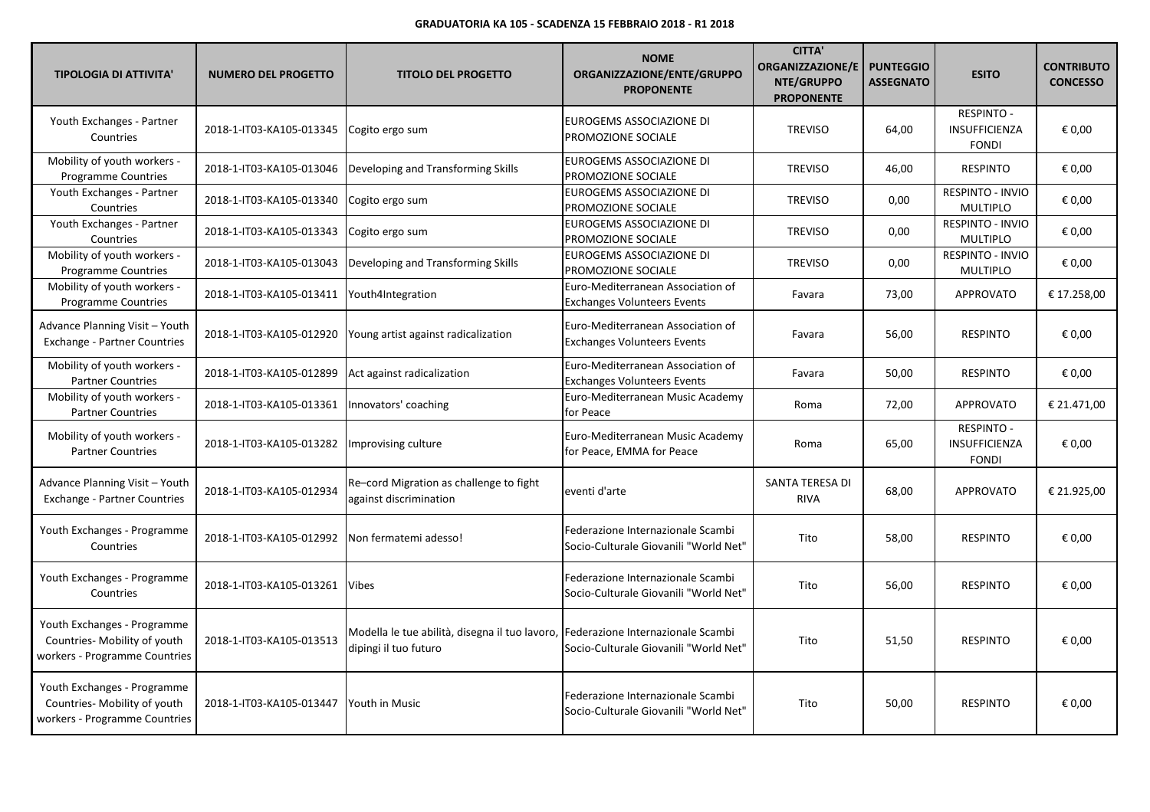| <b>TIPOLOGIA DI ATTIVITA'</b>                                                                | <b>NUMERO DEL PROGETTO</b> | <b>TITOLO DEL PROGETTO</b>                                              | <b>NOME</b><br>ORGANIZZAZIONE/ENTE/GRUPPO<br><b>PROPONENTE</b>             | <b>CITTA'</b><br><b>ORGANIZZAZIONE/E</b><br>NTE/GRUPPO<br><b>PROPONENTE</b> | <b>PUNTEGGIO</b><br><b>ASSEGNATO</b> | <b>ESITO</b>                                       | <b>CONTRIBUTO</b><br><b>CONCESSO</b> |
|----------------------------------------------------------------------------------------------|----------------------------|-------------------------------------------------------------------------|----------------------------------------------------------------------------|-----------------------------------------------------------------------------|--------------------------------------|----------------------------------------------------|--------------------------------------|
| Youth Exchanges - Partner<br>Countries                                                       | 2018-1-IT03-KA105-013345   | Cogito ergo sum                                                         | EUROGEMS ASSOCIAZIONE DI<br>PROMOZIONE SOCIALE                             | <b>TREVISO</b>                                                              | 64,00                                | <b>RESPINTO -</b><br>INSUFFICIENZA<br><b>FONDI</b> | € 0,00                               |
| Mobility of youth workers -<br><b>Programme Countries</b>                                    | 2018-1-IT03-KA105-013046   | Developing and Transforming Skills                                      | EUROGEMS ASSOCIAZIONE DI<br>PROMOZIONE SOCIALE                             | <b>TREVISO</b>                                                              | 46,00                                | <b>RESPINTO</b>                                    | € 0,00                               |
| Youth Exchanges - Partner<br>Countries                                                       | 2018-1-IT03-KA105-013340   | Cogito ergo sum                                                         | EUROGEMS ASSOCIAZIONE DI<br>PROMOZIONE SOCIALE                             | <b>TREVISO</b>                                                              | 0,00                                 | RESPINTO - INVIO<br><b>MULTIPLO</b>                | € 0,00                               |
| Youth Exchanges - Partner<br>Countries                                                       | 2018-1-IT03-KA105-013343   | Cogito ergo sum                                                         | EUROGEMS ASSOCIAZIONE DI<br>PROMOZIONE SOCIALE                             | <b>TREVISO</b>                                                              | 0,00                                 | RESPINTO - INVIO<br><b>MULTIPLO</b>                | € 0,00                               |
| Mobility of youth workers -<br><b>Programme Countries</b>                                    | 2018-1-IT03-KA105-013043   | Developing and Transforming Skills                                      | EUROGEMS ASSOCIAZIONE DI<br>PROMOZIONE SOCIALE                             | <b>TREVISO</b>                                                              | 0,00                                 | <b>RESPINTO - INVIO</b><br><b>MULTIPLO</b>         | € 0,00                               |
| Mobility of youth workers -<br><b>Programme Countries</b>                                    | 2018-1-IT03-KA105-013411   | Youth4Integration                                                       | Euro-Mediterranean Association of<br><b>Exchanges Volunteers Events</b>    | Favara                                                                      | 73,00                                | APPROVATO                                          | € 17.258,00                          |
| Advance Planning Visit - Youth<br><b>Exchange - Partner Countries</b>                        | 2018-1-IT03-KA105-012920   | Young artist against radicalization                                     | Euro-Mediterranean Association of<br><b>Exchanges Volunteers Events</b>    | Favara                                                                      | 56,00                                | <b>RESPINTO</b>                                    | € 0,00                               |
| Mobility of youth workers -<br><b>Partner Countries</b>                                      | 2018-1-IT03-KA105-012899   | Act against radicalization                                              | Euro-Mediterranean Association of<br><b>Exchanges Volunteers Events</b>    | Favara                                                                      | 50,00                                | <b>RESPINTO</b>                                    | € 0,00                               |
| Mobility of youth workers -<br><b>Partner Countries</b>                                      | 2018-1-IT03-KA105-013361   | Innovators' coaching                                                    | Euro-Mediterranean Music Academy<br>for Peace                              | Roma                                                                        | 72,00                                | <b>APPROVATO</b>                                   | € 21.471,00                          |
| Mobility of youth workers -<br><b>Partner Countries</b>                                      | 2018-1-IT03-KA105-013282   | Improvising culture                                                     | Euro-Mediterranean Music Academy<br>for Peace, EMMA for Peace              | Roma                                                                        | 65,00                                | RESPINTO -<br>INSUFFICIENZA<br><b>FONDI</b>        | € 0,00                               |
| Advance Planning Visit - Youth<br><b>Exchange - Partner Countries</b>                        | 2018-1-IT03-KA105-012934   | Re-cord Migration as challenge to fight<br>against discrimination       | eventi d'arte                                                              | <b>SANTA TERESA DI</b><br><b>RIVA</b>                                       | 68,00                                | <b>APPROVATO</b>                                   | € 21.925,00                          |
| Youth Exchanges - Programme<br>Countries                                                     | 2018-1-IT03-KA105-012992   | Non fermatemi adesso!                                                   | Federazione Internazionale Scambi<br>Socio-Culturale Giovanili "World Net" | Tito                                                                        | 58,00                                | <b>RESPINTO</b>                                    | € 0,00                               |
| Youth Exchanges - Programme<br>Countries                                                     | 2018-1-IT03-KA105-013261   | Vibes                                                                   | Federazione Internazionale Scambi<br>Socio-Culturale Giovanili "World Net" | Tito                                                                        | 56,00                                | <b>RESPINTO</b>                                    | € 0,00                               |
| Youth Exchanges - Programme<br>Countries- Mobility of youth<br>workers - Programme Countries | 2018-1-IT03-KA105-013513   | Modella le tue abilità, disegna il tuo lavoro,<br>dipingi il tuo futuro | Federazione Internazionale Scambi<br>Socio-Culturale Giovanili "World Net" | Tito                                                                        | 51,50                                | <b>RESPINTO</b>                                    | € 0,00                               |
| Youth Exchanges - Programme<br>Countries- Mobility of youth<br>workers - Programme Countries | 2018-1-IT03-KA105-013447   | Youth in Music                                                          | Federazione Internazionale Scambi<br>Socio-Culturale Giovanili "World Net" | Tito                                                                        | 50,00                                | <b>RESPINTO</b>                                    | € 0,00                               |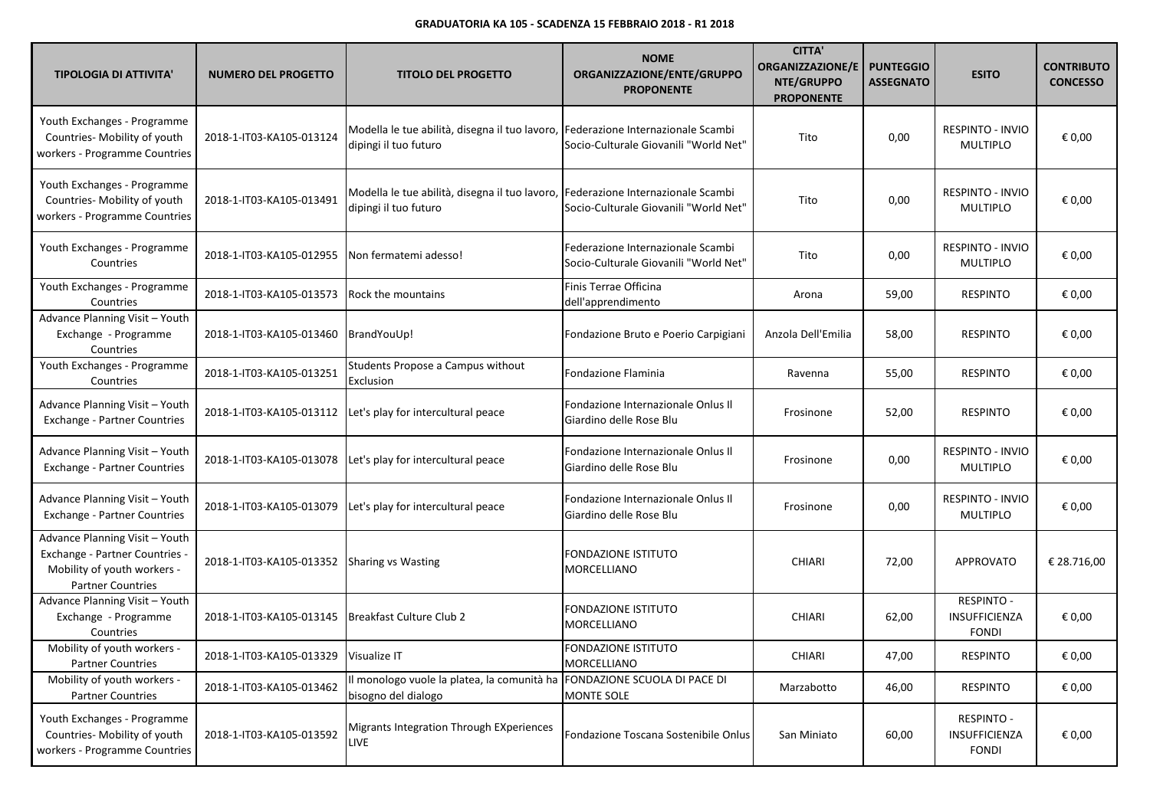| <b>TIPOLOGIA DI ATTIVITA'</b>                                                                                               | <b>NUMERO DEL PROGETTO</b>                  | <b>TITOLO DEL PROGETTO</b>                                                                                | <b>NOME</b><br>ORGANIZZAZIONE/ENTE/GRUPPO<br><b>PROPONENTE</b>             | <b>CITTA'</b><br>ORGANIZZAZIONE/E<br>NTE/GRUPPO<br><b>PROPONENTE</b> | <b>PUNTEGGIO</b><br><b>ASSEGNATO</b> | <b>ESITO</b>                                              | <b>CONTRIBUTO</b><br><b>CONCESSO</b> |
|-----------------------------------------------------------------------------------------------------------------------------|---------------------------------------------|-----------------------------------------------------------------------------------------------------------|----------------------------------------------------------------------------|----------------------------------------------------------------------|--------------------------------------|-----------------------------------------------------------|--------------------------------------|
| Youth Exchanges - Programme<br>Countries- Mobility of youth<br>workers - Programme Countries                                | 2018-1-IT03-KA105-013124                    | Modella le tue abilità, disegna il tuo lavoro,<br>dipingi il tuo futuro                                   | Federazione Internazionale Scambi<br>Socio-Culturale Giovanili "World Net" | Tito                                                                 | 0,00                                 | <b>RESPINTO - INVIO</b><br><b>MULTIPLO</b>                | € 0,00                               |
| Youth Exchanges - Programme<br>Countries- Mobility of youth<br>workers - Programme Countries                                | 2018-1-IT03-KA105-013491                    | Modella le tue abilità, disegna il tuo lavoro, Federazione Internazionale Scambi<br>dipingi il tuo futuro | Socio-Culturale Giovanili "World Net"                                      | Tito                                                                 | 0,00                                 | <b>RESPINTO - INVIO</b><br><b>MULTIPLO</b>                | € 0,00                               |
| Youth Exchanges - Programme<br>Countries                                                                                    | 2018-1-IT03-KA105-012955                    | Non fermatemi adesso!                                                                                     | Federazione Internazionale Scambi<br>Socio-Culturale Giovanili "World Net" | Tito                                                                 | 0,00                                 | <b>RESPINTO - INVIO</b><br><b>MULTIPLO</b>                | € 0,00                               |
| Youth Exchanges - Programme<br>Countries                                                                                    | 2018-1-IT03-KA105-013573                    | <b>Rock the mountains</b>                                                                                 | Finis Terrae Officina<br>dell'apprendimento                                | Arona                                                                | 59,00                                | <b>RESPINTO</b>                                           | € 0,00                               |
| Advance Planning Visit - Youth<br>Exchange - Programme<br>Countries                                                         | 2018-1-IT03-KA105-013460                    | BrandYouUp!                                                                                               | Fondazione Bruto e Poerio Carpigiani                                       | Anzola Dell'Emilia                                                   | 58,00                                | <b>RESPINTO</b>                                           | € 0,00                               |
| Youth Exchanges - Programme<br>Countries                                                                                    | 2018-1-IT03-KA105-013251                    | Students Propose a Campus without<br>Exclusion                                                            | Fondazione Flaminia                                                        | Ravenna                                                              | 55,00                                | <b>RESPINTO</b>                                           | € 0,00                               |
| Advance Planning Visit - Youth<br>Exchange - Partner Countries                                                              | 2018-1-IT03-KA105-013112                    | Let's play for intercultural peace                                                                        | Fondazione Internazionale Onlus II<br>Giardino delle Rose Blu              | Frosinone                                                            | 52,00                                | <b>RESPINTO</b>                                           | € 0,00                               |
| Advance Planning Visit - Youth<br>Exchange - Partner Countries                                                              | 2018-1-IT03-KA105-013078                    | Let's play for intercultural peace                                                                        | Fondazione Internazionale Onlus II<br>Giardino delle Rose Blu              | Frosinone                                                            | 0,00                                 | <b>RESPINTO - INVIO</b><br><b>MULTIPLO</b>                | € 0,00                               |
| Advance Planning Visit - Youth<br><b>Exchange - Partner Countries</b>                                                       | 2018-1-IT03-KA105-013079                    | Let's play for intercultural peace                                                                        | Fondazione Internazionale Onlus Il<br>Giardino delle Rose Blu              | Frosinone                                                            | 0,00                                 | <b>RESPINTO - INVIO</b><br><b>MULTIPLO</b>                | € 0,00                               |
| Advance Planning Visit - Youth<br>Exchange - Partner Countries -<br>Mobility of youth workers -<br><b>Partner Countries</b> | 2018-1-IT03-KA105-013352 Sharing vs Wasting |                                                                                                           | FONDAZIONE ISTITUTO<br>MORCELLIANO                                         | <b>CHIARI</b>                                                        | 72,00                                | <b>APPROVATO</b>                                          | € 28.716,00                          |
| Advance Planning Visit - Youth<br>Exchange - Programme<br>Countries                                                         | 2018-1-IT03-KA105-013145                    | Breakfast Culture Club 2                                                                                  | FONDAZIONE ISTITUTO<br>MORCELLIANO                                         | <b>CHIARI</b>                                                        | 62,00                                | <b>RESPINTO -</b><br><b>INSUFFICIENZA</b><br><b>FONDI</b> | € 0,00                               |
| Mobility of youth workers -<br><b>Partner Countries</b>                                                                     | 2018-1-IT03-KA105-013329 Visualize IT       |                                                                                                           | <b>FONDAZIONE ISTITUTO</b><br>MORCELLIANO                                  | CHIARI                                                               | 47,00                                | <b>RESPINTO</b>                                           | $\epsilon$ 0,00                      |
| Mobility of youth workers -<br><b>Partner Countries</b>                                                                     | 2018-1-IT03-KA105-013462                    | Il monologo vuole la platea, la comunità ha<br>bisogno del dialogo                                        | FONDAZIONE SCUOLA DI PACE DI<br>MONTE SOLE                                 | Marzabotto                                                           | 46,00                                | <b>RESPINTO</b>                                           | € 0,00                               |
| Youth Exchanges - Programme<br>Countries- Mobility of youth<br>workers - Programme Countries                                | 2018-1-IT03-KA105-013592                    | Migrants Integration Through EXperiences<br>LIVE                                                          | Fondazione Toscana Sostenibile Onlus                                       | San Miniato                                                          | 60,00                                | <b>RESPINTO -</b><br><b>INSUFFICIENZA</b><br><b>FONDI</b> | € 0,00                               |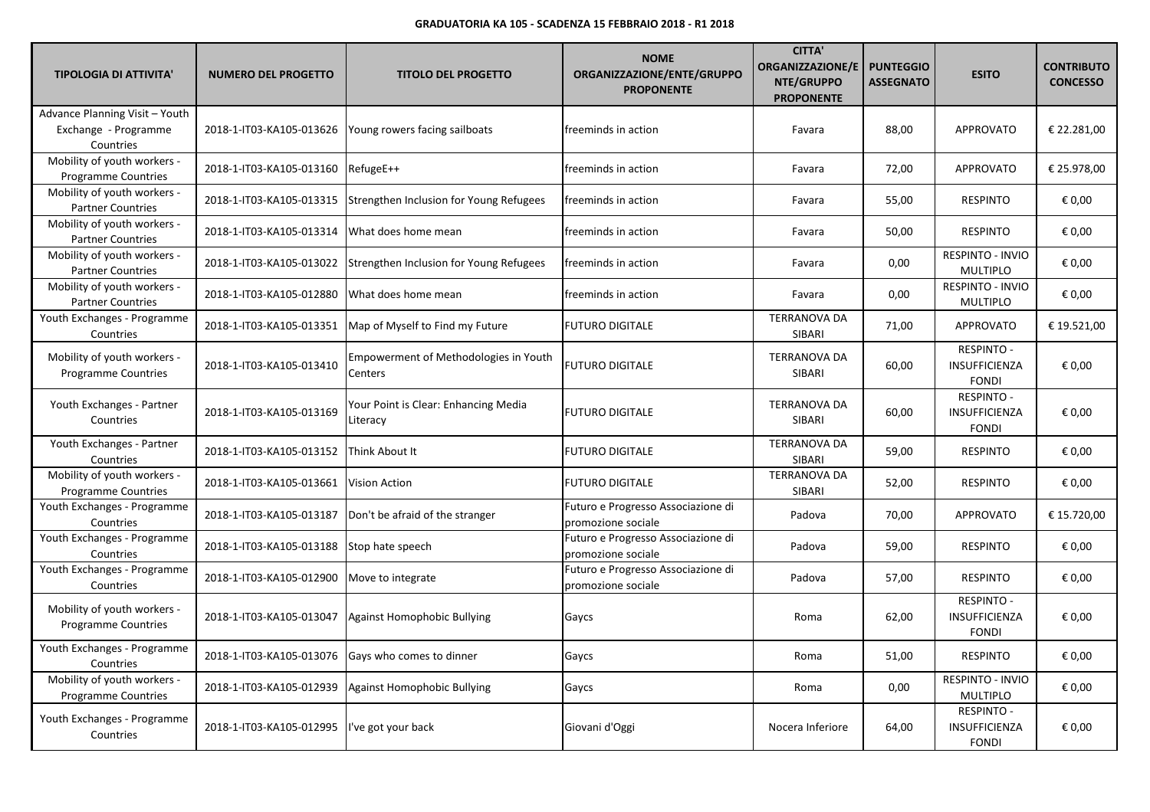| <b>TIPOLOGIA DI ATTIVITA'</b>                                       | <b>NUMERO DEL PROGETTO</b> | <b>TITOLO DEL PROGETTO</b>                              | <b>NOME</b><br>ORGANIZZAZIONE/ENTE/GRUPPO<br><b>PROPONENTE</b> | <b>CITTA'</b><br><b>ORGANIZZAZIONE/E</b><br>NTE/GRUPPO<br><b>PROPONENTE</b> | <b>PUNTEGGIO</b><br><b>ASSEGNATO</b> | <b>ESITO</b>                                              | <b>CONTRIBUTO</b><br><b>CONCESSO</b> |
|---------------------------------------------------------------------|----------------------------|---------------------------------------------------------|----------------------------------------------------------------|-----------------------------------------------------------------------------|--------------------------------------|-----------------------------------------------------------|--------------------------------------|
| Advance Planning Visit - Youth<br>Exchange - Programme<br>Countries | 2018-1-IT03-KA105-013626   | Young rowers facing sailboats                           | freeminds in action                                            | Favara                                                                      | 88,00                                | <b>APPROVATO</b>                                          | € 22.281,00                          |
| Mobility of youth workers -<br><b>Programme Countries</b>           | 2018-1-IT03-KA105-013160   | RefugeE++                                               | freeminds in action                                            | Favara                                                                      | 72,00                                | APPROVATO                                                 | € 25.978,00                          |
| Mobility of youth workers -<br><b>Partner Countries</b>             | 2018-1-IT03-KA105-013315   | Strengthen Inclusion for Young Refugees                 | freeminds in action                                            | Favara                                                                      | 55,00                                | <b>RESPINTO</b>                                           | € 0,00                               |
| Mobility of youth workers -<br><b>Partner Countries</b>             | 2018-1-IT03-KA105-013314   | What does home mean                                     | freeminds in action                                            | Favara                                                                      | 50,00                                | <b>RESPINTO</b>                                           | € 0,00                               |
| Mobility of youth workers -<br><b>Partner Countries</b>             | 2018-1-IT03-KA105-013022   | Strengthen Inclusion for Young Refugees                 | freeminds in action                                            | Favara                                                                      | 0,00                                 | RESPINTO - INVIO<br><b>MULTIPLO</b>                       | € 0,00                               |
| Mobility of youth workers -<br><b>Partner Countries</b>             | 2018-1-IT03-KA105-012880   | What does home mean                                     | freeminds in action                                            | Favara                                                                      | 0,00                                 | RESPINTO - INVIO<br><b>MULTIPLO</b>                       | € 0,00                               |
| Youth Exchanges - Programme<br>Countries                            | 2018-1-IT03-KA105-013351   | Map of Myself to Find my Future                         | <b>FUTURO DIGITALE</b>                                         | <b>TERRANOVA DA</b><br>SIBARI                                               | 71,00                                | <b>APPROVATO</b>                                          | € 19.521,00                          |
| Mobility of youth workers -<br><b>Programme Countries</b>           | 2018-1-IT03-KA105-013410   | <b>Empowerment of Methodologies in Youth</b><br>Centers | <b>FUTURO DIGITALE</b>                                         | <b>TERRANOVA DA</b><br>SIBARI                                               | 60,00                                | <b>RESPINTO -</b><br><b>INSUFFICIENZA</b><br><b>FONDI</b> | € 0,00                               |
| Youth Exchanges - Partner<br>Countries                              | 2018-1-IT03-KA105-013169   | Your Point is Clear: Enhancing Media<br>Literacy        | <b>FUTURO DIGITALE</b>                                         | <b>TERRANOVA DA</b><br>SIBARI                                               | 60,00                                | <b>RESPINTO -</b><br>INSUFFICIENZA<br><b>FONDI</b>        | € 0,00                               |
| Youth Exchanges - Partner<br>Countries                              | 2018-1-IT03-KA105-013152   | Think About It                                          | <b>FUTURO DIGITALE</b>                                         | <b>TERRANOVA DA</b><br>SIBARI                                               | 59,00                                | <b>RESPINTO</b>                                           | € 0,00                               |
| Mobility of youth workers -<br><b>Programme Countries</b>           | 2018-1-IT03-KA105-013661   | <b>Vision Action</b>                                    | <b>FUTURO DIGITALE</b>                                         | <b>TERRANOVA DA</b><br>SIBARI                                               | 52,00                                | <b>RESPINTO</b>                                           | € 0,00                               |
| Youth Exchanges - Programme<br>Countries                            | 2018-1-IT03-KA105-013187   | Don't be afraid of the stranger                         | Futuro e Progresso Associazione di<br>promozione sociale       | Padova                                                                      | 70,00                                | <b>APPROVATO</b>                                          | € 15.720,00                          |
| Youth Exchanges - Programme<br>Countries                            | 2018-1-IT03-KA105-013188   | Stop hate speech                                        | Futuro e Progresso Associazione di<br>promozione sociale       | Padova                                                                      | 59,00                                | <b>RESPINTO</b>                                           | € 0,00                               |
| Youth Exchanges - Programme<br>Countries                            | 2018-1-IT03-KA105-012900   | Move to integrate                                       | Futuro e Progresso Associazione di<br>promozione sociale       | Padova                                                                      | 57,00                                | <b>RESPINTO</b>                                           | € 0,00                               |
| Mobility of youth workers -<br><b>Programme Countries</b>           | 2018-1-IT03-KA105-013047   | Against Homophobic Bullying                             | Gaycs                                                          | Roma                                                                        | 62,00                                | <b>RESPINTO -</b><br><b>INSUFFICIENZA</b><br><b>FONDI</b> | € 0,00                               |
| Youth Exchanges - Programme<br>Countries                            | 2018-1-IT03-KA105-013076   | Gays who comes to dinner                                | Gaycs                                                          | Roma                                                                        | 51,00                                | <b>RESPINTO</b>                                           | € 0,00                               |
| Mobility of youth workers -<br><b>Programme Countries</b>           | 2018-1-IT03-KA105-012939   | Against Homophobic Bullying                             | Gaycs                                                          | Roma                                                                        | 0,00                                 | RESPINTO - INVIO<br><b>MULTIPLO</b>                       | € 0,00                               |
| Youth Exchanges - Programme<br>Countries                            | 2018-1-IT03-KA105-012995   | 've got your back                                       | Giovani d'Oggi                                                 | Nocera Inferiore                                                            | 64,00                                | <b>RESPINTO -</b><br><b>INSUFFICIENZA</b><br><b>FONDI</b> | € 0.00                               |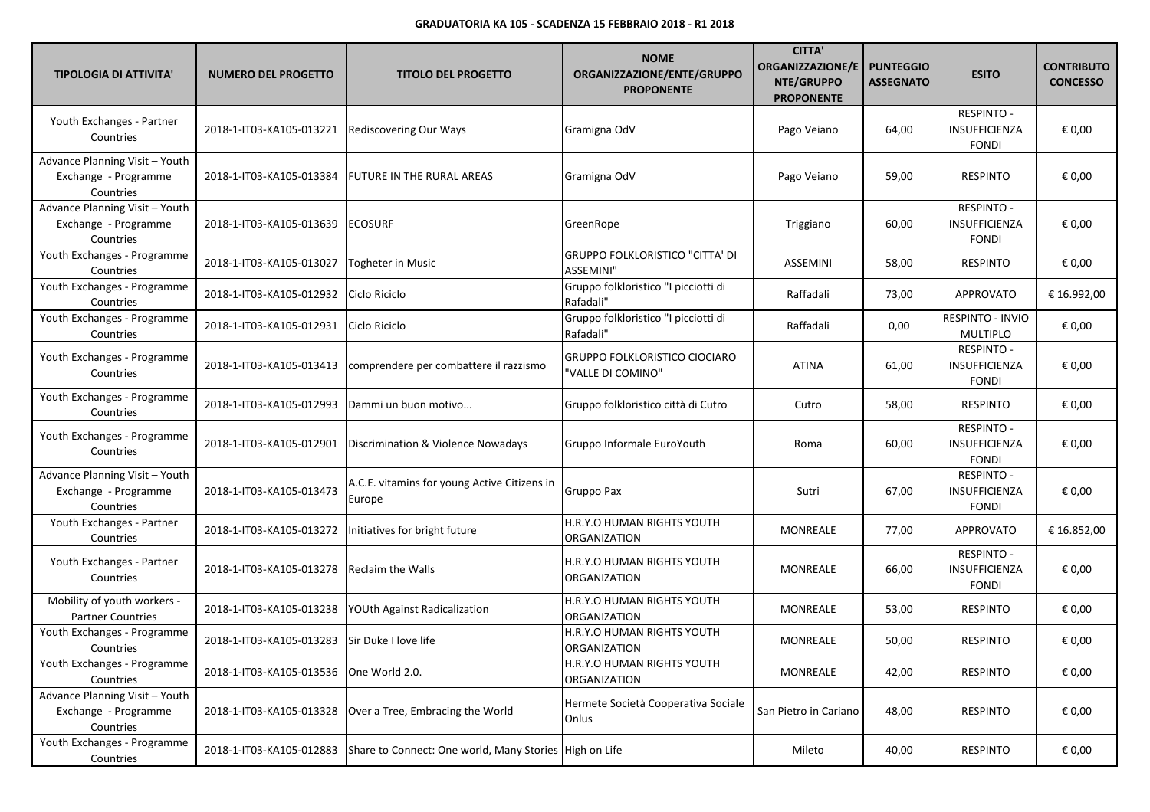| <b>TIPOLOGIA DI ATTIVITA'</b>                                       | <b>NUMERO DEL PROGETTO</b>              | <b>TITOLO DEL PROGETTO</b>                             | <b>NOME</b><br>ORGANIZZAZIONE/ENTE/GRUPPO<br><b>PROPONENTE</b> | <b>CITTA'</b><br><b>ORGANIZZAZIONE/E</b><br>NTE/GRUPPO<br><b>PROPONENTE</b> | <b>PUNTEGGIO</b><br><b>ASSEGNATO</b> | <b>ESITO</b>                                       | <b>CONTRIBUTO</b><br><b>CONCESSO</b> |
|---------------------------------------------------------------------|-----------------------------------------|--------------------------------------------------------|----------------------------------------------------------------|-----------------------------------------------------------------------------|--------------------------------------|----------------------------------------------------|--------------------------------------|
| Youth Exchanges - Partner<br>Countries                              | 2018-1-IT03-KA105-013221                | <b>Rediscovering Our Ways</b>                          | Gramigna OdV                                                   | Pago Veiano                                                                 | 64,00                                | RESPINTO -<br>INSUFFICIENZA<br><b>FONDI</b>        | € 0,00                               |
| Advance Planning Visit - Youth<br>Exchange - Programme<br>Countries | 2018-1-IT03-KA105-013384                | FUTURE IN THE RURAL AREAS                              | Gramigna OdV                                                   | Pago Veiano                                                                 | 59,00                                | <b>RESPINTO</b>                                    | € 0,00                               |
| Advance Planning Visit - Youth<br>Exchange - Programme<br>Countries | 2018-1-IT03-KA105-013639                | <b>ECOSURF</b>                                         | GreenRope                                                      | Triggiano                                                                   | 60,00                                | <b>RESPINTO -</b><br>INSUFFICIENZA<br><b>FONDI</b> | € 0,00                               |
| Youth Exchanges - Programme<br>Countries                            | 2018-1-IT03-KA105-013027                | <b>Togheter in Music</b>                               | <b>GRUPPO FOLKLORISTICO "CITTA' DI</b><br>ASSEMINI"            | <b>ASSEMINI</b>                                                             | 58,00                                | <b>RESPINTO</b>                                    | € 0,00                               |
| Youth Exchanges - Programme<br>Countries                            | 2018-1-IT03-KA105-012932                | Ciclo Riciclo                                          | Gruppo folkloristico "I picciotti di<br>Rafadali"              | Raffadali                                                                   | 73,00                                | <b>APPROVATO</b>                                   | € 16.992,00                          |
| Youth Exchanges - Programme<br>Countries                            | 2018-1-IT03-KA105-012931                | Ciclo Riciclo                                          | Gruppo folkloristico "I picciotti di<br>Rafadali"              | Raffadali                                                                   | 0,00                                 | RESPINTO - INVIO<br>MULTIPLO                       | € 0,00                               |
| Youth Exchanges - Programme<br>Countries                            | 2018-1-IT03-KA105-013413                | comprendere per combattere il razzismo                 | <b>GRUPPO FOLKLORISTICO CIOCIARO</b><br>'VALLE DI COMINO"      | <b>ATINA</b>                                                                | 61,00                                | RESPINTO -<br><b>INSUFFICIENZA</b><br><b>FONDI</b> | € 0,00                               |
| Youth Exchanges - Programme<br>Countries                            | 2018-1-IT03-KA105-012993                | Dammi un buon motivo                                   | Gruppo folkloristico città di Cutro                            | Cutro                                                                       | 58,00                                | <b>RESPINTO</b>                                    | € 0,00                               |
| Youth Exchanges - Programme<br>Countries                            | 2018-1-IT03-KA105-012901                | Discrimination & Violence Nowadays                     | Gruppo Informale EuroYouth                                     | Roma                                                                        | 60,00                                | RESPINTO -<br>INSUFFICIENZA<br><b>FONDI</b>        | € 0,00                               |
| Advance Planning Visit - Youth<br>Exchange - Programme<br>Countries | 2018-1-IT03-KA105-013473                | A.C.E. vitamins for young Active Citizens in<br>Europe | Gruppo Pax                                                     | Sutri                                                                       | 67,00                                | RESPINTO -<br>INSUFFICIENZA<br><b>FONDI</b>        | € 0,00                               |
| Youth Exchanges - Partner<br>Countries                              | 2018-1-IT03-KA105-013272                | Initiatives for bright future                          | H.R.Y.O HUMAN RIGHTS YOUTH<br>ORGANIZATION                     | <b>MONREALE</b>                                                             | 77,00                                | <b>APPROVATO</b>                                   | € 16.852,00                          |
| Youth Exchanges - Partner<br>Countries                              | 2018-1-IT03-KA105-013278                | <b>Reclaim the Walls</b>                               | H.R.Y.O HUMAN RIGHTS YOUTH<br>ORGANIZATION                     | <b>MONREALE</b>                                                             | 66,00                                | RESPINTO -<br><b>INSUFFICIENZA</b><br><b>FONDI</b> | € 0,00                               |
| Mobility of youth workers -<br><b>Partner Countries</b>             | 2018-1-IT03-KA105-013238                | YOUth Against Radicalization                           | H.R.Y.O HUMAN RIGHTS YOUTH<br>ORGANIZATION                     | MONREALE                                                                    | 53,00                                | <b>RESPINTO</b>                                    | € 0,00                               |
| Youth Exchanges - Programme<br>Countries                            | 2018-1-IT03-KA105-013283                | Sir Duke I love life                                   | H.R.Y.O HUMAN RIGHTS YOUTH<br><b>ORGANIZATION</b>              | MONREALE                                                                    | 50,00                                | <b>RESPINTO</b>                                    | € 0,00                               |
| Youth Exchanges - Programme<br>Countries                            | 2018-1-IT03-KA105-013536 One World 2.0. |                                                        | H.R.Y.O HUMAN RIGHTS YOUTH<br>ORGANIZATION                     | MONREALE                                                                    | 42,00                                | <b>RESPINTO</b>                                    | € 0,00                               |
| Advance Planning Visit - Youth<br>Exchange - Programme<br>Countries | 2018-1-IT03-KA105-013328                | Over a Tree, Embracing the World                       | Hermete Società Cooperativa Sociale<br>Onlus                   | San Pietro in Cariano                                                       | 48,00                                | <b>RESPINTO</b>                                    | € 0,00                               |
| Youth Exchanges - Programme<br>Countries                            | 2018-1-IT03-KA105-012883                | Share to Connect: One world, Many Stories              | High on Life                                                   | Mileto                                                                      | 40,00                                | <b>RESPINTO</b>                                    | € 0,00                               |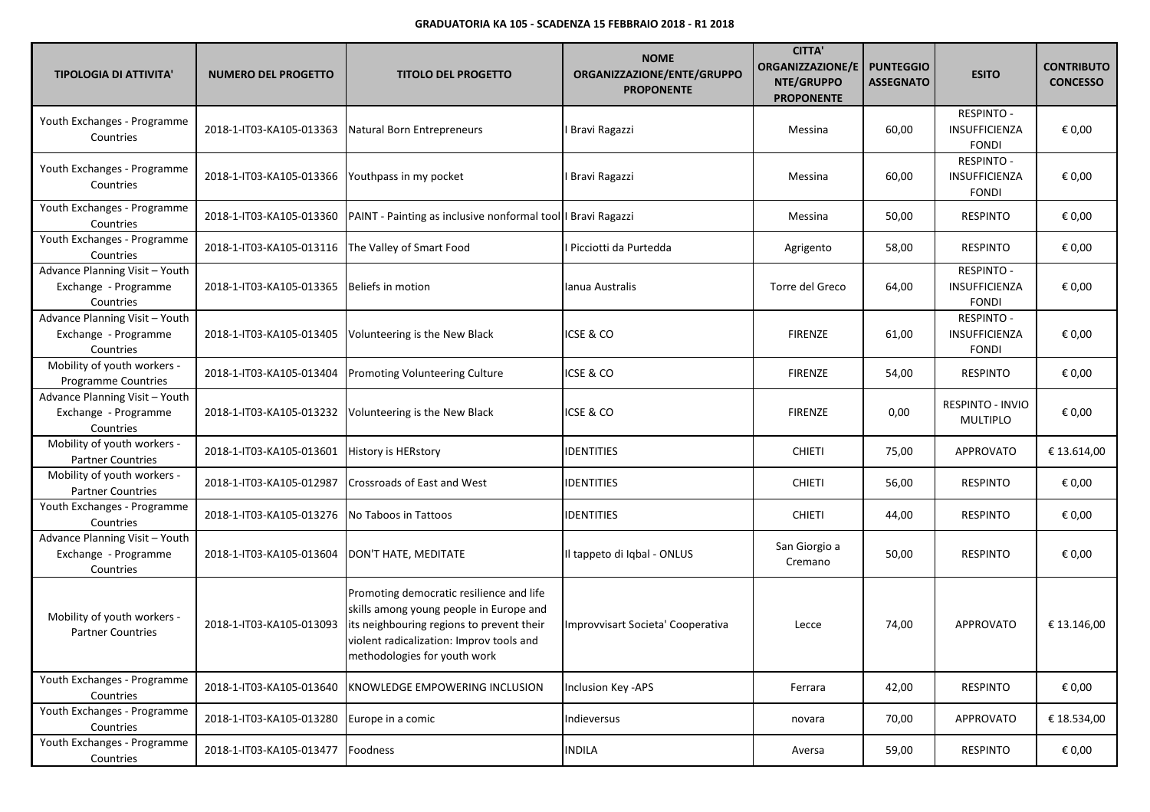| <b>TIPOLOGIA DI ATTIVITA'</b>                                       | <b>NUMERO DEL PROGETTO</b> | <b>TITOLO DEL PROGETTO</b>                                                                                                                                                                                   | <b>NOME</b><br>ORGANIZZAZIONE/ENTE/GRUPPO<br><b>PROPONENTE</b> | <b>CITTA'</b><br><b>ORGANIZZAZIONE/E</b><br>NTE/GRUPPO<br><b>PROPONENTE</b> | <b>PUNTEGGIO</b><br><b>ASSEGNATO</b> | <b>ESITO</b>                                              | <b>CONTRIBUTO</b><br><b>CONCESSO</b> |
|---------------------------------------------------------------------|----------------------------|--------------------------------------------------------------------------------------------------------------------------------------------------------------------------------------------------------------|----------------------------------------------------------------|-----------------------------------------------------------------------------|--------------------------------------|-----------------------------------------------------------|--------------------------------------|
| Youth Exchanges - Programme<br>Countries                            | 2018-1-IT03-KA105-013363   | Natural Born Entrepreneurs                                                                                                                                                                                   | Bravi Ragazzi                                                  | Messina                                                                     | 60,00                                | <b>RESPINTO -</b><br>INSUFFICIENZA<br><b>FONDI</b>        | € 0,00                               |
| Youth Exchanges - Programme<br>Countries                            | 2018-1-IT03-KA105-013366   | Youthpass in my pocket                                                                                                                                                                                       | Bravi Ragazzi                                                  | Messina                                                                     | 60,00                                | RESPINTO -<br><b>INSUFFICIENZA</b><br><b>FONDI</b>        | € 0,00                               |
| Youth Exchanges - Programme<br>Countries                            |                            | 2018-1-IT03-KA105-013360   PAINT - Painting as inclusive nonformal tool   Bravi Ragazzi                                                                                                                      |                                                                | Messina                                                                     | 50,00                                | <b>RESPINTO</b>                                           | € 0,00                               |
| Youth Exchanges - Programme<br>Countries                            | 2018-1-IT03-KA105-013116   | The Valley of Smart Food                                                                                                                                                                                     | Picciotti da Purtedda                                          | Agrigento                                                                   | 58,00                                | <b>RESPINTO</b>                                           | € 0,00                               |
| Advance Planning Visit - Youth<br>Exchange - Programme<br>Countries | 2018-1-IT03-KA105-013365   | Beliefs in motion                                                                                                                                                                                            | Ianua Australis                                                | Torre del Greco                                                             | 64,00                                | <b>RESPINTO -</b><br><b>INSUFFICIENZA</b><br><b>FONDI</b> | € 0,00                               |
| Advance Planning Visit - Youth<br>Exchange - Programme<br>Countries | 2018-1-IT03-KA105-013405   | Volunteering is the New Black                                                                                                                                                                                | icse & Co                                                      | <b>FIRENZE</b>                                                              | 61,00                                | <b>RESPINTO -</b><br><b>INSUFFICIENZA</b><br><b>FONDI</b> | € 0,00                               |
| Mobility of youth workers -<br>Programme Countries                  | 2018-1-IT03-KA105-013404   | Promoting Volunteering Culture                                                                                                                                                                               | icse & Co                                                      | <b>FIRENZE</b>                                                              | 54,00                                | <b>RESPINTO</b>                                           | € 0,00                               |
| Advance Planning Visit - Youth<br>Exchange - Programme<br>Countries | 2018-1-IT03-KA105-013232   | Volunteering is the New Black                                                                                                                                                                                | icse & Co                                                      | <b>FIRENZE</b>                                                              | 0,00                                 | RESPINTO - INVIO<br>MULTIPLO                              | € 0,00                               |
| Mobility of youth workers -<br><b>Partner Countries</b>             | 2018-1-IT03-KA105-013601   | <b>History is HERstory</b>                                                                                                                                                                                   | <b>IDENTITIES</b>                                              | <b>CHIETI</b>                                                               | 75,00                                | APPROVATO                                                 | € 13.614,00                          |
| Mobility of youth workers -<br><b>Partner Countries</b>             | 2018-1-IT03-KA105-012987   | <b>Crossroads of East and West</b>                                                                                                                                                                           | <b>IDENTITIES</b>                                              | <b>CHIETI</b>                                                               | 56,00                                | <b>RESPINTO</b>                                           | € 0,00                               |
| Youth Exchanges - Programme<br>Countries                            | 2018-1-IT03-KA105-013276   | No Taboos in Tattoos                                                                                                                                                                                         | <b>IDENTITIES</b>                                              | <b>CHIETI</b>                                                               | 44,00                                | <b>RESPINTO</b>                                           | € 0,00                               |
| Advance Planning Visit - Youth<br>Exchange - Programme<br>Countries | 2018-1-IT03-KA105-013604   | DON'T HATE, MEDITATE                                                                                                                                                                                         | Il tappeto di Iqbal - ONLUS                                    | San Giorgio a<br>Cremano                                                    | 50,00                                | <b>RESPINTO</b>                                           | € 0,00                               |
| Mobility of youth workers -<br><b>Partner Countries</b>             | 2018-1-IT03-KA105-013093   | Promoting democratic resilience and life<br>skills among young people in Europe and<br>its neighbouring regions to prevent their<br>violent radicalization: Improv tools and<br>methodologies for youth work | Improvvisart Societa' Cooperativa                              | Lecce                                                                       | 74,00                                | <b>APPROVATO</b>                                          | € 13.146,00                          |
| Youth Exchanges - Programme<br>Countries                            | 2018-1-IT03-KA105-013640   | KNOWLEDGE EMPOWERING INCLUSION                                                                                                                                                                               | Inclusion Key - APS                                            | Ferrara                                                                     | 42,00                                | <b>RESPINTO</b>                                           | € 0,00                               |
| Youth Exchanges - Programme<br>Countries                            | 2018-1-IT03-KA105-013280   | Europe in a comic                                                                                                                                                                                            | Indieversus                                                    | novara                                                                      | 70,00                                | <b>APPROVATO</b>                                          | € 18.534,00                          |
| Youth Exchanges - Programme<br>Countries                            | 2018-1-IT03-KA105-013477   | Foodness                                                                                                                                                                                                     | <b>INDILA</b>                                                  | Aversa                                                                      | 59,00                                | <b>RESPINTO</b>                                           | € 0,00                               |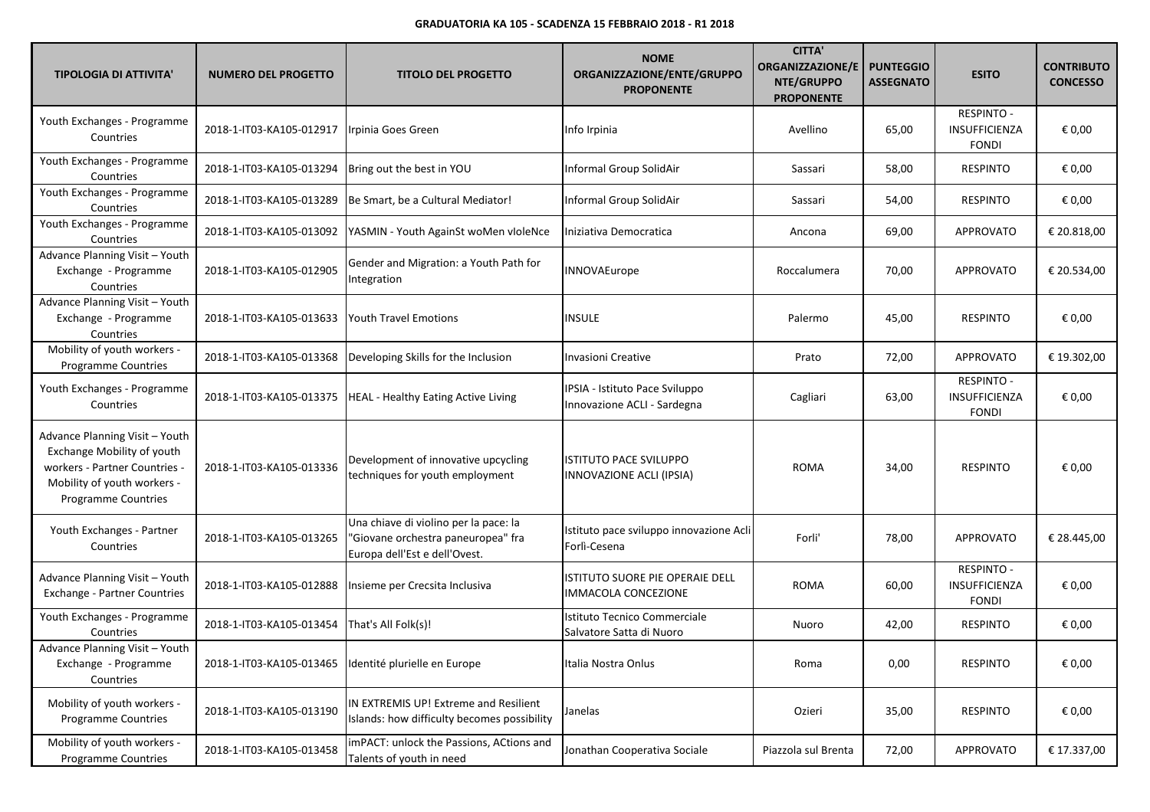| <b>TIPOLOGIA DI ATTIVITA'</b>                                                                                                                       | <b>NUMERO DEL PROGETTO</b> | <b>TITOLO DEL PROGETTO</b>                                                                                   | <b>NOME</b><br>ORGANIZZAZIONE/ENTE/GRUPPO<br><b>PROPONENTE</b> | <b>CITTA'</b><br><b>ORGANIZZAZIONE/E</b><br>NTE/GRUPPO<br><b>PROPONENTE</b> | <b>PUNTEGGIO</b><br><b>ASSEGNATO</b> | <b>ESITO</b>                                              | <b>CONTRIBUTO</b><br><b>CONCESSO</b> |
|-----------------------------------------------------------------------------------------------------------------------------------------------------|----------------------------|--------------------------------------------------------------------------------------------------------------|----------------------------------------------------------------|-----------------------------------------------------------------------------|--------------------------------------|-----------------------------------------------------------|--------------------------------------|
| Youth Exchanges - Programme<br>Countries                                                                                                            | 2018-1-IT03-KA105-012917   | Irpinia Goes Green                                                                                           | Info Irpinia                                                   | Avellino                                                                    | 65,00                                | <b>RESPINTO -</b><br>INSUFFICIENZA<br><b>FONDI</b>        | € 0,00                               |
| Youth Exchanges - Programme<br>Countries                                                                                                            | 2018-1-IT03-KA105-013294   | Bring out the best in YOU                                                                                    | Informal Group SolidAir                                        | Sassari                                                                     | 58,00                                | <b>RESPINTO</b>                                           | € 0,00                               |
| Youth Exchanges - Programme<br>Countries                                                                                                            | 2018-1-IT03-KA105-013289   | Be Smart, be a Cultural Mediator!                                                                            | Informal Group SolidAir                                        | Sassari                                                                     | 54,00                                | <b>RESPINTO</b>                                           | € 0,00                               |
| Youth Exchanges - Programme<br>Countries                                                                                                            | 2018-1-IT03-KA105-013092   | YASMIN - Youth AgainSt woMen vloleNce                                                                        | Iniziativa Democratica                                         | Ancona                                                                      | 69,00                                | APPROVATO                                                 | € 20.818,00                          |
| Advance Planning Visit - Youth<br>Exchange - Programme<br>Countries                                                                                 | 2018-1-IT03-KA105-012905   | Gender and Migration: a Youth Path for<br>Integration                                                        | INNOVAEurope                                                   | Roccalumera                                                                 | 70,00                                | <b>APPROVATO</b>                                          | € 20.534,00                          |
| Advance Planning Visit - Youth<br>Exchange - Programme<br>Countries                                                                                 | 2018-1-IT03-KA105-013633   | <b>Youth Travel Emotions</b>                                                                                 | <b>INSULE</b>                                                  | Palermo                                                                     | 45,00                                | <b>RESPINTO</b>                                           | € 0,00                               |
| Mobility of youth workers -<br>Programme Countries                                                                                                  | 2018-1-IT03-KA105-013368   | Developing Skills for the Inclusion                                                                          | <b>Invasioni Creative</b>                                      | Prato                                                                       | 72,00                                | <b>APPROVATO</b>                                          | € 19.302,00                          |
| Youth Exchanges - Programme<br>Countries                                                                                                            | 2018-1-IT03-KA105-013375   | <b>HEAL</b> - Healthy Eating Active Living                                                                   | IPSIA - Istituto Pace Sviluppo<br>Innovazione ACLI - Sardegna  | Cagliari                                                                    | 63,00                                | <b>RESPINTO -</b><br>INSUFFICIENZA<br><b>FONDI</b>        | € 0,00                               |
| Advance Planning Visit - Youth<br>Exchange Mobility of youth<br>workers - Partner Countries -<br>Mobility of youth workers -<br>Programme Countries | 2018-1-IT03-KA105-013336   | Development of innovative upcycling<br>techniques for youth employment                                       | <b>ISTITUTO PACE SVILUPPO</b><br>INNOVAZIONE ACLI (IPSIA)      | <b>ROMA</b>                                                                 | 34,00                                | <b>RESPINTO</b>                                           | € 0,00                               |
| Youth Exchanges - Partner<br>Countries                                                                                                              | 2018-1-IT03-KA105-013265   | Una chiave di violino per la pace: la<br>'Giovane orchestra paneuropea" fra<br>Europa dell'Est e dell'Ovest. | Istituto pace sviluppo innovazione Acli<br>Forlì-Cesena        | Forli'                                                                      | 78,00                                | APPROVATO                                                 | € 28.445,00                          |
| Advance Planning Visit - Youth<br><b>Exchange - Partner Countries</b>                                                                               | 2018-1-IT03-KA105-012888   | Insieme per Crecsita Inclusiva                                                                               | ISTITUTO SUORE PIE OPERAIE DELL<br>IMMACOLA CONCEZIONE         | ROMA                                                                        | 60,00                                | <b>RESPINTO -</b><br><b>INSUFFICIENZA</b><br><b>FONDI</b> | € 0,00                               |
| Youth Exchanges - Programme<br>Countries                                                                                                            | 2018-1-IT03-KA105-013454   | That's All Folk(s)!                                                                                          | Istituto Tecnico Commerciale<br>Salvatore Satta di Nuoro       | Nuoro                                                                       | 42,00                                | <b>RESPINTO</b>                                           | € 0,00                               |
| Advance Planning Visit - Youth<br>Exchange - Programme<br>Countries                                                                                 | 2018-1-IT03-KA105-013465   | Identité plurielle en Europe                                                                                 | Italia Nostra Onlus                                            | Roma                                                                        | 0,00                                 | <b>RESPINTO</b>                                           | € 0,00                               |
| Mobility of youth workers -<br><b>Programme Countries</b>                                                                                           | 2018-1-IT03-KA105-013190   | IN EXTREMIS UP! Extreme and Resilient<br>Islands: how difficulty becomes possibility                         | Janelas                                                        | Ozieri                                                                      | 35,00                                | <b>RESPINTO</b>                                           | € 0,00                               |
| Mobility of youth workers -<br>Programme Countries                                                                                                  | 2018-1-IT03-KA105-013458   | imPACT: unlock the Passions, ACtions and<br>Talents of youth in need                                         | Jonathan Cooperativa Sociale                                   | Piazzola sul Brenta                                                         | 72,00                                | APPROVATO                                                 | € 17.337,00                          |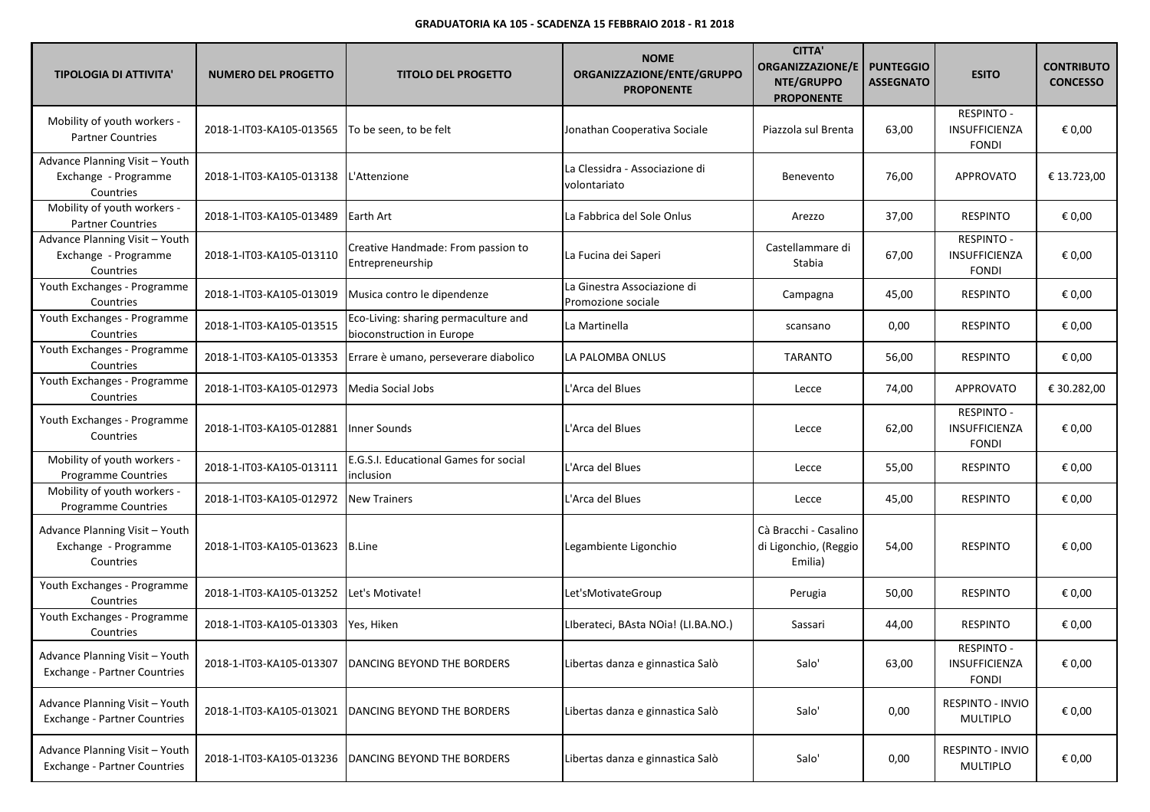| <b>TIPOLOGIA DI ATTIVITA'</b>                                         | <b>NUMERO DEL PROGETTO</b> | <b>TITOLO DEL PROGETTO</b>                                        | <b>NOME</b><br>ORGANIZZAZIONE/ENTE/GRUPPO<br><b>PROPONENTE</b> | <b>CITTA'</b><br><b>ORGANIZZAZIONE/E</b><br>NTE/GRUPPO<br><b>PROPONENTE</b> | <b>PUNTEGGIO</b><br><b>ASSEGNATO</b> | <b>ESITO</b>                                       | <b>CONTRIBUTO</b><br><b>CONCESSO</b> |
|-----------------------------------------------------------------------|----------------------------|-------------------------------------------------------------------|----------------------------------------------------------------|-----------------------------------------------------------------------------|--------------------------------------|----------------------------------------------------|--------------------------------------|
| Mobility of youth workers -<br><b>Partner Countries</b>               | 2018-1-IT03-KA105-013565   | To be seen, to be felt                                            | Jonathan Cooperativa Sociale                                   | Piazzola sul Brenta                                                         | 63,00                                | <b>RESPINTO -</b><br>INSUFFICIENZA<br><b>FONDI</b> | € 0,00                               |
| Advance Planning Visit - Youth<br>Exchange - Programme<br>Countries   | 2018-1-IT03-KA105-013138   | L'Attenzione                                                      | La Clessidra - Associazione di<br>volontariato                 | Benevento                                                                   | 76,00                                | <b>APPROVATO</b>                                   | € 13.723,00                          |
| Mobility of youth workers -<br><b>Partner Countries</b>               | 2018-1-IT03-KA105-013489   | Earth Art                                                         | La Fabbrica del Sole Onlus                                     | Arezzo                                                                      | 37,00                                | <b>RESPINTO</b>                                    | € 0,00                               |
| Advance Planning Visit - Youth<br>Exchange - Programme<br>Countries   | 2018-1-IT03-KA105-013110   | Creative Handmade: From passion to<br>Entrepreneurship            | La Fucina dei Saperi                                           | Castellammare di<br>Stabia                                                  | 67,00                                | <b>RESPINTO -</b><br>INSUFFICIENZA<br><b>FONDI</b> | € 0,00                               |
| Youth Exchanges - Programme<br>Countries                              | 2018-1-IT03-KA105-013019   | Musica contro le dipendenze                                       | La Ginestra Associazione di<br>Promozione sociale              | Campagna                                                                    | 45,00                                | <b>RESPINTO</b>                                    | € 0,00                               |
| Youth Exchanges - Programme<br>Countries                              | 2018-1-IT03-KA105-013515   | Eco-Living: sharing permaculture and<br>bioconstruction in Europe | La Martinella                                                  | scansano                                                                    | 0,00                                 | <b>RESPINTO</b>                                    | € 0,00                               |
| Youth Exchanges - Programme<br>Countries                              | 2018-1-IT03-KA105-013353   | Errare è umano, perseverare diabolico                             | LA PALOMBA ONLUS                                               | <b>TARANTO</b>                                                              | 56,00                                | <b>RESPINTO</b>                                    | € 0,00                               |
| Youth Exchanges - Programme<br>Countries                              | 2018-1-IT03-KA105-012973   | Media Social Jobs                                                 | L'Arca del Blues                                               | Lecce                                                                       | 74,00                                | APPROVATO                                          | € 30.282,00                          |
| Youth Exchanges - Programme<br>Countries                              | 2018-1-IT03-KA105-012881   | Inner Sounds                                                      | L'Arca del Blues                                               | Lecce                                                                       | 62,00                                | <b>RESPINTO -</b><br>INSUFFICIENZA<br><b>FONDI</b> | € 0,00                               |
| Mobility of youth workers -<br>Programme Countries                    | 2018-1-IT03-KA105-013111   | E.G.S.I. Educational Games for social<br>inclusion                | L'Arca del Blues                                               | Lecce                                                                       | 55,00                                | <b>RESPINTO</b>                                    | € 0,00                               |
| Mobility of youth workers -<br>Programme Countries                    | 2018-1-IT03-KA105-012972   | <b>New Trainers</b>                                               | L'Arca del Blues                                               | Lecce                                                                       | 45,00                                | <b>RESPINTO</b>                                    | € 0,00                               |
| Advance Planning Visit - Youth<br>Exchange - Programme<br>Countries   | 2018-1-IT03-KA105-013623   | B.Line                                                            | Legambiente Ligonchio                                          | Cà Bracchi - Casalino<br>di Ligonchio, (Reggio<br>Emilia)                   | 54,00                                | <b>RESPINTO</b>                                    | € 0,00                               |
| Youth Exchanges - Programme<br>Countries                              | 2018-1-IT03-KA105-013252   | Let's Motivate!                                                   | Let'sMotivateGroup                                             | Perugia                                                                     | 50,00                                | <b>RESPINTO</b>                                    | € 0,00                               |
| Youth Exchanges - Programme<br>Countries                              | 2018-1-IT03-KA105-013303   | Yes, Hiken                                                        | LIberateci, BAsta NOia! (LI.BA.NO.)                            | Sassari                                                                     | 44,00                                | <b>RESPINTO</b>                                    | € 0,00                               |
| Advance Planning Visit - Youth<br><b>Exchange - Partner Countries</b> | 2018-1-IT03-KA105-013307   | DANCING BEYOND THE BORDERS                                        | Libertas danza e ginnastica Salò                               | Salo'                                                                       | 63,00                                | <b>RESPINTO -</b><br>INSUFFICIENZA<br><b>FONDI</b> | € 0,00                               |
| Advance Planning Visit - Youth<br>Exchange - Partner Countries        | 2018-1-IT03-KA105-013021   | DANCING BEYOND THE BORDERS                                        | Libertas danza e ginnastica Salò                               | Salo'                                                                       | 0,00                                 | RESPINTO - INVIO<br>MULTIPLO                       | € 0,00                               |
| Advance Planning Visit - Youth<br>Exchange - Partner Countries        | 2018-1-IT03-KA105-013236   | DANCING BEYOND THE BORDERS                                        | Libertas danza e ginnastica Salò                               | Salo'                                                                       | 0,00                                 | RESPINTO - INVIO<br>MULTIPLO                       | € 0,00                               |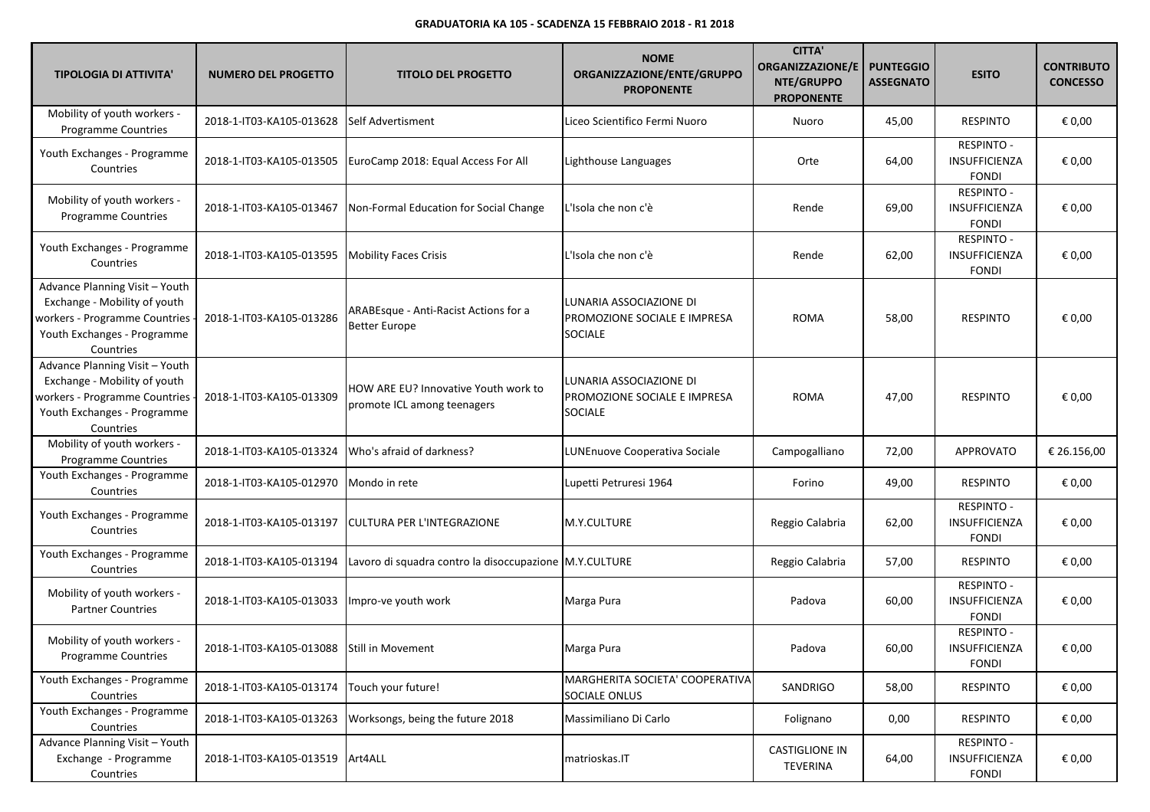| <b>TIPOLOGIA DI ATTIVITA'</b>                                                                                                               | <b>NUMERO DEL PROGETTO</b>                 | <b>TITOLO DEL PROGETTO</b>                                          | <b>NOME</b><br>ORGANIZZAZIONE/ENTE/GRUPPO<br><b>PROPONENTE</b>            | <b>CITTA'</b><br><b>ORGANIZZAZIONE/E</b><br>NTE/GRUPPO<br><b>PROPONENTE</b> | <b>PUNTEGGIO</b><br><b>ASSEGNATO</b> | <b>ESITO</b>                                              | <b>CONTRIBUTO</b><br><b>CONCESSO</b> |
|---------------------------------------------------------------------------------------------------------------------------------------------|--------------------------------------------|---------------------------------------------------------------------|---------------------------------------------------------------------------|-----------------------------------------------------------------------------|--------------------------------------|-----------------------------------------------------------|--------------------------------------|
| Mobility of youth workers -<br>Programme Countries                                                                                          | 2018-1-IT03-KA105-013628                   | Self Advertisment                                                   | Liceo Scientifico Fermi Nuoro                                             | Nuoro                                                                       | 45,00                                | <b>RESPINTO</b>                                           | € 0,00                               |
| Youth Exchanges - Programme<br>Countries                                                                                                    | 2018-1-IT03-KA105-013505                   | EuroCamp 2018: Equal Access For All                                 | Lighthouse Languages                                                      | Orte                                                                        | 64,00                                | <b>RESPINTO -</b><br><b>INSUFFICIENZA</b><br><b>FONDI</b> | € 0,00                               |
| Mobility of youth workers -<br><b>Programme Countries</b>                                                                                   | 2018-1-IT03-KA105-013467                   | Non-Formal Education for Social Change                              | L'Isola che non c'è                                                       | Rende                                                                       | 69,00                                | <b>RESPINTO -</b><br><b>INSUFFICIENZA</b><br><b>FONDI</b> | € 0,00                               |
| Youth Exchanges - Programme<br>Countries                                                                                                    | 2018-1-IT03-KA105-013595                   | <b>Mobility Faces Crisis</b>                                        | L'Isola che non c'è                                                       | Rende                                                                       | 62,00                                | RESPINTO -<br><b>INSUFFICIENZA</b><br><b>FONDI</b>        | € 0,00                               |
| Advance Planning Visit - Youth<br>Exchange - Mobility of youth<br>workers - Programme Countries<br>Youth Exchanges - Programme<br>Countries | 2018-1-IT03-KA105-013286                   | ARABEsque - Anti-Racist Actions for a<br><b>Better Europe</b>       | LUNARIA ASSOCIAZIONE DI<br>PROMOZIONE SOCIALE E IMPRESA<br><b>SOCIALE</b> | <b>ROMA</b>                                                                 | 58,00                                | <b>RESPINTO</b>                                           | € 0,00                               |
| Advance Planning Visit - Youth<br>Exchange - Mobility of youth<br>workers - Programme Countries<br>Youth Exchanges - Programme<br>Countries | 2018-1-IT03-KA105-013309                   | HOW ARE EU? Innovative Youth work to<br>promote ICL among teenagers | LUNARIA ASSOCIAZIONE DI<br>PROMOZIONE SOCIALE E IMPRESA<br><b>SOCIALE</b> | <b>ROMA</b>                                                                 | 47,00                                | <b>RESPINTO</b>                                           | € 0,00                               |
| Mobility of youth workers -<br>Programme Countries                                                                                          | 2018-1-IT03-KA105-013324                   | Who's afraid of darkness?                                           | LUNEnuove Cooperativa Sociale                                             | Campogalliano                                                               | 72,00                                | <b>APPROVATO</b>                                          | € 26.156,00                          |
| Youth Exchanges - Programme<br>Countries                                                                                                    | 2018-1-IT03-KA105-012970                   | Mondo in rete                                                       | Lupetti Petruresi 1964                                                    | Forino                                                                      | 49,00                                | <b>RESPINTO</b>                                           | € 0,00                               |
| Youth Exchanges - Programme<br>Countries                                                                                                    | 2018-1-IT03-KA105-013197                   | <b>CULTURA PER L'INTEGRAZIONE</b>                                   | M.Y.CULTURE                                                               | Reggio Calabria                                                             | 62,00                                | <b>RESPINTO -</b><br>INSUFFICIENZA<br><b>FONDI</b>        | € 0,00                               |
| Youth Exchanges - Programme<br>Countries                                                                                                    | 2018-1-IT03-KA105-013194                   | Lavoro di squadra contro la disoccupazione M.Y.CULTURE              |                                                                           | Reggio Calabria                                                             | 57,00                                | <b>RESPINTO</b>                                           | € 0,00                               |
| Mobility of youth workers -<br><b>Partner Countries</b>                                                                                     | 2018-1-IT03-KA105-013033                   | Impro-ve youth work                                                 | Marga Pura                                                                | Padova                                                                      | 60,00                                | RESPINTO -<br>INSUFFICIENZA<br><b>FONDI</b>               | € 0,00                               |
| Mobility of youth workers -<br>Programme Countries                                                                                          | 2018-1-IT03-KA105-013088 Still in Movement |                                                                     | Marga Pura                                                                | Padova                                                                      | 60,00                                | <b>RESPINTO -</b><br><b>INSUFFICIENZA</b><br><b>FONDI</b> | € 0,00                               |
| Youth Exchanges - Programme<br>Countries                                                                                                    | 2018-1-IT03-KA105-013174                   | Touch your future!                                                  | MARGHERITA SOCIETA' COOPERATIVA<br>SOCIALE ONLUS                          | SANDRIGO                                                                    | 58,00                                | <b>RESPINTO</b>                                           | € 0,00                               |
| Youth Exchanges - Programme<br>Countries                                                                                                    | 2018-1-IT03-KA105-013263                   | Worksongs, being the future 2018                                    | Massimiliano Di Carlo                                                     | Folignano                                                                   | 0,00                                 | <b>RESPINTO</b>                                           | € 0,00                               |
| Advance Planning Visit - Youth<br>Exchange - Programme<br>Countries                                                                         | 2018-1-IT03-KA105-013519 Art4ALL           |                                                                     | matrioskas.IT                                                             | <b>CASTIGLIONE IN</b><br>TEVERINA                                           | 64,00                                | <b>RESPINTO -</b><br>INSUFFICIENZA<br><b>FONDI</b>        | € 0,00                               |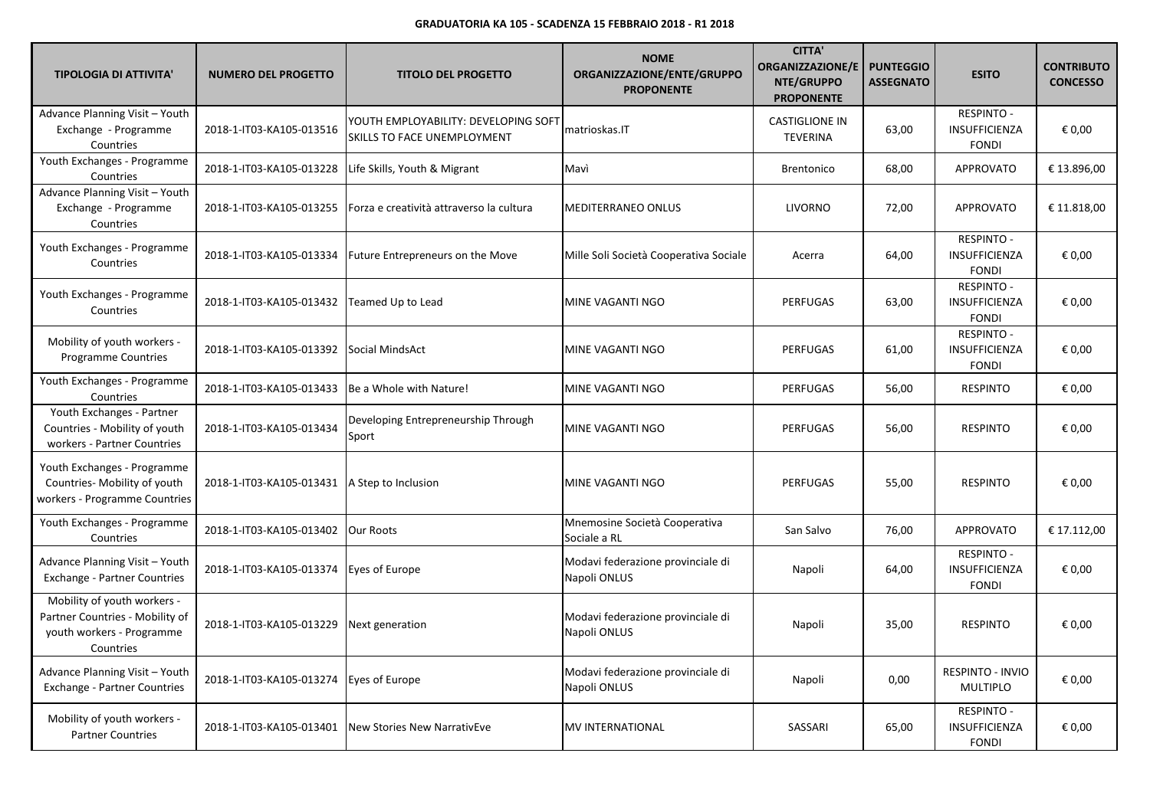| <b>TIPOLOGIA DI ATTIVITA'</b>                                                                            | <b>NUMERO DEL PROGETTO</b> | <b>TITOLO DEL PROGETTO</b>                                          | <b>NOME</b><br>ORGANIZZAZIONE/ENTE/GRUPPO<br><b>PROPONENTE</b> | <b>CITTA'</b><br><b>ORGANIZZAZIONE/E</b><br>NTE/GRUPPO<br><b>PROPONENTE</b> | <b>PUNTEGGIO</b><br><b>ASSEGNATO</b> | <b>ESITO</b>                                       | <b>CONTRIBUTO</b><br><b>CONCESSO</b> |
|----------------------------------------------------------------------------------------------------------|----------------------------|---------------------------------------------------------------------|----------------------------------------------------------------|-----------------------------------------------------------------------------|--------------------------------------|----------------------------------------------------|--------------------------------------|
| Advance Planning Visit - Youth<br>Exchange - Programme<br>Countries                                      | 2018-1-IT03-KA105-013516   | YOUTH EMPLOYABILITY: DEVELOPING SOFT<br>SKILLS TO FACE UNEMPLOYMENT | matrioskas.IT                                                  | <b>CASTIGLIONE IN</b><br><b>TEVERINA</b>                                    | 63,00                                | <b>RESPINTO -</b><br>INSUFFICIENZA<br><b>FONDI</b> | € 0.00                               |
| Youth Exchanges - Programme<br>Countries                                                                 | 2018-1-IT03-KA105-013228   | Life Skills, Youth & Migrant                                        | Mavì                                                           | <b>Brentonico</b>                                                           | 68,00                                | <b>APPROVATO</b>                                   | € 13.896,00                          |
| Advance Planning Visit - Youth<br>Exchange - Programme<br>Countries                                      | 2018-1-IT03-KA105-013255   | Forza e creatività attraverso la cultura                            | <b>MEDITERRANEO ONLUS</b>                                      | LIVORNO                                                                     | 72,00                                | <b>APPROVATO</b>                                   | € 11.818,00                          |
| Youth Exchanges - Programme<br>Countries                                                                 | 2018-1-IT03-KA105-013334   | Future Entrepreneurs on the Move                                    | Mille Soli Società Cooperativa Sociale                         | Acerra                                                                      | 64,00                                | <b>RESPINTO -</b><br>INSUFFICIENZA<br><b>FONDI</b> | € 0,00                               |
| Youth Exchanges - Programme<br>Countries                                                                 | 2018-1-IT03-KA105-013432   | Teamed Up to Lead                                                   | MINE VAGANTI NGO                                               | PERFUGAS                                                                    | 63,00                                | <b>RESPINTO -</b><br>INSUFFICIENZA<br><b>FONDI</b> | € 0,00                               |
| Mobility of youth workers -<br><b>Programme Countries</b>                                                | 2018-1-IT03-KA105-013392   | Social MindsAct                                                     | MINE VAGANTI NGO                                               | PERFUGAS                                                                    | 61,00                                | <b>RESPINTO -</b><br>INSUFFICIENZA<br><b>FONDI</b> | € 0,00                               |
| Youth Exchanges - Programme<br>Countries                                                                 | 2018-1-IT03-KA105-013433   | Be a Whole with Nature!                                             | MINE VAGANTI NGO                                               | <b>PERFUGAS</b>                                                             | 56,00                                | <b>RESPINTO</b>                                    | € 0,00                               |
| Youth Exchanges - Partner<br>Countries - Mobility of youth<br>workers - Partner Countries                | 2018-1-IT03-KA105-013434   | Developing Entrepreneurship Through<br>Sport                        | MINE VAGANTI NGO                                               | PERFUGAS                                                                    | 56,00                                | <b>RESPINTO</b>                                    | € 0,00                               |
| Youth Exchanges - Programme<br>Countries- Mobility of youth<br>workers - Programme Countries             | 2018-1-IT03-KA105-013431   | A Step to Inclusion                                                 | MINE VAGANTI NGO                                               | PERFUGAS                                                                    | 55,00                                | <b>RESPINTO</b>                                    | € 0,00                               |
| Youth Exchanges - Programme<br>Countries                                                                 | 2018-1-IT03-KA105-013402   | <b>Our Roots</b>                                                    | Mnemosine Società Cooperativa<br>Sociale a RL                  | San Salvo                                                                   | 76,00                                | <b>APPROVATO</b>                                   | € 17.112,00                          |
| Advance Planning Visit - Youth<br>Exchange - Partner Countries                                           | 2018-1-IT03-KA105-013374   | Eyes of Europe                                                      | Modavi federazione provinciale di<br>Napoli ONLUS              | Napoli                                                                      | 64,00                                | <b>RESPINTO -</b><br>INSUFFICIENZA<br><b>FONDI</b> | € 0,00                               |
| Mobility of youth workers -<br>Partner Countries - Mobility of<br>youth workers - Programme<br>Countries | 2018-1-IT03-KA105-013229   | Next generation                                                     | Modavi federazione provinciale di<br>Napoli ONLUS              | Napoli                                                                      | 35,00                                | <b>RESPINTO</b>                                    | € 0,00                               |
| Advance Planning Visit - Youth<br><b>Exchange - Partner Countries</b>                                    | 2018-1-IT03-KA105-013274   | Eyes of Europe                                                      | Modavi federazione provinciale di<br>Napoli ONLUS              | Napoli                                                                      | 0,00                                 | <b>RESPINTO - INVIO</b><br><b>MULTIPLO</b>         | € 0,00                               |
| Mobility of youth workers -<br><b>Partner Countries</b>                                                  | 2018-1-IT03-KA105-013401   | New Stories New NarrativEve                                         | <b>MV INTERNATIONAL</b>                                        | <b>SASSARI</b>                                                              | 65,00                                | RESPINTO -<br>INSUFFICIENZA<br><b>FONDI</b>        | € 0,00                               |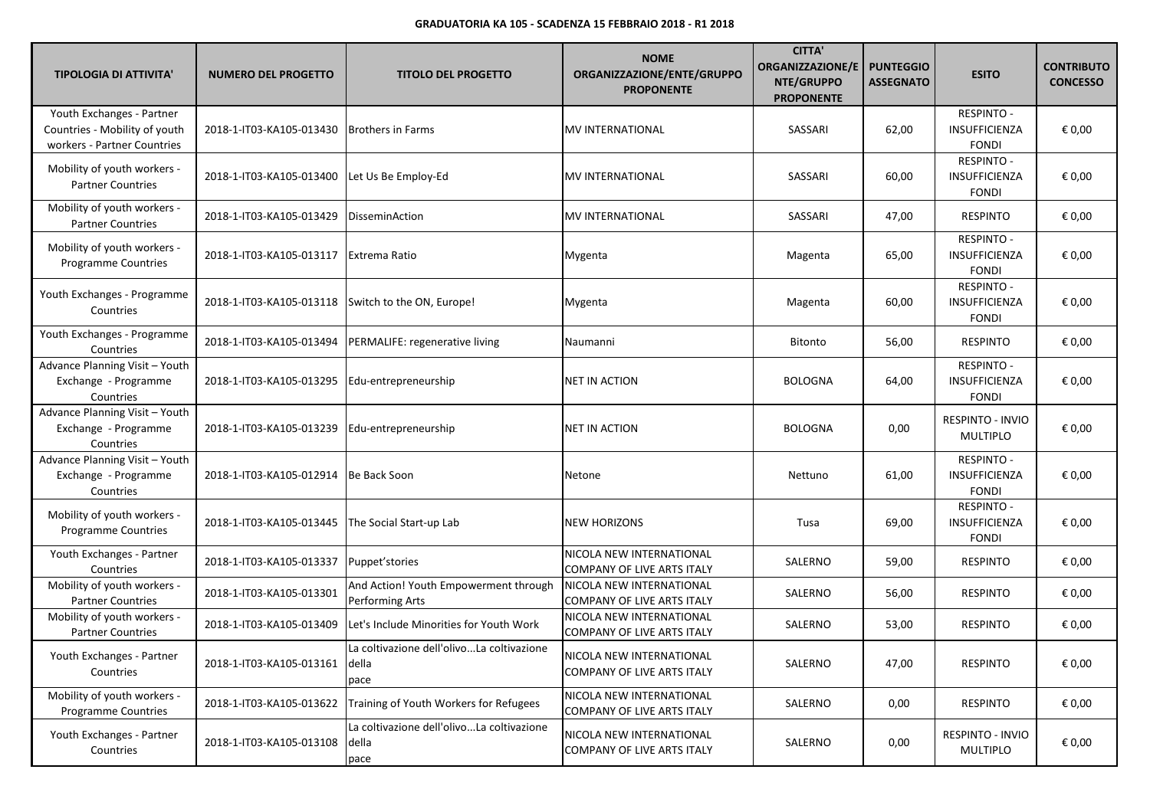| <b>TIPOLOGIA DI ATTIVITA'</b>                                                             | <b>NUMERO DEL PROGETTO</b>                         | <b>TITOLO DEL PROGETTO</b>                                 | <b>NOME</b><br>ORGANIZZAZIONE/ENTE/GRUPPO<br><b>PROPONENTE</b> | <b>CITTA'</b><br><b>ORGANIZZAZIONE/E</b><br>NTE/GRUPPO<br><b>PROPONENTE</b> | <b>PUNTEGGIO</b><br><b>ASSEGNATO</b> | <b>ESITO</b>                                              | <b>CONTRIBUTO</b><br><b>CONCESSO</b> |
|-------------------------------------------------------------------------------------------|----------------------------------------------------|------------------------------------------------------------|----------------------------------------------------------------|-----------------------------------------------------------------------------|--------------------------------------|-----------------------------------------------------------|--------------------------------------|
| Youth Exchanges - Partner<br>Countries - Mobility of youth<br>workers - Partner Countries | 2018-1-IT03-KA105-013430                           | <b>Brothers in Farms</b>                                   | MV INTERNATIONAL                                               | SASSARI                                                                     | 62,00                                | RESPINTO -<br><b>INSUFFICIENZA</b><br><b>FONDI</b>        | € 0,00                               |
| Mobility of youth workers -<br><b>Partner Countries</b>                                   | 2018-1-IT03-KA105-013400                           | Let Us Be Employ-Ed                                        | MV INTERNATIONAL                                               | SASSARI                                                                     | 60,00                                | <b>RESPINTO -</b><br>INSUFFICIENZA<br><b>FONDI</b>        | € 0,00                               |
| Mobility of youth workers -<br><b>Partner Countries</b>                                   | 2018-1-IT03-KA105-013429                           | DisseminAction                                             | MV INTERNATIONAL                                               | SASSARI                                                                     | 47,00                                | <b>RESPINTO</b>                                           | € 0,00                               |
| Mobility of youth workers -<br>Programme Countries                                        | 2018-1-IT03-KA105-013117                           | <b>Extrema Ratio</b>                                       | Mygenta                                                        | Magenta                                                                     | 65,00                                | RESPINTO -<br><b>INSUFFICIENZA</b><br><b>FONDI</b>        | € 0,00                               |
| Youth Exchanges - Programme<br>Countries                                                  | 2018-1-IT03-KA105-013118 Switch to the ON, Europe! |                                                            | Mygenta                                                        | Magenta                                                                     | 60,00                                | RESPINTO -<br><b>INSUFFICIENZA</b><br><b>FONDI</b>        | € 0,00                               |
| Youth Exchanges - Programme<br>Countries                                                  | 2018-1-IT03-KA105-013494                           | PERMALIFE: regenerative living                             | Naumanni                                                       | Bitonto                                                                     | 56,00                                | <b>RESPINTO</b>                                           | € 0,00                               |
| Advance Planning Visit - Youth<br>Exchange - Programme<br>Countries                       | 2018-1-IT03-KA105-013295                           | Edu-entrepreneurship                                       | NET IN ACTION                                                  | <b>BOLOGNA</b>                                                              | 64,00                                | RESPINTO -<br><b>INSUFFICIENZA</b><br><b>FONDI</b>        | € 0,00                               |
| Advance Planning Visit - Youth<br>Exchange - Programme<br>Countries                       | 2018-1-IT03-KA105-013239                           | Edu-entrepreneurship                                       | NET IN ACTION                                                  | <b>BOLOGNA</b>                                                              | 0,00                                 | <b>RESPINTO - INVIO</b><br><b>MULTIPLO</b>                | € 0,00                               |
| Advance Planning Visit - Youth<br>Exchange - Programme<br>Countries                       | 2018-1-IT03-KA105-012914                           | Be Back Soon                                               | Netone                                                         | Nettuno                                                                     | 61,00                                | <b>RESPINTO -</b><br>INSUFFICIENZA<br><b>FONDI</b>        | € 0,00                               |
| Mobility of youth workers -<br><b>Programme Countries</b>                                 | 2018-1-IT03-KA105-013445                           | The Social Start-up Lab                                    | <b>NEW HORIZONS</b>                                            | Tusa                                                                        | 69,00                                | <b>RESPINTO -</b><br><b>INSUFFICIENZA</b><br><b>FONDI</b> | € 0,00                               |
| Youth Exchanges - Partner<br>Countries                                                    | 2018-1-IT03-KA105-013337                           | Puppet'stories                                             | NICOLA NEW INTERNATIONAL<br>COMPANY OF LIVE ARTS ITALY         | SALERNO                                                                     | 59,00                                | <b>RESPINTO</b>                                           | € 0,00                               |
| Mobility of youth workers -<br><b>Partner Countries</b>                                   | 2018-1-IT03-KA105-013301                           | And Action! Youth Empowerment through<br>Performing Arts   | NICOLA NEW INTERNATIONAL<br>COMPANY OF LIVE ARTS ITALY         | SALERNO                                                                     | 56,00                                | <b>RESPINTO</b>                                           | € 0,00                               |
| Mobility of youth workers -<br><b>Partner Countries</b>                                   | 2018-1-IT03-KA105-013409                           | Let's Include Minorities for Youth Work                    | NICOLA NEW INTERNATIONAL<br>COMPANY OF LIVE ARTS ITALY         | SALERNO                                                                     | 53,00                                | <b>RESPINTO</b>                                           | € 0,00                               |
| Youth Exchanges - Partner<br>Countries                                                    | 2018-1-IT03-KA105-013161 della                     | La coltivazione dell'olivoLa coltivazione<br>pace          | NICOLA NEW INTERNATIONAL<br>COMPANY OF LIVE ARTS ITALY         | SALERNO                                                                     | 47,00                                | <b>RESPINTO</b>                                           | € 0,00                               |
| Mobility of youth workers -<br>Programme Countries                                        | 2018-1-IT03-KA105-013622                           | Training of Youth Workers for Refugees                     | NICOLA NEW INTERNATIONAL<br>COMPANY OF LIVE ARTS ITALY         | SALERNO                                                                     | 0,00                                 | <b>RESPINTO</b>                                           | € 0,00                               |
| Youth Exchanges - Partner<br>Countries                                                    | 2018-1-IT03-KA105-013108                           | La coltivazione dell'olivoLa coltivazione<br>della<br>pace | NICOLA NEW INTERNATIONAL<br>COMPANY OF LIVE ARTS ITALY         | SALERNO                                                                     | 0,00                                 | <b>RESPINTO - INVIO</b><br>MULTIPLO                       | € 0,00                               |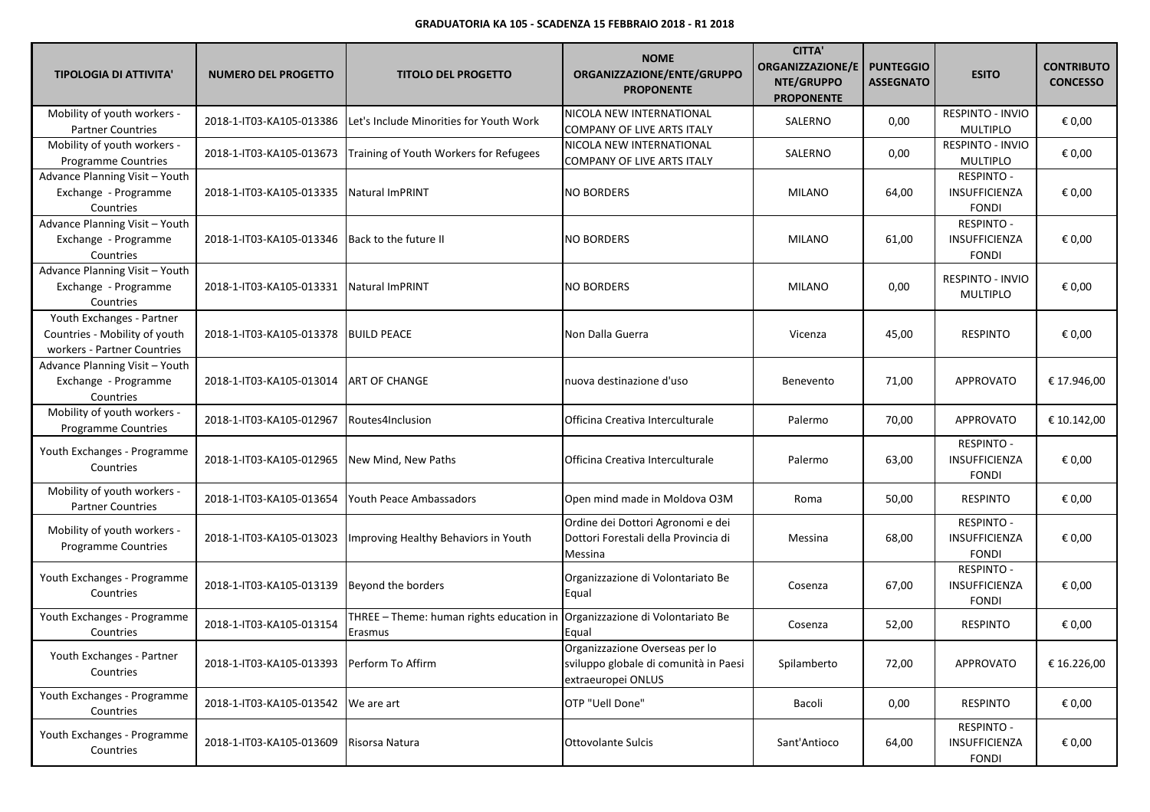| <b>TIPOLOGIA DI ATTIVITA'</b>                                                             | <b>NUMERO DEL PROGETTO</b>                   | <b>TITOLO DEL PROGETTO</b>                          | <b>NOME</b><br>ORGANIZZAZIONE/ENTE/GRUPPO<br><b>PROPONENTE</b>                                | <b>CITTA'</b><br><b>ORGANIZZAZIONE/E</b><br>NTE/GRUPPO<br><b>PROPONENTE</b> | <b>PUNTEGGIO</b><br><b>ASSEGNATO</b> | <b>ESITO</b>                                       | <b>CONTRIBUTO</b><br><b>CONCESSO</b> |
|-------------------------------------------------------------------------------------------|----------------------------------------------|-----------------------------------------------------|-----------------------------------------------------------------------------------------------|-----------------------------------------------------------------------------|--------------------------------------|----------------------------------------------------|--------------------------------------|
| Mobility of youth workers -<br><b>Partner Countries</b>                                   | 2018-1-IT03-KA105-013386                     | Let's Include Minorities for Youth Work             | NICOLA NEW INTERNATIONAL<br><b>COMPANY OF LIVE ARTS ITALY</b>                                 | SALERNO                                                                     | 0,00                                 | RESPINTO - INVIO<br><b>MULTIPLO</b>                | € 0,00                               |
| Mobility of youth workers -<br>Programme Countries                                        | 2018-1-IT03-KA105-013673                     | Training of Youth Workers for Refugees              | NICOLA NEW INTERNATIONAL<br>COMPANY OF LIVE ARTS ITALY                                        | SALERNO                                                                     | 0,00                                 | RESPINTO - INVIO<br><b>MULTIPLO</b>                | € 0,00                               |
| Advance Planning Visit - Youth<br>Exchange - Programme<br>Countries                       | 2018-1-IT03-KA105-013335                     | <b>Natural ImPRINT</b>                              | <b>NO BORDERS</b>                                                                             | MILANO                                                                      | 64,00                                | RESPINTO -<br>INSUFFICIENZA<br><b>FONDI</b>        | € 0,00                               |
| Advance Planning Visit - Youth<br>Exchange - Programme<br>Countries                       | 2018-1-IT03-KA105-013346                     | Back to the future II                               | <b>NO BORDERS</b>                                                                             | MILANO                                                                      | 61,00                                | <b>RESPINTO -</b><br>INSUFFICIENZA<br><b>FONDI</b> | € 0,00                               |
| Advance Planning Visit - Youth<br>Exchange - Programme<br>Countries                       | 2018-1-IT03-KA105-013331                     | <b>Natural ImPRINT</b>                              | <b>NO BORDERS</b>                                                                             | MILANO                                                                      | 0,00                                 | <b>RESPINTO - INVIO</b><br><b>MULTIPLO</b>         | € 0,00                               |
| Youth Exchanges - Partner<br>Countries - Mobility of youth<br>workers - Partner Countries | 2018-1-IT03-KA105-013378                     | <b>BUILD PEACE</b>                                  | Non Dalla Guerra                                                                              | Vicenza                                                                     | 45,00                                | <b>RESPINTO</b>                                    | € 0,00                               |
| Advance Planning Visit - Youth<br>Exchange - Programme<br>Countries                       | 2018-1-IT03-KA105-013014                     | ART OF CHANGE                                       | nuova destinazione d'uso                                                                      | Benevento                                                                   | 71,00                                | APPROVATO                                          | € 17.946,00                          |
| Mobility of youth workers -<br>Programme Countries                                        | 2018-1-IT03-KA105-012967                     | Routes4Inclusion                                    | Officina Creativa Interculturale                                                              | Palermo                                                                     | 70,00                                | <b>APPROVATO</b>                                   | € 10.142,00                          |
| Youth Exchanges - Programme<br>Countries                                                  | 2018-1-IT03-KA105-012965                     | New Mind, New Paths                                 | Officina Creativa Interculturale                                                              | Palermo                                                                     | 63,00                                | <b>RESPINTO -</b><br>INSUFFICIENZA<br><b>FONDI</b> | € 0,00                               |
| Mobility of youth workers -<br><b>Partner Countries</b>                                   | 2018-1-IT03-KA105-013654                     | Youth Peace Ambassadors                             | Open mind made in Moldova O3M                                                                 | Roma                                                                        | 50,00                                | <b>RESPINTO</b>                                    | € 0,00                               |
| Mobility of youth workers -<br>Programme Countries                                        | 2018-1-IT03-KA105-013023                     | Improving Healthy Behaviors in Youth                | Ordine dei Dottori Agronomi e dei<br>Dottori Forestali della Provincia di<br>Messina          | Messina                                                                     | 68,00                                | <b>RESPINTO -</b><br>INSUFFICIENZA<br><b>FONDI</b> | € 0,00                               |
| Youth Exchanges - Programme<br>Countries                                                  | 2018-1-IT03-KA105-013139                     | Beyond the borders                                  | Organizzazione di Volontariato Be<br>Equal                                                    | Cosenza                                                                     | 67,00                                | <b>RESPINTO -</b><br>INSUFFICIENZA<br><b>FONDI</b> | € 0,00                               |
| Youth Exchanges - Programme<br>Countries                                                  | 2018-1-IT03-KA105-013154                     | THREE - Theme: human rights education in<br>Erasmus | Organizzazione di Volontariato Be<br>Equal                                                    | Cosenza                                                                     | 52,00                                | <b>RESPINTO</b>                                    | € 0,00                               |
| Youth Exchanges - Partner<br>Countries                                                    | 2018-1-IT03-KA105-013393   Perform To Affirm |                                                     | Organizzazione Overseas per lo<br>sviluppo globale di comunità in Paesi<br>extraeuropei ONLUS | Spilamberto                                                                 | 72,00                                | APPROVATO                                          | € 16.226,00                          |
| Youth Exchanges - Programme<br>Countries                                                  | 2018-1-IT03-KA105-013542 We are art          |                                                     | OTP "Uell Done"                                                                               | Bacoli                                                                      | 0,00                                 | <b>RESPINTO</b>                                    | € 0,00                               |
| Youth Exchanges - Programme<br>Countries                                                  | 2018-1-IT03-KA105-013609                     | Risorsa Natura                                      | Ottovolante Sulcis                                                                            | Sant'Antioco                                                                | 64,00                                | <b>RESPINTO -</b><br>INSUFFICIENZA<br><b>FONDI</b> | € 0,00                               |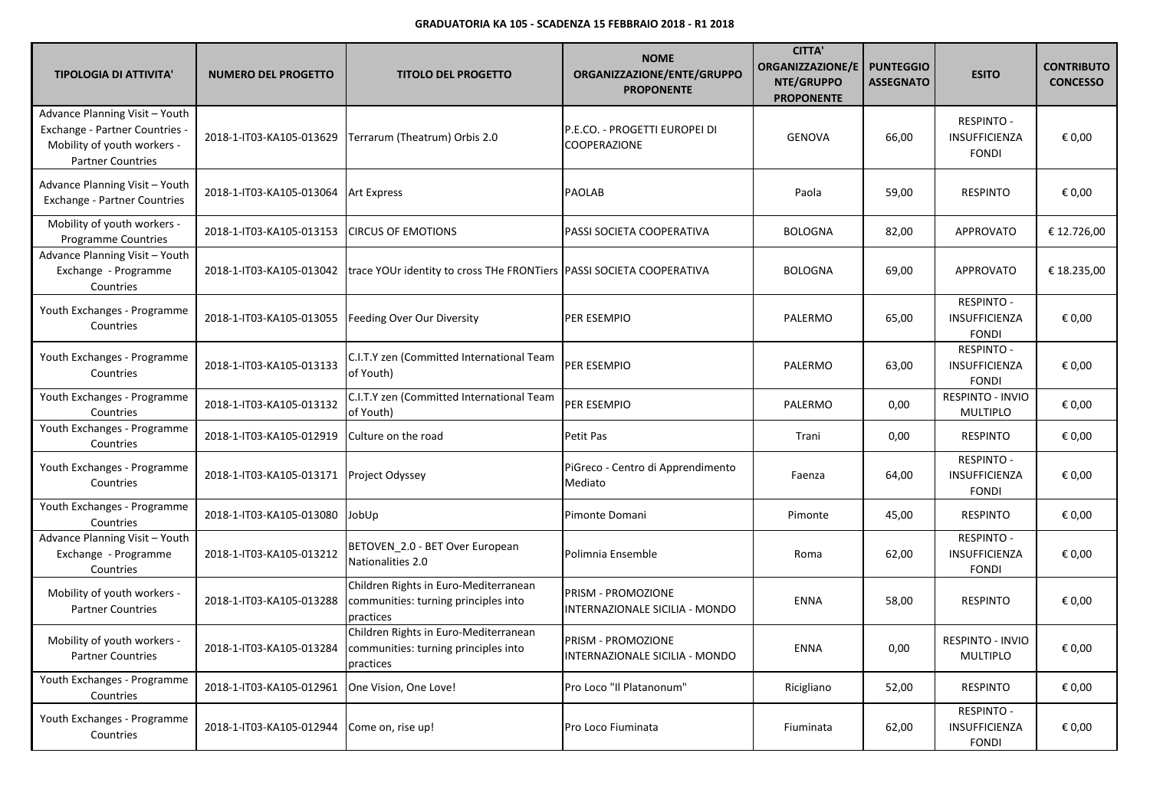| <b>TIPOLOGIA DI ATTIVITA'</b>                                                                                               | <b>NUMERO DEL PROGETTO</b> | <b>TITOLO DEL PROGETTO</b>                                                                 | <b>NOME</b><br>ORGANIZZAZIONE/ENTE/GRUPPO<br><b>PROPONENTE</b> | <b>CITTA'</b><br><b>ORGANIZZAZIONE/E</b><br>NTE/GRUPPO<br><b>PROPONENTE</b> | <b>PUNTEGGIO</b><br><b>ASSEGNATO</b> | <b>ESITO</b>                                              | <b>CONTRIBUTO</b><br><b>CONCESSO</b> |
|-----------------------------------------------------------------------------------------------------------------------------|----------------------------|--------------------------------------------------------------------------------------------|----------------------------------------------------------------|-----------------------------------------------------------------------------|--------------------------------------|-----------------------------------------------------------|--------------------------------------|
| Advance Planning Visit - Youth<br>Exchange - Partner Countries -<br>Mobility of youth workers -<br><b>Partner Countries</b> | 2018-1-IT03-KA105-013629   | Terrarum (Theatrum) Orbis 2.0                                                              | P.E.CO. - PROGETTI EUROPEI DI<br><b>COOPERAZIONE</b>           | <b>GENOVA</b>                                                               | 66,00                                | <b>RESPINTO -</b><br>INSUFFICIENZA<br><b>FONDI</b>        | € 0,00                               |
| Advance Planning Visit - Youth<br><b>Exchange - Partner Countries</b>                                                       | 2018-1-IT03-KA105-013064   | Art Express                                                                                | <b>PAOLAB</b>                                                  | Paola                                                                       | 59,00                                | <b>RESPINTO</b>                                           | € 0,00                               |
| Mobility of youth workers -<br><b>Programme Countries</b>                                                                   | 2018-1-IT03-KA105-013153   | <b>CIRCUS OF EMOTIONS</b>                                                                  | PASSI SOCIETA COOPERATIVA                                      | <b>BOLOGNA</b>                                                              | 82,00                                | <b>APPROVATO</b>                                          | € 12.726,00                          |
| Advance Planning Visit - Youth<br>Exchange - Programme<br>Countries                                                         | 2018-1-IT03-KA105-013042   | trace YOUr identity to cross THe FRONTiers PASSI SOCIETA COOPERATIVA                       |                                                                | <b>BOLOGNA</b>                                                              | 69,00                                | <b>APPROVATO</b>                                          | € 18.235,00                          |
| Youth Exchanges - Programme<br>Countries                                                                                    | 2018-1-IT03-KA105-013055   | Feeding Over Our Diversity                                                                 | <b>PER ESEMPIO</b>                                             | PALERMO                                                                     | 65,00                                | RESPINTO -<br><b>INSUFFICIENZA</b><br><b>FONDI</b>        | € 0,00                               |
| Youth Exchanges - Programme<br>Countries                                                                                    | 2018-1-IT03-KA105-013133   | C.I.T.Y zen (Committed International Team<br>of Youth)                                     | PER ESEMPIO                                                    | PALERMO                                                                     | 63,00                                | <b>RESPINTO -</b><br><b>INSUFFICIENZA</b><br><b>FONDI</b> | € 0,00                               |
| Youth Exchanges - Programme<br>Countries                                                                                    | 2018-1-IT03-KA105-013132   | C.I.T.Y zen (Committed International Team<br>of Youth)                                     | PER ESEMPIO                                                    | PALERMO                                                                     | 0,00                                 | RESPINTO - INVIO<br><b>MULTIPLO</b>                       | € 0,00                               |
| Youth Exchanges - Programme<br>Countries                                                                                    | 2018-1-IT03-KA105-012919   | Culture on the road                                                                        | Petit Pas                                                      | Trani                                                                       | 0,00                                 | <b>RESPINTO</b>                                           | € 0,00                               |
| Youth Exchanges - Programme<br>Countries                                                                                    | 2018-1-IT03-KA105-013171   | Project Odyssey                                                                            | PiGreco - Centro di Apprendimento<br>Mediato                   | Faenza                                                                      | 64,00                                | RESPINTO -<br>INSUFFICIENZA<br><b>FONDI</b>               | € 0,00                               |
| Youth Exchanges - Programme<br>Countries                                                                                    | 2018-1-IT03-KA105-013080   | JobUp                                                                                      | Pimonte Domani                                                 | Pimonte                                                                     | 45,00                                | <b>RESPINTO</b>                                           | € 0,00                               |
| Advance Planning Visit - Youth<br>Exchange - Programme<br>Countries                                                         | 2018-1-IT03-KA105-013212   | BETOVEN_2.0 - BET Over European<br>Nationalities 2.0                                       | Polimnia Ensemble                                              | Roma                                                                        | 62,00                                | RESPINTO -<br><b>INSUFFICIENZA</b><br><b>FONDI</b>        | € 0,00                               |
| Mobility of youth workers -<br><b>Partner Countries</b>                                                                     | 2018-1-IT03-KA105-013288   | Children Rights in Euro-Mediterranean<br>communities: turning principles into<br>practices | PRISM - PROMOZIONE<br>INTERNAZIONALE SICILIA - MONDO           | <b>ENNA</b>                                                                 | 58,00                                | <b>RESPINTO</b>                                           | € 0,00                               |
| Mobility of youth workers -<br><b>Partner Countries</b>                                                                     | 2018-1-IT03-KA105-013284   | Children Rights in Euro-Mediterranean<br>communities: turning principles into<br>practices | PRISM - PROMOZIONE<br>INTERNAZIONALE SICILIA - MONDO           | <b>ENNA</b>                                                                 | 0,00                                 | RESPINTO - INVIO<br><b>MULTIPLO</b>                       | € 0,00                               |
| Youth Exchanges - Programme<br>Countries                                                                                    | 2018-1-IT03-KA105-012961   | One Vision, One Love!                                                                      | Pro Loco "Il Platanonum"                                       | Ricigliano                                                                  | 52,00                                | <b>RESPINTO</b>                                           | € 0,00                               |
| Youth Exchanges - Programme<br>Countries                                                                                    | 2018-1-IT03-KA105-012944   | Come on, rise up!                                                                          | Pro Loco Fiuminata                                             | Fiuminata                                                                   | 62,00                                | RESPINTO -<br>INSUFFICIENZA<br><b>FONDI</b>               | € 0,00                               |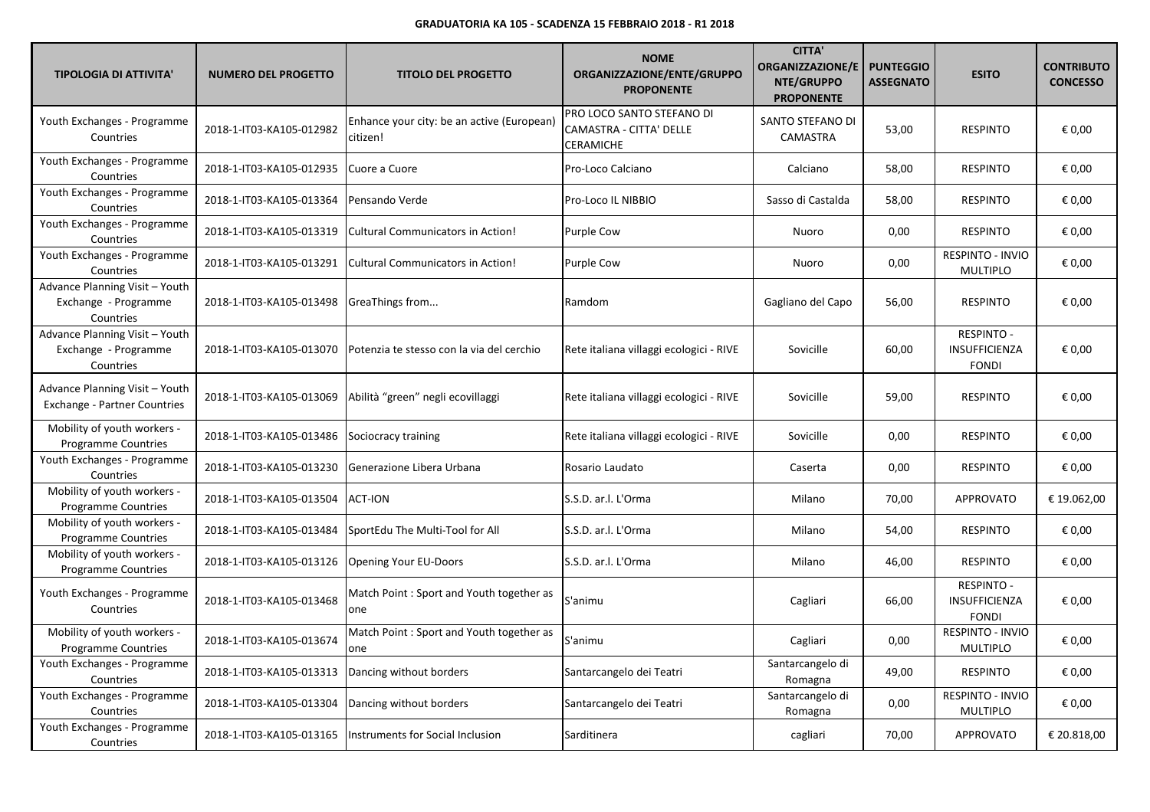| <b>TIPOLOGIA DI ATTIVITA'</b>                                         | <b>NUMERO DEL PROGETTO</b> | <b>TITOLO DEL PROGETTO</b>                             | <b>NOME</b><br>ORGANIZZAZIONE/ENTE/GRUPPO<br><b>PROPONENTE</b>    | <b>CITTA'</b><br><b>ORGANIZZAZIONE/E</b><br>NTE/GRUPPO<br><b>PROPONENTE</b> | <b>PUNTEGGIO</b><br><b>ASSEGNATO</b> | <b>ESITO</b>                                       | <b>CONTRIBUTO</b><br><b>CONCESSO</b> |
|-----------------------------------------------------------------------|----------------------------|--------------------------------------------------------|-------------------------------------------------------------------|-----------------------------------------------------------------------------|--------------------------------------|----------------------------------------------------|--------------------------------------|
| Youth Exchanges - Programme<br>Countries                              | 2018-1-IT03-KA105-012982   | Enhance your city: be an active (European)<br>citizen! | PRO LOCO SANTO STEFANO DI<br>CAMASTRA - CITTA' DELLE<br>CERAMICHE | SANTO STEFANO DI<br>CAMASTRA                                                | 53,00                                | <b>RESPINTO</b>                                    | € 0,00                               |
| Youth Exchanges - Programme<br>Countries                              | 2018-1-IT03-KA105-012935   | Cuore a Cuore                                          | Pro-Loco Calciano                                                 | Calciano                                                                    | 58,00                                | <b>RESPINTO</b>                                    | € 0,00                               |
| Youth Exchanges - Programme<br>Countries                              | 2018-1-IT03-KA105-013364   | Pensando Verde                                         | Pro-Loco IL NIBBIO                                                | Sasso di Castalda                                                           | 58,00                                | <b>RESPINTO</b>                                    | € 0,00                               |
| Youth Exchanges - Programme<br>Countries                              | 2018-1-IT03-KA105-013319   | Cultural Communicators in Action!                      | Purple Cow                                                        | Nuoro                                                                       | 0,00                                 | <b>RESPINTO</b>                                    | € 0,00                               |
| Youth Exchanges - Programme<br>Countries                              | 2018-1-IT03-KA105-013291   | Cultural Communicators in Action!                      | <b>Purple Cow</b>                                                 | Nuoro                                                                       | 0,00                                 | <b>RESPINTO - INVIO</b><br><b>MULTIPLO</b>         | € 0,00                               |
| Advance Planning Visit - Youth<br>Exchange - Programme<br>Countries   | 2018-1-IT03-KA105-013498   | GreaThings from                                        | Ramdom                                                            | Gagliano del Capo                                                           | 56,00                                | <b>RESPINTO</b>                                    | € 0,00                               |
| Advance Planning Visit - Youth<br>Exchange - Programme<br>Countries   | 2018-1-IT03-KA105-013070   | Potenzia te stesso con la via del cerchio              | Rete italiana villaggi ecologici - RIVE                           | Sovicille                                                                   | 60,00                                | <b>RESPINTO -</b><br>INSUFFICIENZA<br><b>FONDI</b> | € 0,00                               |
| Advance Planning Visit - Youth<br><b>Exchange - Partner Countries</b> | 2018-1-IT03-KA105-013069   | Abilità "green" negli ecovillaggi                      | Rete italiana villaggi ecologici - RIVE                           | Sovicille                                                                   | 59,00                                | <b>RESPINTO</b>                                    | € 0,00                               |
| Mobility of youth workers -<br><b>Programme Countries</b>             | 2018-1-IT03-KA105-013486   | Sociocracy training                                    | Rete italiana villaggi ecologici - RIVE                           | Sovicille                                                                   | 0,00                                 | <b>RESPINTO</b>                                    | € 0,00                               |
| Youth Exchanges - Programme<br>Countries                              | 2018-1-IT03-KA105-013230   | Generazione Libera Urbana                              | Rosario Laudato                                                   | Caserta                                                                     | 0,00                                 | <b>RESPINTO</b>                                    | € 0,00                               |
| Mobility of youth workers -<br>Programme Countries                    | 2018-1-IT03-KA105-013504   | <b>ACT-ION</b>                                         | S.S.D. ar.l. L'Orma                                               | Milano                                                                      | 70,00                                | APPROVATO                                          | € 19.062,00                          |
| Mobility of youth workers -<br><b>Programme Countries</b>             | 2018-1-IT03-KA105-013484   | SportEdu The Multi-Tool for All                        | S.S.D. ar.l. L'Orma                                               | Milano                                                                      | 54,00                                | <b>RESPINTO</b>                                    | € 0,00                               |
| Mobility of youth workers -<br><b>Programme Countries</b>             | 2018-1-IT03-KA105-013126   | Opening Your EU-Doors                                  | S.S.D. ar.l. L'Orma                                               | Milano                                                                      | 46,00                                | <b>RESPINTO</b>                                    | € 0,00                               |
| Youth Exchanges - Programme<br>Countries                              | 2018-1-IT03-KA105-013468   | Match Point: Sport and Youth together as<br>one        | S'animu                                                           | Cagliari                                                                    | 66,00                                | <b>RESPINTO -</b><br>INSUFFICIENZA<br><b>FONDI</b> | € 0,00                               |
| Mobility of youth workers -<br>Programme Countries                    | 2018-1-IT03-KA105-013674   | Match Point : Sport and Youth together as<br>one       | S'animu                                                           | Cagliari                                                                    | 0,00                                 | RESPINTO - INVIO<br><b>MULTIPLO</b>                | € 0,00                               |
| Youth Exchanges - Programme<br>Countries                              | 2018-1-IT03-KA105-013313   | Dancing without borders                                | Santarcangelo dei Teatri                                          | Santarcangelo di<br>Romagna                                                 | 49,00                                | <b>RESPINTO</b>                                    | € 0,00                               |
| Youth Exchanges - Programme<br>Countries                              | 2018-1-IT03-KA105-013304   | Dancing without borders                                | Santarcangelo dei Teatri                                          | Santarcangelo di<br>Romagna                                                 | 0,00                                 | RESPINTO - INVIO<br><b>MULTIPLO</b>                | € 0,00                               |
| Youth Exchanges - Programme<br>Countries                              | 2018-1-IT03-KA105-013165   | Instruments for Social Inclusion                       | Sarditinera                                                       | cagliari                                                                    | 70,00                                | APPROVATO                                          | € 20.818,00                          |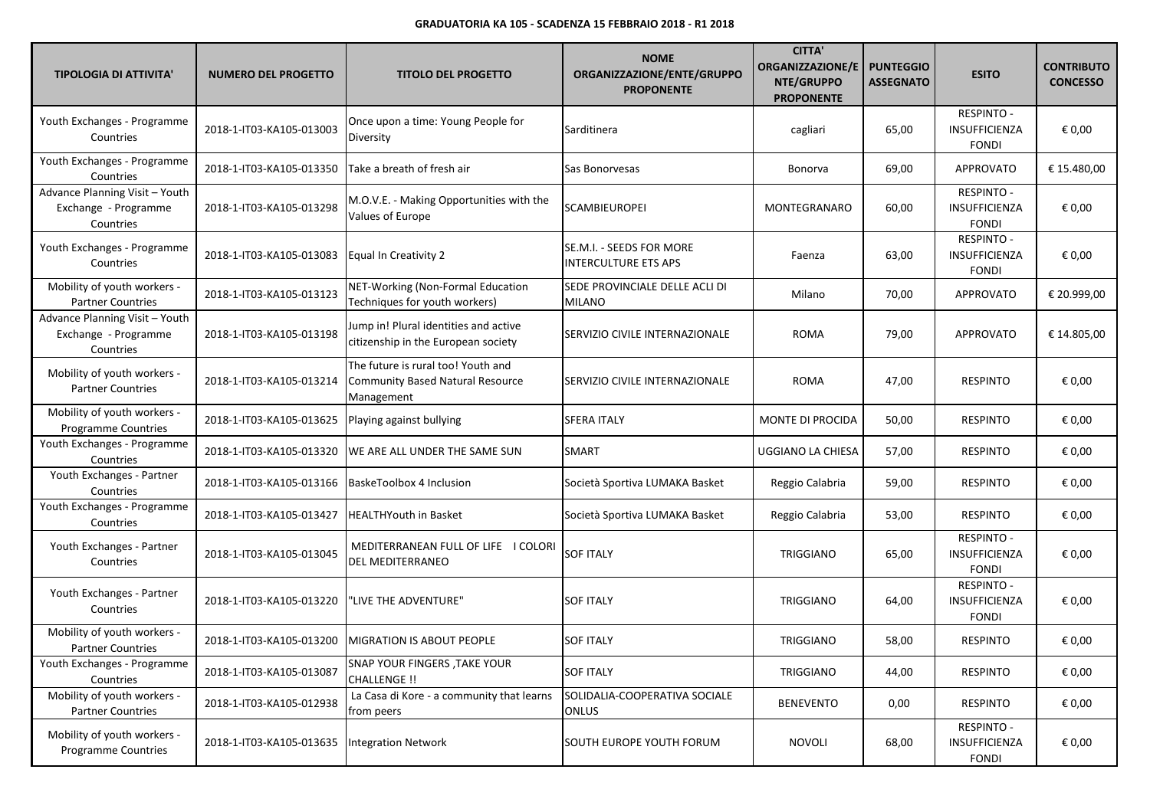| <b>TIPOLOGIA DI ATTIVITA'</b>                                       | <b>NUMERO DEL PROGETTO</b> | <b>TITOLO DEL PROGETTO</b>                                                                  | <b>NOME</b><br>ORGANIZZAZIONE/ENTE/GRUPPO<br><b>PROPONENTE</b> | <b>CITTA'</b><br><b>ORGANIZZAZIONE/E</b><br>NTE/GRUPPO<br><b>PROPONENTE</b> | <b>PUNTEGGIO</b><br><b>ASSEGNATO</b> | <b>ESITO</b>                                       | <b>CONTRIBUTO</b><br><b>CONCESSO</b> |
|---------------------------------------------------------------------|----------------------------|---------------------------------------------------------------------------------------------|----------------------------------------------------------------|-----------------------------------------------------------------------------|--------------------------------------|----------------------------------------------------|--------------------------------------|
| Youth Exchanges - Programme<br>Countries                            | 2018-1-IT03-KA105-013003   | Once upon a time: Young People for<br>Diversity                                             | Sarditinera                                                    | cagliari                                                                    | 65,00                                | RESPINTO -<br>INSUFFICIENZA<br><b>FONDI</b>        | € 0,00                               |
| Youth Exchanges - Programme<br>Countries                            | 2018-1-IT03-KA105-013350   | Take a breath of fresh air                                                                  | Sas Bonorvesas                                                 | Bonorva                                                                     | 69,00                                | APPROVATO                                          | € 15.480,00                          |
| Advance Planning Visit - Youth<br>Exchange - Programme<br>Countries | 2018-1-IT03-KA105-013298   | M.O.V.E. - Making Opportunities with the<br>Values of Europe                                | SCAMBIEUROPEI                                                  | MONTEGRANARO                                                                | 60,00                                | <b>RESPINTO -</b><br>INSUFFICIENZA<br><b>FONDI</b> | € 0,00                               |
| Youth Exchanges - Programme<br>Countries                            | 2018-1-IT03-KA105-013083   | Equal In Creativity 2                                                                       | SE.M.I. - SEEDS FOR MORE<br>INTERCULTURE ETS APS               | Faenza                                                                      | 63,00                                | <b>RESPINTO -</b><br>INSUFFICIENZA<br><b>FONDI</b> | € 0,00                               |
| Mobility of youth workers -<br><b>Partner Countries</b>             | 2018-1-IT03-KA105-013123   | NET-Working (Non-Formal Education<br>Techniques for youth workers)                          | SEDE PROVINCIALE DELLE ACLI DI<br><b>MILANO</b>                | Milano                                                                      | 70,00                                | APPROVATO                                          | € 20.999,00                          |
| Advance Planning Visit - Youth<br>Exchange - Programme<br>Countries | 2018-1-IT03-KA105-013198   | Jump in! Plural identities and active<br>citizenship in the European society                | SERVIZIO CIVILE INTERNAZIONALE                                 | <b>ROMA</b>                                                                 | 79,00                                | APPROVATO                                          | € 14.805,00                          |
| Mobility of youth workers -<br><b>Partner Countries</b>             | 2018-1-IT03-KA105-013214   | The future is rural too! Youth and<br><b>Community Based Natural Resource</b><br>Management | SERVIZIO CIVILE INTERNAZIONALE                                 | <b>ROMA</b>                                                                 | 47,00                                | <b>RESPINTO</b>                                    | € 0,00                               |
| Mobility of youth workers -<br>Programme Countries                  | 2018-1-IT03-KA105-013625   | Playing against bullying                                                                    | <b>SFERA ITALY</b>                                             | MONTE DI PROCIDA                                                            | 50,00                                | <b>RESPINTO</b>                                    | € 0,00                               |
| Youth Exchanges - Programme<br>Countries                            | 2018-1-IT03-KA105-013320   | WE ARE ALL UNDER THE SAME SUN                                                               | <b>SMART</b>                                                   | UGGIANO LA CHIESA                                                           | 57,00                                | <b>RESPINTO</b>                                    | € 0,00                               |
| Youth Exchanges - Partner<br>Countries                              | 2018-1-IT03-KA105-013166   | BaskeToolbox 4 Inclusion                                                                    | Società Sportiva LUMAKA Basket                                 | Reggio Calabria                                                             | 59,00                                | <b>RESPINTO</b>                                    | € 0,00                               |
| Youth Exchanges - Programme<br>Countries                            | 2018-1-IT03-KA105-013427   | <b>HEALTHYouth in Basket</b>                                                                | Società Sportiva LUMAKA Basket                                 | Reggio Calabria                                                             | 53,00                                | <b>RESPINTO</b>                                    | € 0,00                               |
| Youth Exchanges - Partner<br>Countries                              | 2018-1-IT03-KA105-013045   | MEDITERRANEAN FULL OF LIFE   COLORI<br>DEL MEDITERRANEO                                     | <b>SOF ITALY</b>                                               | <b>TRIGGIANO</b>                                                            | 65,00                                | <b>RESPINTO -</b><br>INSUFFICIENZA<br><b>FONDI</b> | € 0,00                               |
| Youth Exchanges - Partner<br>Countries                              | 2018-1-IT03-KA105-013220   | 'LIVE THE ADVENTURE"                                                                        | <b>SOF ITALY</b>                                               | <b>TRIGGIANO</b>                                                            | 64,00                                | RESPINTO -<br>INSUFFICIENZA<br><b>FONDI</b>        | € 0,00                               |
| Mobility of youth workers -<br><b>Partner Countries</b>             | 2018-1-IT03-KA105-013200   | <b>MIGRATION IS ABOUT PEOPLE</b>                                                            | <b>SOF ITALY</b>                                               | TRIGGIANO                                                                   | 58,00                                | <b>RESPINTO</b>                                    | € 0,00                               |
| Youth Exchanges - Programme<br>Countries                            | 2018-1-IT03-KA105-013087   | SNAP YOUR FINGERS , TAKE YOUR<br>CHALLENGE !!                                               | <b>SOF ITALY</b>                                               | TRIGGIANO                                                                   | 44,00                                | <b>RESPINTO</b>                                    | € 0,00                               |
| Mobility of youth workers -<br><b>Partner Countries</b>             | 2018-1-IT03-KA105-012938   | La Casa di Kore - a community that learns<br>from peers                                     | SOLIDALIA-COOPERATIVA SOCIALE<br><b>ONLUS</b>                  | <b>BENEVENTO</b>                                                            | 0,00                                 | <b>RESPINTO</b>                                    | € 0,00                               |
| Mobility of youth workers -<br><b>Programme Countries</b>           | 2018-1-IT03-KA105-013635   | <b>Integration Network</b>                                                                  | SOUTH EUROPE YOUTH FORUM                                       | <b>NOVOLI</b>                                                               | 68,00                                | <b>RESPINTO -</b><br>INSUFFICIENZA<br><b>FONDI</b> | € 0,00                               |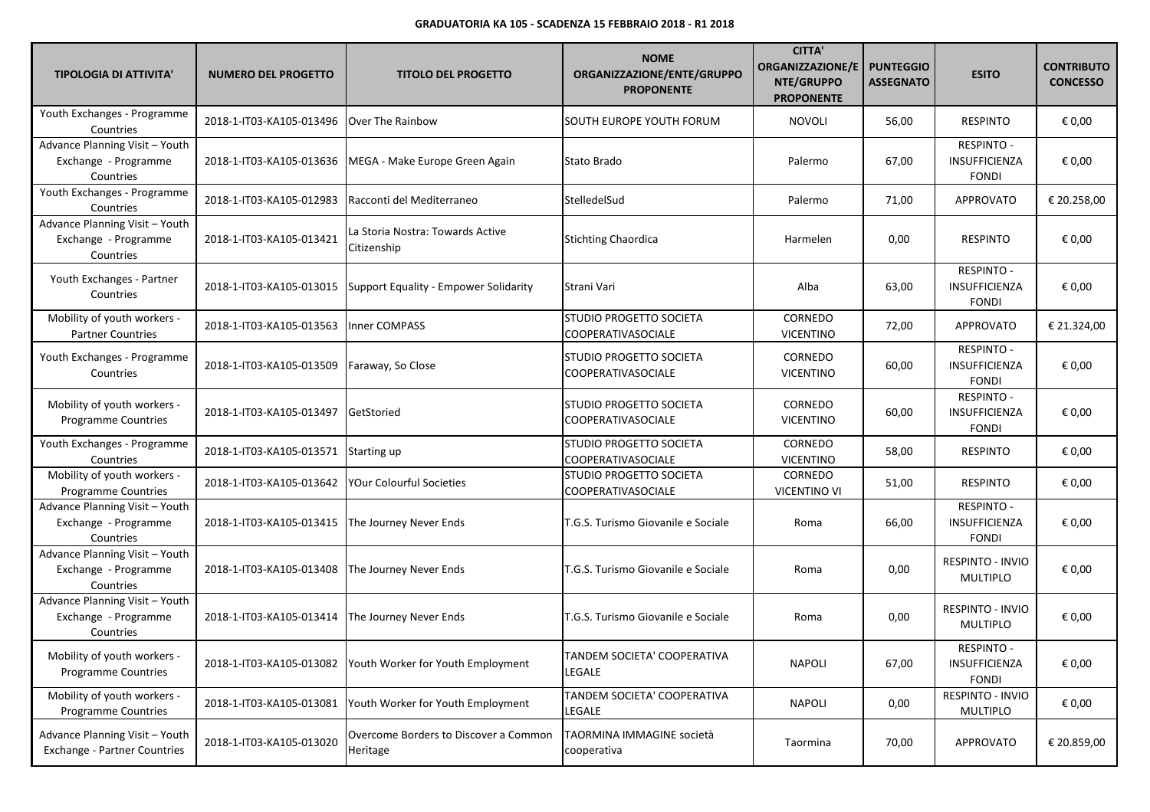| <b>TIPOLOGIA DI ATTIVITA'</b>                                         | <b>NUMERO DEL PROGETTO</b>           | <b>TITOLO DEL PROGETTO</b>                                   | <b>NOME</b><br>ORGANIZZAZIONE/ENTE/GRUPPO<br><b>PROPONENTE</b> | <b>CITTA'</b><br><b>ORGANIZZAZIONE/E</b><br>NTE/GRUPPO<br><b>PROPONENTE</b> | <b>PUNTEGGIO</b><br><b>ASSEGNATO</b> | <b>ESITO</b>                                       | <b>CONTRIBUTO</b><br><b>CONCESSO</b> |
|-----------------------------------------------------------------------|--------------------------------------|--------------------------------------------------------------|----------------------------------------------------------------|-----------------------------------------------------------------------------|--------------------------------------|----------------------------------------------------|--------------------------------------|
| Youth Exchanges - Programme<br>Countries                              | 2018-1-IT03-KA105-013496             | Over The Rainbow                                             | SOUTH EUROPE YOUTH FORUM                                       | <b>NOVOLI</b>                                                               | 56,00                                | <b>RESPINTO</b>                                    | € 0,00                               |
| Advance Planning Visit - Youth<br>Exchange - Programme<br>Countries   | 2018-1-IT03-KA105-013636             | MEGA - Make Europe Green Again                               | Stato Brado                                                    | Palermo                                                                     | 67,00                                | <b>RESPINTO -</b><br>INSUFFICIENZA<br><b>FONDI</b> | € 0,00                               |
| Youth Exchanges - Programme<br>Countries                              | 2018-1-IT03-KA105-012983             | Racconti del Mediterraneo                                    | StelledelSud                                                   | Palermo                                                                     | 71,00                                | APPROVATO                                          | € 20.258,00                          |
| Advance Planning Visit - Youth<br>Exchange - Programme<br>Countries   | 2018-1-IT03-KA105-013421             | La Storia Nostra: Towards Active<br>Citizenship              | <b>Stichting Chaordica</b>                                     | Harmelen                                                                    | 0,00                                 | <b>RESPINTO</b>                                    | € 0,00                               |
| Youth Exchanges - Partner<br>Countries                                | 2018-1-IT03-KA105-013015             | <b>Support Equality - Empower Solidarity</b>                 | Strani Vari                                                    | Alba                                                                        | 63,00                                | RESPINTO -<br>INSUFFICIENZA<br><b>FONDI</b>        | € 0,00                               |
| Mobility of youth workers -<br><b>Partner Countries</b>               | 2018-1-IT03-KA105-013563             | <b>Inner COMPASS</b>                                         | STUDIO PROGETTO SOCIETA<br><b>COOPERATIVASOCIALE</b>           | CORNEDO<br><b>VICENTINO</b>                                                 | 72,00                                | APPROVATO                                          | € 21.324,00                          |
| Youth Exchanges - Programme<br>Countries                              | 2018-1-IT03-KA105-013509             | Faraway, So Close                                            | STUDIO PROGETTO SOCIETA<br>COOPERATIVASOCIALE                  | CORNEDO<br><b>VICENTINO</b>                                                 | 60,00                                | <b>RESPINTO -</b><br>INSUFFICIENZA<br><b>FONDI</b> | € 0,00                               |
| Mobility of youth workers -<br>Programme Countries                    | 2018-1-IT03-KA105-013497             | GetStoried                                                   | STUDIO PROGETTO SOCIETA<br><b>COOPERATIVASOCIALE</b>           | CORNEDO<br><b>VICENTINO</b>                                                 | 60,00                                | <b>RESPINTO -</b><br>INSUFFICIENZA<br><b>FONDI</b> | € 0,00                               |
| Youth Exchanges - Programme<br>Countries                              | 2018-1-IT03-KA105-013571 Starting up |                                                              | STUDIO PROGETTO SOCIETA<br>COOPERATIVASOCIALE                  | CORNEDO<br><b>VICENTINO</b>                                                 | 58,00                                | <b>RESPINTO</b>                                    | € 0,00                               |
| Mobility of youth workers -<br><b>Programme Countries</b>             | 2018-1-IT03-KA105-013642             | YOur Colourful Societies                                     | STUDIO PROGETTO SOCIETA<br>COOPERATIVASOCIALE                  | CORNEDO<br><b>VICENTINO VI</b>                                              | 51,00                                | <b>RESPINTO</b>                                    | € 0,00                               |
| Advance Planning Visit - Youth<br>Exchange - Programme<br>Countries   | 2018-1-IT03-KA105-013415             | The Journey Never Ends                                       | T.G.S. Turismo Giovanile e Sociale                             | Roma                                                                        | 66,00                                | <b>RESPINTO -</b><br>INSUFFICIENZA<br><b>FONDI</b> | € 0,00                               |
| Advance Planning Visit - Youth<br>Exchange - Programme<br>Countries   | 2018-1-IT03-KA105-013408             | The Journey Never Ends                                       | T.G.S. Turismo Giovanile e Sociale                             | Roma                                                                        | 0,00                                 | <b>RESPINTO - INVIO</b><br><b>MULTIPLO</b>         | € 0,00                               |
| Advance Planning Visit - Youth<br>Exchange - Programme<br>Countries   | 2018-1-IT03-KA105-013414             | The Journey Never Ends                                       | T.G.S. Turismo Giovanile e Sociale                             | Roma                                                                        | 0,00                                 | RESPINTO - INVIO<br><b>MULTIPLO</b>                | € 0,00                               |
| Mobility of youth workers -<br><b>Programme Countries</b>             |                                      | 2018-1-IT03-KA105-013082   Youth Worker for Youth Employment | TANDEM SOCIETA' COOPERATIVA<br>LEGALE                          | <b>NAPOLI</b>                                                               | 67,00                                | <b>RESPINTO -</b><br>INSUFFICIENZA<br><b>FONDI</b> | € 0,00                               |
| Mobility of youth workers -<br>Programme Countries                    | 2018-1-IT03-KA105-013081             | Youth Worker for Youth Employment                            | TANDEM SOCIETA' COOPERATIVA<br>LEGALE                          | <b>NAPOLI</b>                                                               | 0,00                                 | RESPINTO - INVIO<br>MULTIPLO                       | € 0,00                               |
| Advance Planning Visit - Youth<br><b>Exchange - Partner Countries</b> | 2018-1-IT03-KA105-013020             | Overcome Borders to Discover a Common<br>Heritage            | TAORMINA IMMAGINE società<br>cooperativa                       | Taormina                                                                    | 70,00                                | APPROVATO                                          | € 20.859,00                          |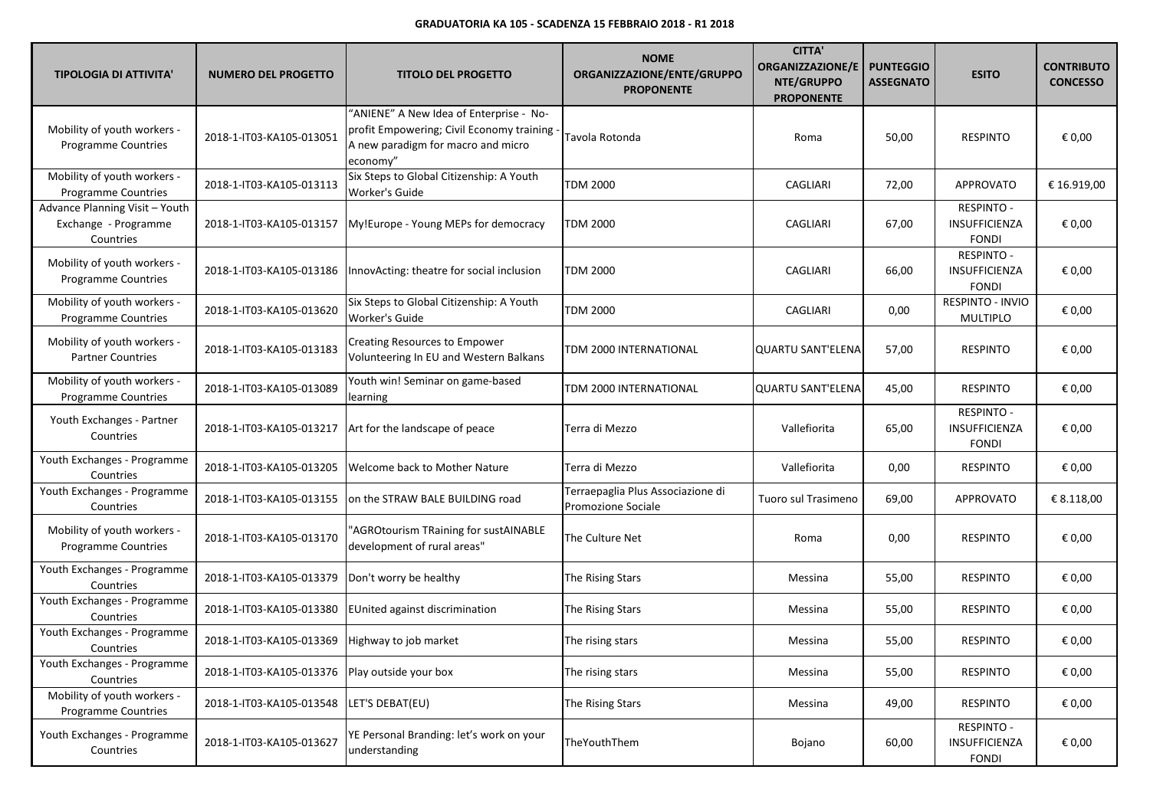| <b>TIPOLOGIA DI ATTIVITA'</b>                                       | <b>NUMERO DEL PROGETTO</b>                     | <b>TITOLO DEL PROGETTO</b>                                                                                                             | <b>NOME</b><br>ORGANIZZAZIONE/ENTE/GRUPPO<br><b>PROPONENTE</b> | <b>CITTA'</b><br>ORGANIZZAZIONE/E<br>NTE/GRUPPO<br><b>PROPONENTE</b> | <b>PUNTEGGIO</b><br><b>ASSEGNATO</b> | <b>ESITO</b>                                       | <b>CONTRIBUTO</b><br><b>CONCESSO</b> |
|---------------------------------------------------------------------|------------------------------------------------|----------------------------------------------------------------------------------------------------------------------------------------|----------------------------------------------------------------|----------------------------------------------------------------------|--------------------------------------|----------------------------------------------------|--------------------------------------|
| Mobility of youth workers -<br><b>Programme Countries</b>           | 2018-1-IT03-KA105-013051                       | "ANIENE" A New Idea of Enterprise - No-<br>profit Empowering; Civil Economy training<br>A new paradigm for macro and micro<br>economy" | Tavola Rotonda                                                 | Roma                                                                 | 50,00                                | <b>RESPINTO</b>                                    | € 0,00                               |
| Mobility of youth workers -<br>Programme Countries                  | 2018-1-IT03-KA105-013113                       | Six Steps to Global Citizenship: A Youth<br><b>Worker's Guide</b>                                                                      | <b>TDM 2000</b>                                                | CAGLIARI                                                             | 72,00                                | APPROVATO                                          | € 16.919,00                          |
| Advance Planning Visit - Youth<br>Exchange - Programme<br>Countries | 2018-1-IT03-KA105-013157                       | My!Europe - Young MEPs for democracy                                                                                                   | <b>TDM 2000</b>                                                | CAGLIARI                                                             | 67,00                                | <b>RESPINTO -</b><br>INSUFFICIENZA<br><b>FONDI</b> | € 0,00                               |
| Mobility of youth workers -<br><b>Programme Countries</b>           | 2018-1-IT03-KA105-013186                       | InnovActing: theatre for social inclusion                                                                                              | <b>TDM 2000</b>                                                | CAGLIARI                                                             | 66,00                                | <b>RESPINTO -</b><br>INSUFFICIENZA<br><b>FONDI</b> | € 0,00                               |
| Mobility of youth workers -<br><b>Programme Countries</b>           | 2018-1-IT03-KA105-013620                       | Six Steps to Global Citizenship: A Youth<br>Worker's Guide                                                                             | <b>TDM 2000</b>                                                | CAGLIARI                                                             | 0,00                                 | RESPINTO - INVIO<br><b>MULTIPLO</b>                | € 0,00                               |
| Mobility of youth workers -<br><b>Partner Countries</b>             | 2018-1-IT03-KA105-013183                       | Creating Resources to Empower<br>Volunteering In EU and Western Balkans                                                                | TDM 2000 INTERNATIONAL                                         | QUARTU SANT'ELENA                                                    | 57,00                                | <b>RESPINTO</b>                                    | € 0,00                               |
| Mobility of youth workers -<br><b>Programme Countries</b>           | 2018-1-IT03-KA105-013089                       | Youth win! Seminar on game-based<br>learning                                                                                           | TDM 2000 INTERNATIONAL                                         | <b>QUARTU SANT'ELENA</b>                                             | 45,00                                | <b>RESPINTO</b>                                    | € 0,00                               |
| Youth Exchanges - Partner<br>Countries                              | 2018-1-IT03-KA105-013217                       | Art for the landscape of peace                                                                                                         | Terra di Mezzo                                                 | Vallefiorita                                                         | 65,00                                | <b>RESPINTO -</b><br>INSUFFICIENZA<br><b>FONDI</b> | € 0,00                               |
| Youth Exchanges - Programme<br>Countries                            | 2018-1-IT03-KA105-013205                       | Welcome back to Mother Nature                                                                                                          | Terra di Mezzo                                                 | Vallefiorita                                                         | 0,00                                 | <b>RESPINTO</b>                                    | € 0,00                               |
| Youth Exchanges - Programme<br>Countries                            | 2018-1-IT03-KA105-013155                       | on the STRAW BALE BUILDING road                                                                                                        | Terraepaglia Plus Associazione di<br>Promozione Sociale        | Tuoro sul Trasimeno                                                  | 69,00                                | <b>APPROVATO</b>                                   | € 8.118,00                           |
| Mobility of youth workers -<br><b>Programme Countries</b>           | 2018-1-IT03-KA105-013170                       | 'AGROtourism TRaining for sustAINABLE<br>development of rural areas"                                                                   | The Culture Net                                                | Roma                                                                 | 0,00                                 | <b>RESPINTO</b>                                    | € 0,00                               |
| Youth Exchanges - Programme<br>Countries                            | 2018-1-IT03-KA105-013379                       | Don't worry be healthy                                                                                                                 | The Rising Stars                                               | Messina                                                              | 55,00                                | <b>RESPINTO</b>                                    | € 0,00                               |
| Youth Exchanges - Programme<br>Countries                            | 2018-1-IT03-KA105-013380                       | EUnited against discrimination                                                                                                         | The Rising Stars                                               | Messina                                                              | 55,00                                | <b>RESPINTO</b>                                    | € 0,00                               |
| Youth Exchanges - Programme<br>Countries                            | 2018-1-IT03-KA105-013369                       | Highway to job market                                                                                                                  | The rising stars                                               | Messina                                                              | 55,00                                | <b>RESPINTO</b>                                    | € 0,00                               |
| Youth Exchanges - Programme<br>Countries                            | 2018-1-IT03-KA105-013376 Play outside your box |                                                                                                                                        | The rising stars                                               | Messina                                                              | 55,00                                | <b>RESPINTO</b>                                    | € 0,00                               |
| Mobility of youth workers -<br>Programme Countries                  | 2018-1-IT03-KA105-013548                       | LET'S DEBAT(EU)                                                                                                                        | The Rising Stars                                               | Messina                                                              | 49,00                                | <b>RESPINTO</b>                                    | € 0,00                               |
| Youth Exchanges - Programme<br>Countries                            | 2018-1-IT03-KA105-013627                       | YE Personal Branding: let's work on your<br>understanding                                                                              | TheYouthThem                                                   | Bojano                                                               | 60,00                                | <b>RESPINTO -</b><br>INSUFFICIENZA<br><b>FONDI</b> | € 0,00                               |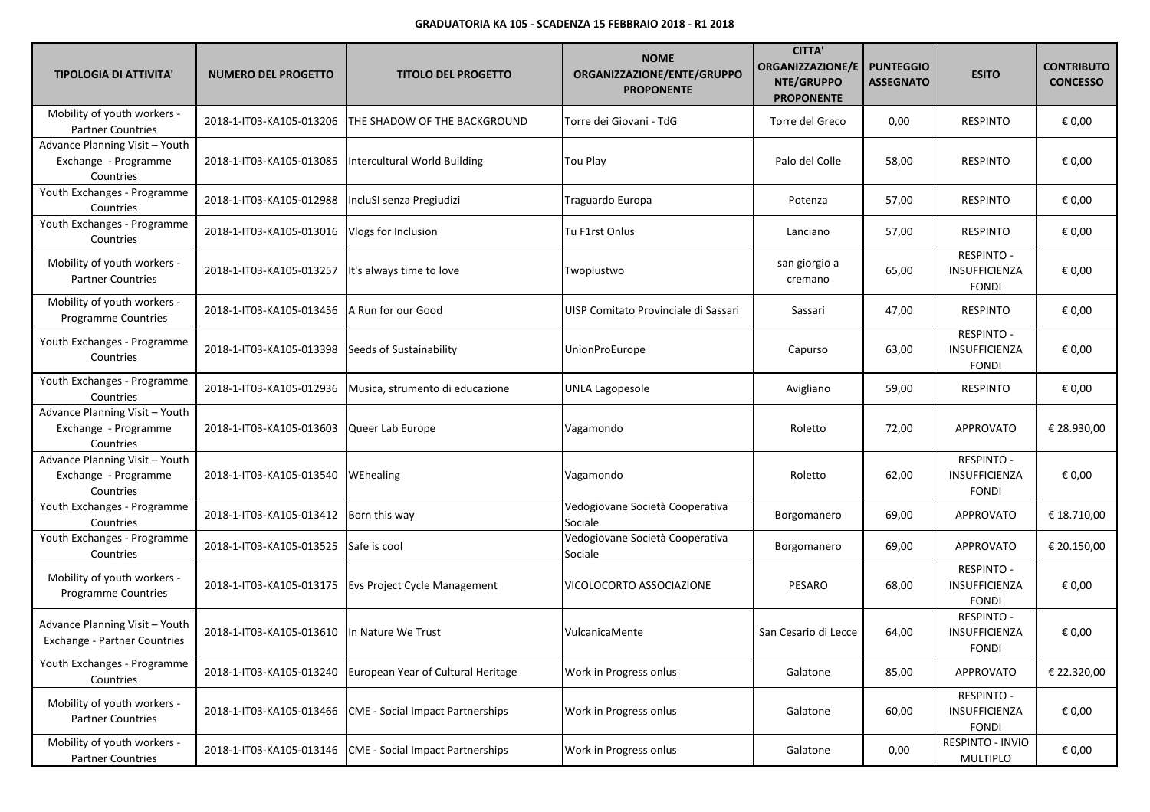| <b>TIPOLOGIA DI ATTIVITA'</b>                                       | <b>NUMERO DEL PROGETTO</b>                    | <b>TITOLO DEL PROGETTO</b>                                  | <b>NOME</b><br>ORGANIZZAZIONE/ENTE/GRUPPO<br><b>PROPONENTE</b> | <b>CITTA'</b><br><b>ORGANIZZAZIONE/E</b><br>NTE/GRUPPO<br><b>PROPONENTE</b> | <b>PUNTEGGIO</b><br><b>ASSEGNATO</b> | <b>ESITO</b>                                       | <b>CONTRIBUTO</b><br><b>CONCESSO</b> |
|---------------------------------------------------------------------|-----------------------------------------------|-------------------------------------------------------------|----------------------------------------------------------------|-----------------------------------------------------------------------------|--------------------------------------|----------------------------------------------------|--------------------------------------|
| Mobility of youth workers -<br><b>Partner Countries</b>             | 2018-1-IT03-KA105-013206                      | THE SHADOW OF THE BACKGROUND                                | Torre dei Giovani - TdG                                        | Torre del Greco                                                             | 0,00                                 | <b>RESPINTO</b>                                    | € 0,00                               |
| Advance Planning Visit - Youth<br>Exchange - Programme<br>Countries | 2018-1-IT03-KA105-013085                      | Intercultural World Building                                | Tou Play                                                       | Palo del Colle                                                              | 58,00                                | <b>RESPINTO</b>                                    | € 0,00                               |
| Youth Exchanges - Programme<br>Countries                            | 2018-1-IT03-KA105-012988                      | IncluSI senza Pregiudizi                                    | Traguardo Europa                                               | Potenza                                                                     | 57,00                                | <b>RESPINTO</b>                                    | € 0,00                               |
| Youth Exchanges - Programme<br>Countries                            | 2018-1-IT03-KA105-013016                      | Vlogs for Inclusion                                         | Tu F1rst Onlus                                                 | Lanciano                                                                    | 57,00                                | <b>RESPINTO</b>                                    | € 0,00                               |
| Mobility of youth workers -<br><b>Partner Countries</b>             | 2018-1-IT03-KA105-013257                      | It's always time to love                                    | Twoplustwo                                                     | san giorgio a<br>cremano                                                    | 65,00                                | RESPINTO -<br>INSUFFICIENZA<br><b>FONDI</b>        | € 0,00                               |
| Mobility of youth workers -<br><b>Programme Countries</b>           | 2018-1-IT03-KA105-013456   A Run for our Good |                                                             | UISP Comitato Provinciale di Sassari                           | Sassari                                                                     | 47,00                                | <b>RESPINTO</b>                                    | € 0,00                               |
| Youth Exchanges - Programme<br>Countries                            | 2018-1-IT03-KA105-013398                      | Seeds of Sustainability                                     | <b>UnionProEurope</b>                                          | Capurso                                                                     | 63,00                                | <b>RESPINTO -</b><br>INSUFFICIENZA<br><b>FONDI</b> | € 0,00                               |
| Youth Exchanges - Programme<br>Countries                            | 2018-1-IT03-KA105-012936                      | Musica, strumento di educazione                             | <b>UNLA Lagopesole</b>                                         | Avigliano                                                                   | 59,00                                | <b>RESPINTO</b>                                    | € 0,00                               |
| Advance Planning Visit - Youth<br>Exchange - Programme<br>Countries | 2018-1-IT03-KA105-013603                      | Queer Lab Europe                                            | Vagamondo                                                      | Roletto                                                                     | 72,00                                | <b>APPROVATO</b>                                   | € 28.930,00                          |
| Advance Planning Visit - Youth<br>Exchange - Programme<br>Countries | 2018-1-IT03-KA105-013540                      | WEhealing                                                   | Vagamondo                                                      | Roletto                                                                     | 62,00                                | RESPINTO -<br><b>INSUFFICIENZA</b><br><b>FONDI</b> | € 0,00                               |
| Youth Exchanges - Programme<br>Countries                            | 2018-1-IT03-KA105-013412                      | Born this way                                               | Vedogiovane Società Cooperativa<br>Sociale                     | Borgomanero                                                                 | 69,00                                | APPROVATO                                          | € 18.710,00                          |
| Youth Exchanges - Programme<br>Countries                            | 2018-1-IT03-KA105-013525                      | Safe is cool                                                | Vedogiovane Società Cooperativa<br>Sociale                     | Borgomanero                                                                 | 69,00                                | APPROVATO                                          | € 20.150,00                          |
| Mobility of youth workers -<br><b>Programme Countries</b>           | 2018-1-IT03-KA105-013175                      | <b>Evs Project Cycle Management</b>                         | VICOLOCORTO ASSOCIAZIONE                                       | PESARO                                                                      | 68,00                                | <b>RESPINTO -</b><br>INSUFFICIENZA<br><b>FONDI</b> | € 0,00                               |
| Advance Planning Visit - Youth<br>Exchange - Partner Countries      | 2018-1-IT03-KA105-013610                      | In Nature We Trust                                          | VulcanicaMente                                                 | San Cesario di Lecce                                                        | 64,00                                | <b>RESPINTO -</b><br>INSUFFICIENZA<br><b>FONDI</b> | € 0,00                               |
| Youth Exchanges - Programme<br>Countries                            |                                               | 2018-1-IT03-KA105-013240 European Year of Cultural Heritage | Work in Progress onlus                                         | Galatone                                                                    | 85,00                                | APPROVATO                                          | € 22.320,00                          |
| Mobility of youth workers -<br><b>Partner Countries</b>             | 2018-1-IT03-KA105-013466                      | <b>CME</b> - Social Impact Partnerships                     | Work in Progress onlus                                         | Galatone                                                                    | 60,00                                | RESPINTO -<br>INSUFFICIENZA<br><b>FONDI</b>        | € 0,00                               |
| Mobility of youth workers -<br><b>Partner Countries</b>             | 2018-1-IT03-KA105-013146                      | <b>CME</b> - Social Impact Partnerships                     | Work in Progress onlus                                         | Galatone                                                                    | 0,00                                 | RESPINTO - INVIO<br>MULTIPLO                       | € 0,00                               |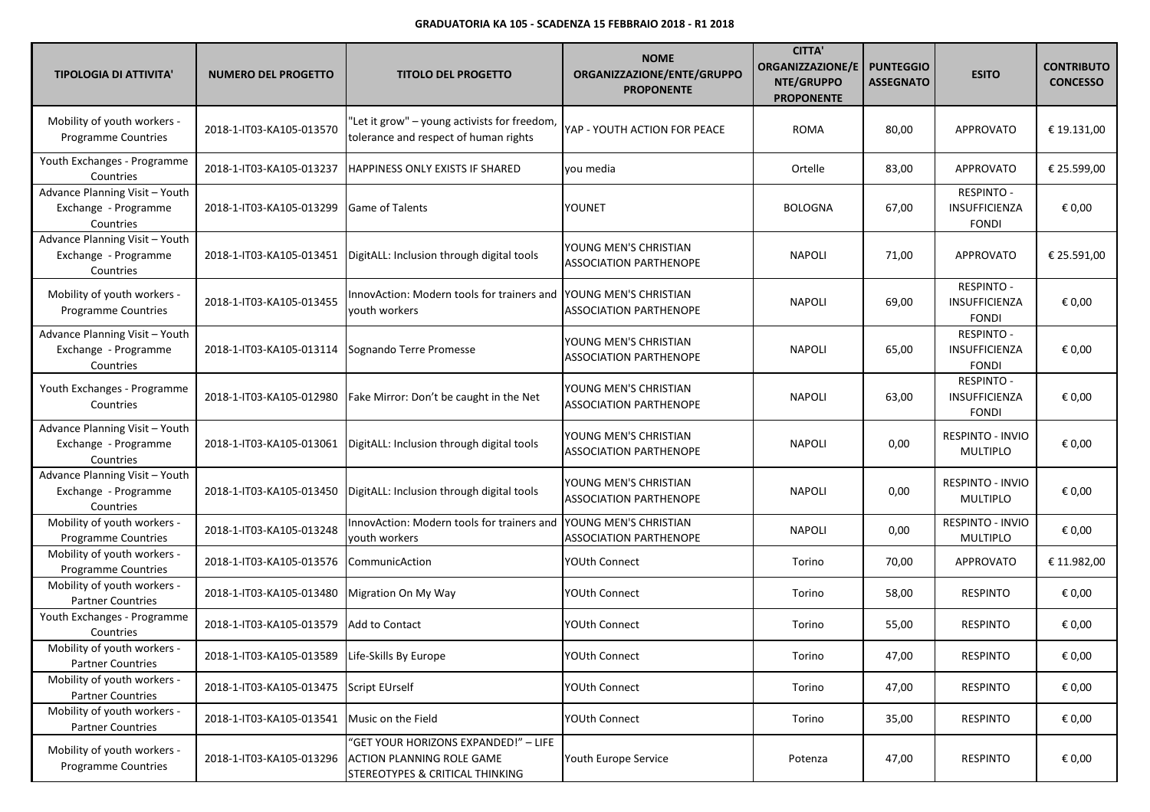| <b>TIPOLOGIA DI ATTIVITA'</b>                                       | <b>NUMERO DEL PROGETTO</b>                       | <b>TITOLO DEL PROGETTO</b>                                                                                  | <b>NOME</b><br>ORGANIZZAZIONE/ENTE/GRUPPO<br><b>PROPONENTE</b> | <b>CITTA'</b><br>ORGANIZZAZIONE/E<br>NTE/GRUPPO<br><b>PROPONENTE</b> | <b>PUNTEGGIO</b><br><b>ASSEGNATO</b> | <b>ESITO</b>                                       | <b>CONTRIBUTO</b><br><b>CONCESSO</b> |
|---------------------------------------------------------------------|--------------------------------------------------|-------------------------------------------------------------------------------------------------------------|----------------------------------------------------------------|----------------------------------------------------------------------|--------------------------------------|----------------------------------------------------|--------------------------------------|
| Mobility of youth workers -<br>Programme Countries                  | 2018-1-IT03-KA105-013570                         | "Let it grow" - young activists for freedom,<br>tolerance and respect of human rights                       | YAP - YOUTH ACTION FOR PEACE                                   | <b>ROMA</b>                                                          | 80,00                                | <b>APPROVATO</b>                                   | € 19.131,00                          |
| Youth Exchanges - Programme<br>Countries                            | 2018-1-IT03-KA105-013237                         | HAPPINESS ONLY EXISTS IF SHARED                                                                             | you media                                                      | Ortelle                                                              | 83,00                                | <b>APPROVATO</b>                                   | € 25.599,00                          |
| Advance Planning Visit - Youth<br>Exchange - Programme<br>Countries | 2018-1-IT03-KA105-013299                         | Game of Talents                                                                                             | YOUNET                                                         | <b>BOLOGNA</b>                                                       | 67,00                                | RESPINTO -<br>INSUFFICIENZA<br><b>FONDI</b>        | € 0,00                               |
| Advance Planning Visit - Youth<br>Exchange - Programme<br>Countries | 2018-1-IT03-KA105-013451                         | DigitALL: Inclusion through digital tools                                                                   | YOUNG MEN'S CHRISTIAN<br><b>ASSOCIATION PARTHENOPE</b>         | <b>NAPOLI</b>                                                        | 71,00                                | APPROVATO                                          | € 25.591,00                          |
| Mobility of youth workers -<br>Programme Countries                  | 2018-1-IT03-KA105-013455                         | InnovAction: Modern tools for trainers and YOUNG MEN'S CHRISTIAN<br>youth workers                           | <b>ASSOCIATION PARTHENOPE</b>                                  | <b>NAPOLI</b>                                                        | 69,00                                | RESPINTO -<br>INSUFFICIENZA<br><b>FONDI</b>        | € 0,00                               |
| Advance Planning Visit - Youth<br>Exchange - Programme<br>Countries | 2018-1-IT03-KA105-013114                         | Sognando Terre Promesse                                                                                     | YOUNG MEN'S CHRISTIAN<br><b>ASSOCIATION PARTHENOPE</b>         | <b>NAPOLI</b>                                                        | 65,00                                | RESPINTO -<br><b>INSUFFICIENZA</b><br><b>FONDI</b> | € 0,00                               |
| Youth Exchanges - Programme<br>Countries                            | 2018-1-IT03-KA105-012980                         | Fake Mirror: Don't be caught in the Net                                                                     | YOUNG MEN'S CHRISTIAN<br><b>ASSOCIATION PARTHENOPE</b>         | <b>NAPOLI</b>                                                        | 63,00                                | <b>RESPINTO -</b><br>INSUFFICIENZA<br><b>FONDI</b> | € 0,00                               |
| Advance Planning Visit - Youth<br>Exchange - Programme<br>Countries |                                                  | 2018-1-IT03-KA105-013061   DigitALL: Inclusion through digital tools                                        | YOUNG MEN'S CHRISTIAN<br><b>ASSOCIATION PARTHENOPE</b>         | <b>NAPOLI</b>                                                        | 0,00                                 | RESPINTO - INVIO<br><b>MULTIPLO</b>                | € 0,00                               |
| Advance Planning Visit - Youth<br>Exchange - Programme<br>Countries | 2018-1-IT03-KA105-013450                         | DigitALL: Inclusion through digital tools                                                                   | YOUNG MEN'S CHRISTIAN<br><b>ASSOCIATION PARTHENOPE</b>         | <b>NAPOLI</b>                                                        | 0,00                                 | RESPINTO - INVIO<br>MULTIPLO                       | € 0,00                               |
| Mobility of youth workers -<br>Programme Countries                  | 2018-1-IT03-KA105-013248                         | InnovAction: Modern tools for trainers and<br>vouth workers                                                 | YOUNG MEN'S CHRISTIAN<br><b>ASSOCIATION PARTHENOPE</b>         | <b>NAPOLI</b>                                                        | 0,00                                 | RESPINTO - INVIO<br><b>MULTIPLO</b>                | € 0,00                               |
| Mobility of youth workers -<br>Programme Countries                  | 2018-1-IT03-KA105-013576                         | CommunicAction                                                                                              | YOUth Connect                                                  | Torino                                                               | 70,00                                | <b>APPROVATO</b>                                   | € 11.982,00                          |
| Mobility of youth workers -<br><b>Partner Countries</b>             | 2018-1-IT03-KA105-013480                         | Migration On My Way                                                                                         | YOUth Connect                                                  | Torino                                                               | 58,00                                | <b>RESPINTO</b>                                    | € 0,00                               |
| Youth Exchanges - Programme<br>Countries                            | 2018-1-IT03-KA105-013579                         | Add to Contact                                                                                              | YOUth Connect                                                  | Torino                                                               | 55,00                                | <b>RESPINTO</b>                                    | € 0,00                               |
| Mobility of youth workers -<br><b>Partner Countries</b>             | 2018-1-IT03-KA105-013589   Life-Skills By Europe |                                                                                                             | YOUth Connect                                                  | Torino                                                               | 47,00                                | RESPINTO                                           | € 0,00                               |
| Mobility of youth workers -<br><b>Partner Countries</b>             | 2018-1-IT03-KA105-013475 Script EUrself          |                                                                                                             | YOUth Connect                                                  | Torino                                                               | 47,00                                | <b>RESPINTO</b>                                    | € 0,00                               |
| Mobility of youth workers -<br><b>Partner Countries</b>             | 2018-1-IT03-KA105-013541                         | Music on the Field                                                                                          | <b>YOUth Connect</b>                                           | Torino                                                               | 35,00                                | <b>RESPINTO</b>                                    | € 0,00                               |
| Mobility of youth workers -<br><b>Programme Countries</b>           | 2018-1-IT03-KA105-013296                         | "GET YOUR HORIZONS EXPANDED!" - LIFE<br><b>ACTION PLANNING ROLE GAME</b><br>STEREOTYPES & CRITICAL THINKING | Youth Europe Service                                           | Potenza                                                              | 47,00                                | <b>RESPINTO</b>                                    | € 0,00                               |